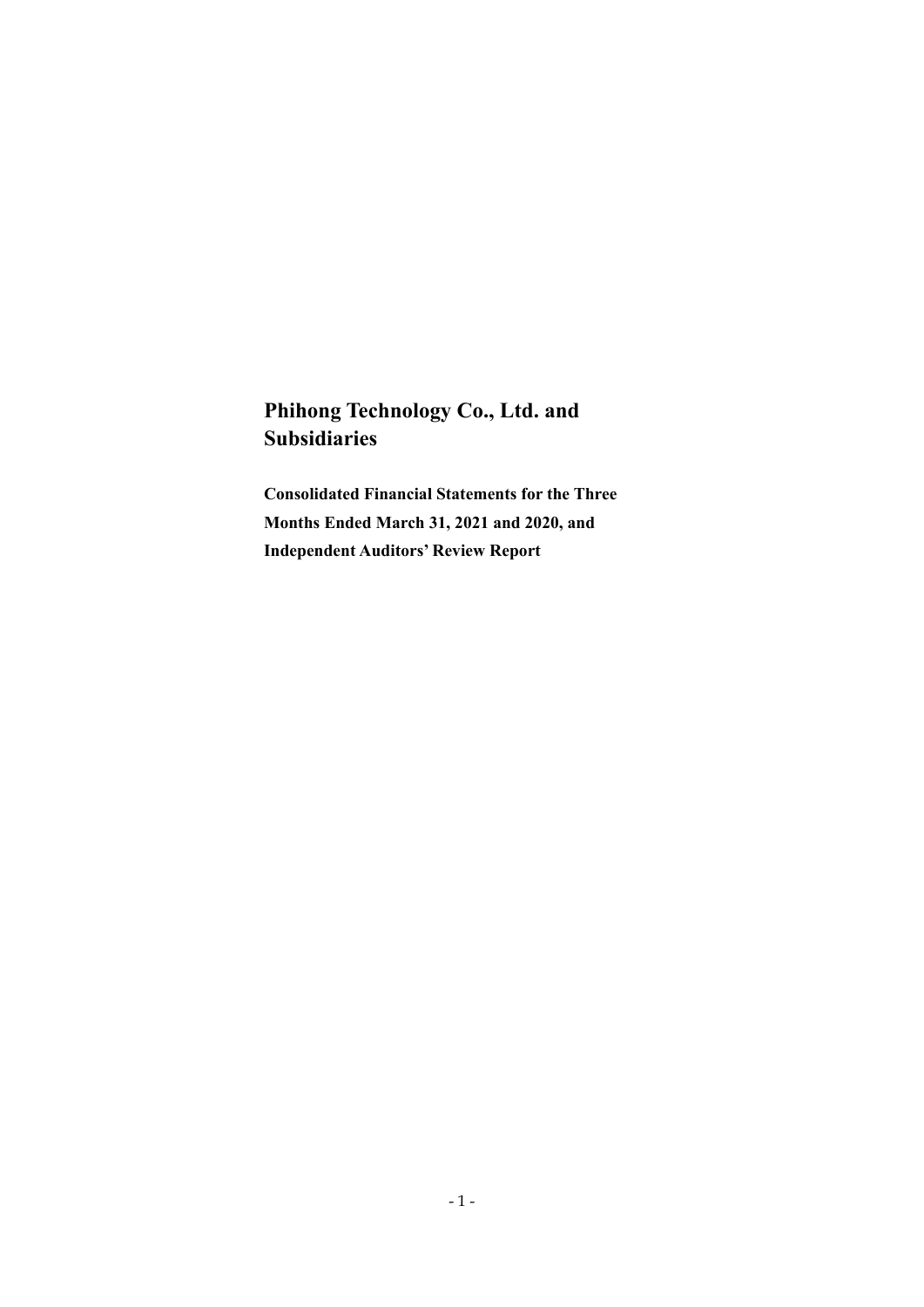# **Phihong Technology Co., Ltd. and Subsidiaries**

**Consolidated Financial Statements for the Three Months Ended March 31, 2021 and 2020, and Independent Auditors' Review Report**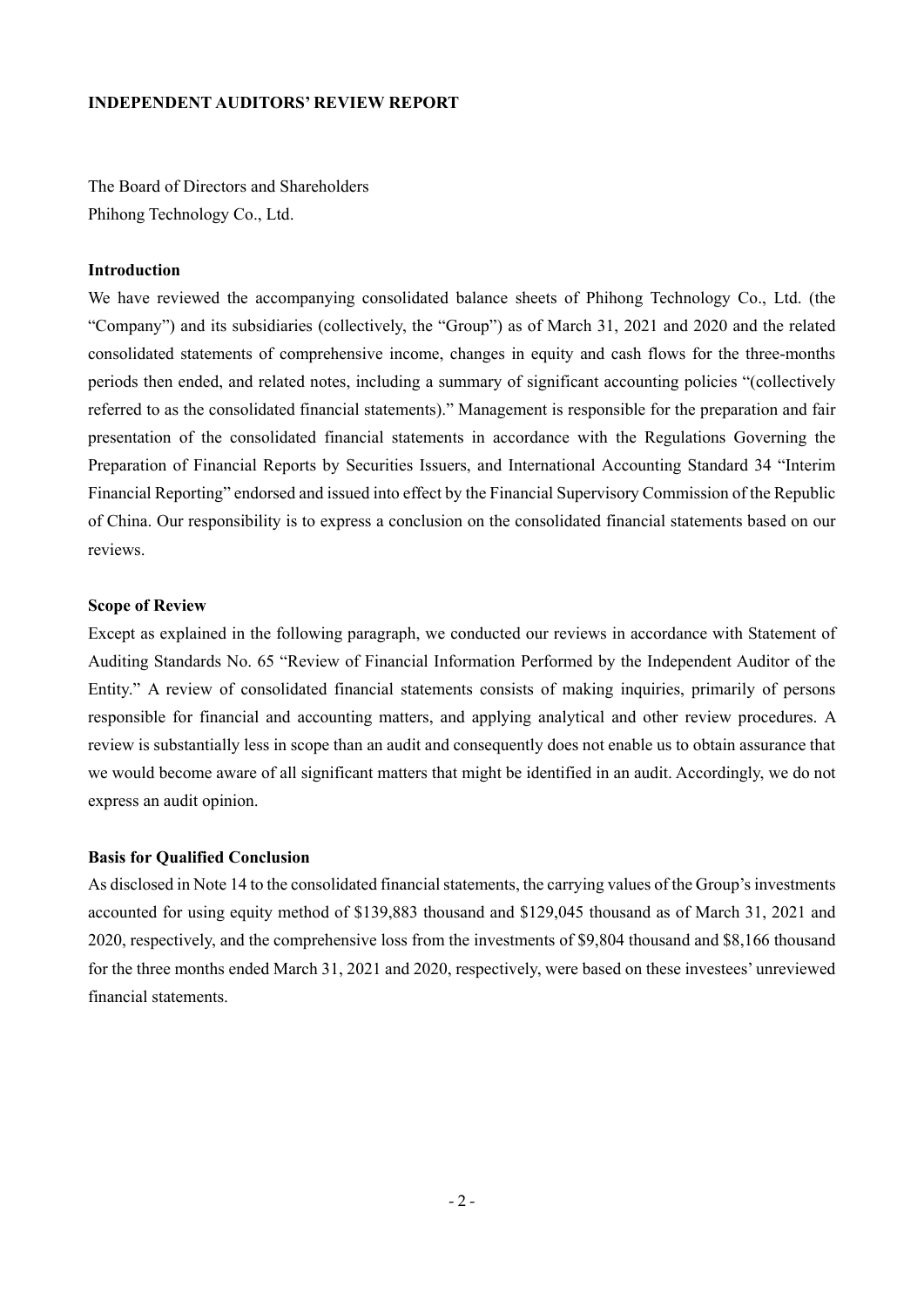#### **INDEPENDENT AUDITORS' REVIEW REPORT**

The Board of Directors and Shareholders Phihong Technology Co., Ltd.

#### **Introduction**

We have reviewed the accompanying consolidated balance sheets of Phihong Technology Co., Ltd. (the "Company") and its subsidiaries (collectively, the "Group") as of March 31, 2021 and 2020 and the related consolidated statements of comprehensive income, changes in equity and cash flows for the three-months periods then ended, and related notes, including a summary of significant accounting policies "(collectively referred to as the consolidated financial statements)." Management is responsible for the preparation and fair presentation of the consolidated financial statements in accordance with the Regulations Governing the Preparation of Financial Reports by Securities Issuers, and International Accounting Standard 34 "Interim Financial Reporting" endorsed and issued into effect by the Financial Supervisory Commission of the Republic of China. Our responsibility is to express a conclusion on the consolidated financial statements based on our reviews.

#### **Scope of Review**

Except as explained in the following paragraph, we conducted our reviews in accordance with Statement of Auditing Standards No. 65 "Review of Financial Information Performed by the Independent Auditor of the Entity." A review of consolidated financial statements consists of making inquiries, primarily of persons responsible for financial and accounting matters, and applying analytical and other review procedures. A review is substantially less in scope than an audit and consequently does not enable us to obtain assurance that we would become aware of all significant matters that might be identified in an audit. Accordingly, we do not express an audit opinion.

#### **Basis for Qualified Conclusion**

As disclosed in Note 14 to the consolidated financial statements, the carrying values of the Group's investments accounted for using equity method of \$139,883 thousand and \$129,045 thousand as of March 31, 2021 and 2020, respectively, and the comprehensive loss from the investments of \$9,804 thousand and \$8,166 thousand for the three months ended March 31, 2021 and 2020, respectively, were based on these investees' unreviewed financial statements.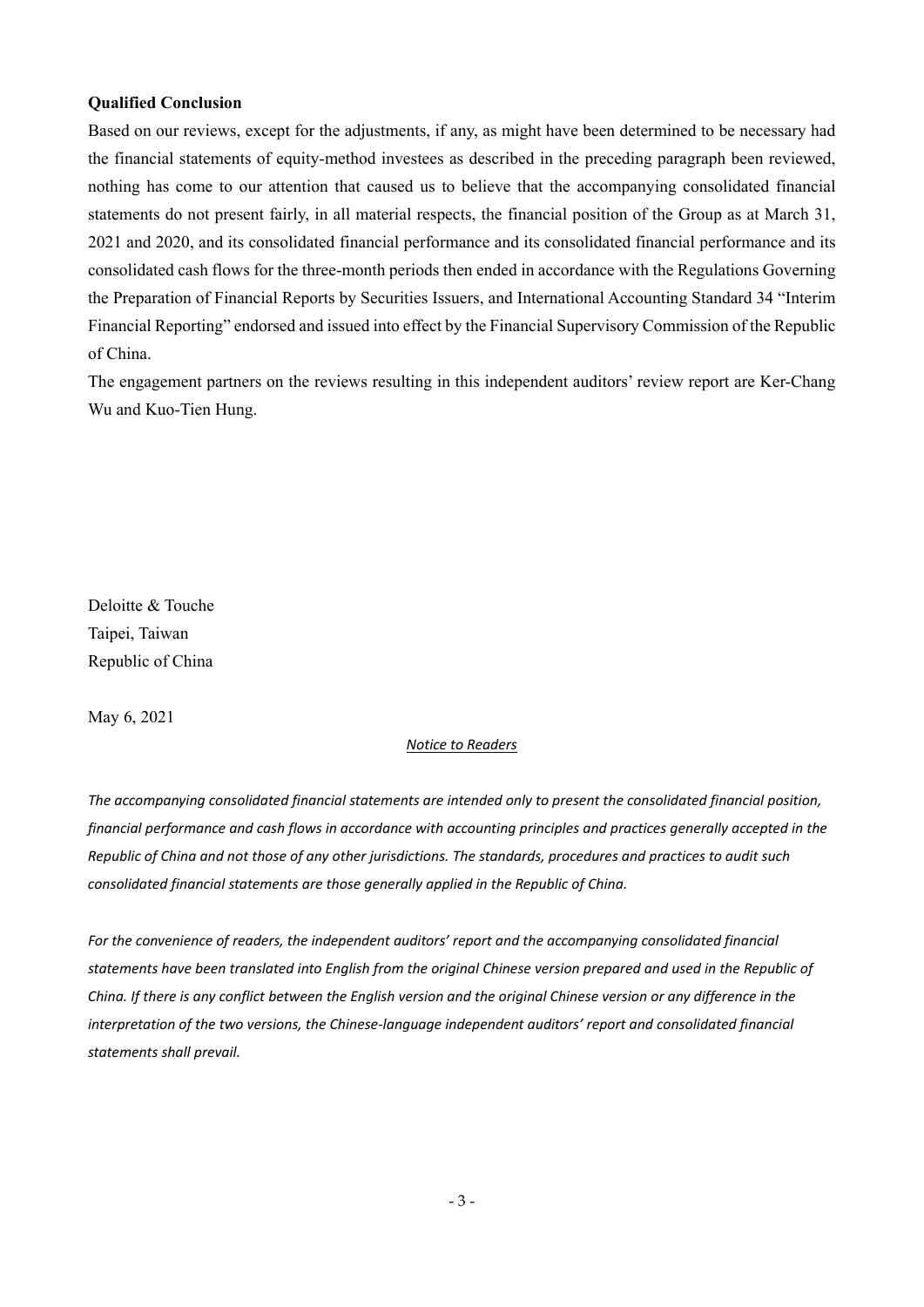#### **Qualified Conclusion**

Based on our reviews, except for the adjustments, if any, as might have been determined to be necessary had the financial statements of equity-method investees as described in the preceding paragraph been reviewed, nothing has come to our attention that caused us to believe that the accompanying consolidated financial statements do not present fairly, in all material respects, the financial position of the Group as at March 31, 2021 and 2020, and its consolidated financial performance and its consolidated financial performance and its consolidated cash flows for the three-month periods then ended in accordance with the Regulations Governing the Preparation of Financial Reports by Securities Issuers, and International Accounting Standard 34 "Interim Financial Reporting" endorsed and issued into effect by the Financial Supervisory Commission of the Republic of China.

The engagement partners on the reviews resulting in this independent auditors' review report are Ker-Chang Wu and Kuo-Tien Hung.

Deloitte & Touche Taipei, Taiwan Republic of China

May 6, 2021

#### *Notice to Readers*

*The accompanying consolidated financial statements are intended only to present the consolidated financial position,* financial performance and cash flows in accordance with accounting principles and practices generally accepted in the Republic of China and not those of any other jurisdictions. The standards, procedures and practices to audit such *consolidated financial statements are those generally applied in the Republic of China.*

*For the convenience of readers, the independent auditors' report and the accompanying consolidated financial* statements have been translated into English from the original Chinese version prepared and used in the Republic of China. If there is any conflict between the English version and the original Chinese version or any difference in the *interpretation of the two versions, the Chinese‐language independent auditors' report and consolidated financial statements shall prevail.*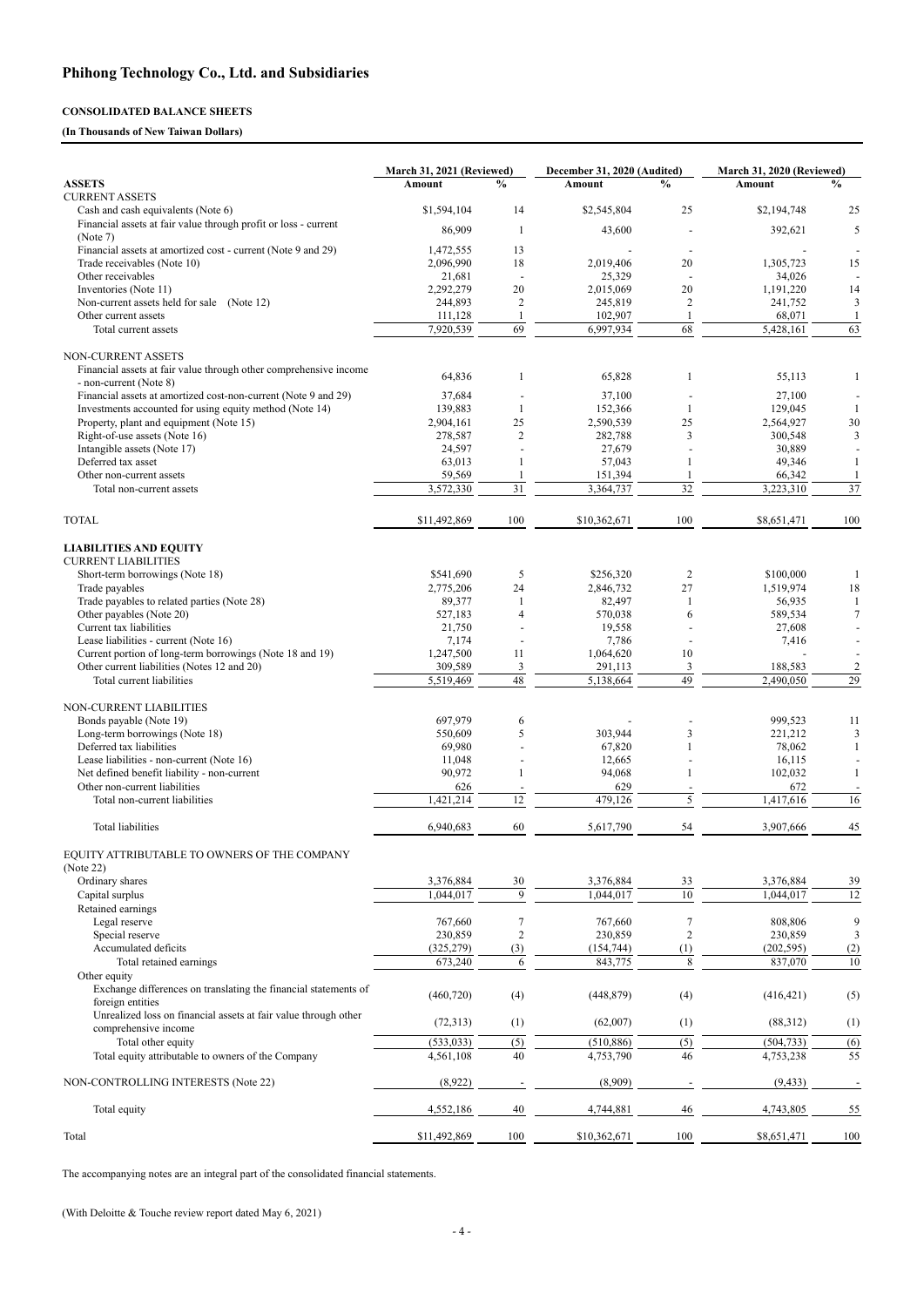- 4 -

### **CONSOLIDATED BALANCE SHEETS**

#### **(In Thousands of New Taiwan Dollars)**

|                                                                   | March 31, 2021 (Reviewed) |                | December 31, 2020 (Audited) |                | March 31, 2020 (Reviewed) |                |
|-------------------------------------------------------------------|---------------------------|----------------|-----------------------------|----------------|---------------------------|----------------|
| <b>ASSETS</b>                                                     | <b>Amount</b>             | $\frac{0}{0}$  | Amount                      | $\frac{0}{0}$  | Amount                    | $\frac{0}{0}$  |
| <b>CURRENT ASSETS</b>                                             |                           |                |                             |                |                           |                |
| Cash and cash equivalents (Note 6)                                | \$1,594,104               | 14             | \$2,545,804                 | 25             | \$2,194,748               | 25             |
| Financial assets at fair value through profit or loss - current   | 86,909                    | -1             | 43,600                      |                | 392,621                   | 5              |
| (Note 7)                                                          |                           |                |                             |                |                           |                |
| Financial assets at amortized cost - current (Note 9 and 29)      | 1,472,555                 | 13             |                             |                |                           |                |
| Trade receivables (Note 10)                                       | 2,096,990                 | 18             | 2,019,406                   | 20             | 1,305,723                 | 15             |
| Other receivables                                                 | 21,681                    |                | 25,329                      |                | 34,026                    |                |
| Inventories (Note 11)                                             | 2,292,279                 | 20             | 2,015,069                   | 20             | 1,191,220                 | 14             |
| Non-current assets held for sale (Note 12)                        | 244,893                   | $\overline{2}$ | 245,819                     | $\overline{c}$ | 241,752                   | 3              |
| Other current assets                                              | 111,128                   |                | 102,907                     |                | 68,071                    | -1             |
| Total current assets                                              | 7,920,539                 | 69             | 6,997,934                   | 68             | 5,428,161                 | 63             |
| NON-CURRENT ASSETS                                                |                           |                |                             |                |                           |                |
| Financial assets at fair value through other comprehensive income |                           |                |                             |                |                           |                |
| - non-current (Note 8)                                            | 64,836                    | 1              | 65,828                      | 1              | 55,113                    | 1              |
| Financial assets at amortized cost-non-current (Note 9 and 29)    | 37,684                    |                | 37,100                      |                | 27,100                    |                |
| Investments accounted for using equity method (Note 14)           | 139,883                   | $\mathbf{1}$   | 152,366                     |                | 129,045                   |                |
| Property, plant and equipment (Note 15)                           | 2,904,161                 | 25             | 2,590,539                   | 25             | 2,564,927                 | $30\,$         |
| Right-of-use assets (Note 16)                                     | 278,587                   | $\overline{c}$ | 282,788                     | 3              | 300,548                   | 3              |
| Intangible assets (Note 17)                                       | 24,597                    |                | 27,679                      |                | 30,889                    |                |
| Deferred tax asset                                                | 63,013                    | 1              | 57,043                      | 1              | 49,346                    | $\mathbf{1}$   |
| Other non-current assets                                          | 59,569                    |                | 151,394                     |                | 66,342                    |                |
|                                                                   | 3,572,330                 | 31             | 3,364,737                   | 32             | 3,223,310                 | 37             |
| Total non-current assets                                          |                           |                |                             |                |                           |                |
| <b>TOTAL</b>                                                      | \$11,492,869              | 100            | \$10,362,671                | 100            | \$8,651,471               | 100            |
| <b>LIABILITIES AND EQUITY</b>                                     |                           |                |                             |                |                           |                |
| <b>CURRENT LIABILITIES</b>                                        |                           |                |                             |                |                           |                |
| Short-term borrowings (Note 18)                                   | \$541,690                 | 5              | \$256,320                   | $\overline{c}$ | \$100,000                 |                |
| Trade payables                                                    | 2,775,206                 | 24             | 2,846,732                   | 27             | 1,519,974                 | 18             |
| Trade payables to related parties (Note 28)                       | 89,377                    | 1              | 82,497                      | 1              | 56,935                    |                |
| Other payables (Note 20)                                          | 527,183                   | $\overline{4}$ | 570,038                     | 6              | 589,534                   | 7              |
| Current tax liabilities                                           | 21,750                    |                | 19,558                      |                | 27,608                    |                |
| Lease liabilities - current (Note 16)                             | 7,174                     |                | 7,786                       |                | 7,416                     |                |
| Current portion of long-term borrowings (Note 18 and 19)          | 1,247,500                 | 11             | 1,064,620                   | 10             |                           |                |
| Other current liabilities (Notes 12 and 20)                       | 309,589                   | 3              | 291,113                     | 3              | 188,583                   | $\overline{c}$ |
| Total current liabilities                                         | 5,519,469                 | 48             | 5,138,664                   | 49             | 2,490,050                 | 29             |
|                                                                   |                           |                |                             |                |                           |                |
| <b>NON-CURRENT LIABILITIES</b>                                    |                           |                |                             |                |                           |                |
| Bonds payable (Note 19)                                           | 697,979                   | 6              |                             |                | 999,523                   | 11             |
| Long-term borrowings (Note 18)                                    | 550,609                   | 5              | 303,944                     | 3              | 221,212                   | 3              |
| Deferred tax liabilities                                          | 69,980                    |                | 67,820                      |                | 78,062                    |                |
| Lease liabilities - non-current (Note 16)                         | 11,048                    |                | 12,665                      |                | 16,115                    |                |
| Net defined benefit liability - non-current                       | 90,972                    |                | 94,068                      |                | 102,032                   |                |
| Other non-current liabilities                                     | 626                       |                | 629                         |                | 672                       |                |
| Total non-current liabilities                                     | 1,421,214                 | 12             | 479,126                     | 5              | 1,417,616                 | 16             |
| Total liabilities                                                 | 6,940,683                 | 60             | 5,617,790                   | 54             | 3,907,666                 | 45             |
| EQUITY ATTRIBUTABLE TO OWNERS OF THE COMPANY<br>(Note 22)         |                           |                |                             |                |                           |                |
| Ordinary shares                                                   | 3,376,884                 | 30             | 3,376,884                   | 33             | 3,376,884                 | 39             |
|                                                                   | 1,044,017                 | 9              | 1,044,017                   | 10             | 1,044,017                 | 12             |
| Capital surplus                                                   |                           |                |                             |                |                           |                |
| Retained earnings                                                 |                           |                |                             |                |                           |                |
| Legal reserve                                                     | 767,660                   |                | 767,660                     | 7              | 808,806                   | 9              |
| Special reserve                                                   | 230,859                   | $\overline{2}$ | 230,859                     | $\overline{c}$ | 230,859                   | 3              |
| Accumulated deficits                                              | (325, 279)                | (3)            | (154, 744)                  | (1)            | (202, 595)                | (2)            |
| Total retained earnings                                           | 673,240                   | 6              | 843,775                     | 8              | 837,070                   | $10\,$         |

Other equity

| Exchange differences on translating the financial statements of<br>foreign entities     | (460, 720)   | (4) | (448, 879)   | (4)               | (416, 421)  | (5) |
|-----------------------------------------------------------------------------------------|--------------|-----|--------------|-------------------|-------------|-----|
| Unrealized loss on financial assets at fair value through other<br>comprehensive income | (72, 313)    | (1) | (62,007)     | $\left( 1\right)$ | (88,312)    | (1) |
| Total other equity                                                                      | (533, 033)   | (5) | (510, 886)   |                   | (504, 733)  | (6) |
| Total equity attributable to owners of the Company                                      | 4,561,108    | 40  | 4,753,790    | 46                | 4,753,238   | 55  |
| NON-CONTROLLING INTERESTS (Note 22)                                                     | (8,922)      |     | (8,909)      |                   | (9, 433)    |     |
| Total equity                                                                            | 4,552,186    | 40  | 4,744,881    | 46                | 4,743,805   | 55  |
| Total                                                                                   | \$11,492,869 | 100 | \$10,362,671 | 100               | \$8,651,471 | 100 |

The accompanying notes are an integral part of the consolidated financial statements.

(With Deloitte & Touche review report dated May 6, 2021)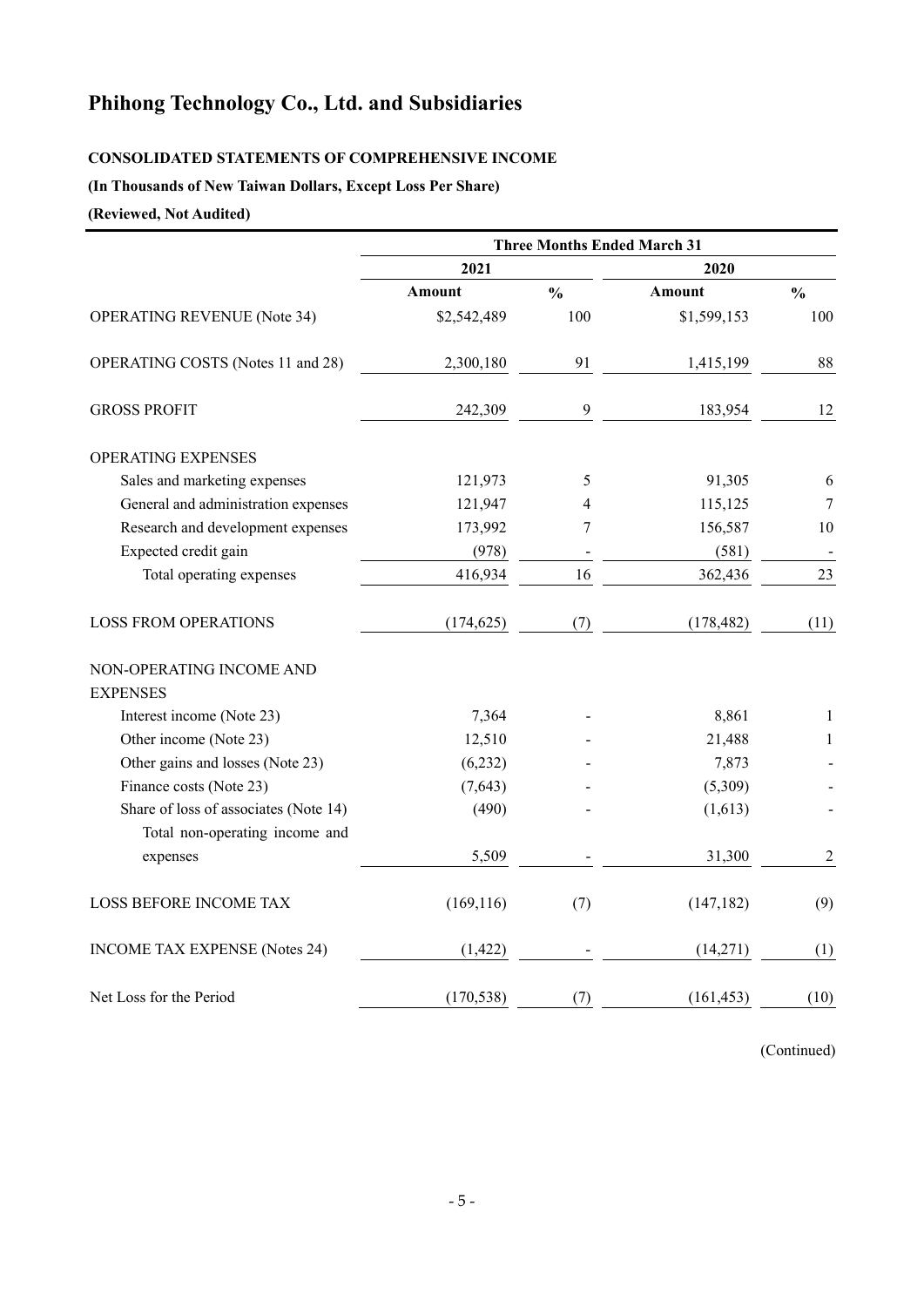# **Phihong Technology Co., Ltd. and Subsidiaries**

### **CONSOLIDATED STATEMENTS OF COMPREHENSIVE INCOME**

### **(In Thousands of New Taiwan Dollars, Except Loss Per Share)**

**(Reviewed, Not Audited)**

|                                       | <b>Three Months Ended March 31</b> |               |             |               |  |
|---------------------------------------|------------------------------------|---------------|-------------|---------------|--|
|                                       | 2021                               |               | 2020        |               |  |
|                                       | <b>Amount</b>                      | $\frac{0}{0}$ | Amount      | $\frac{0}{0}$ |  |
| <b>OPERATING REVENUE (Note 34)</b>    | \$2,542,489                        | 100           | \$1,599,153 | 100           |  |
| OPERATING COSTS (Notes 11 and 28)     | 2,300,180                          | 91            | 1,415,199   | 88            |  |
| <b>GROSS PROFIT</b>                   | 242,309                            | 9             | 183,954     | 12            |  |
| <b>OPERATING EXPENSES</b>             |                                    |               |             |               |  |
| Sales and marketing expenses          | 121,973                            | 5             | 91,305      | 6             |  |
| General and administration expenses   | 121,947                            | 4             | 115,125     | 7             |  |
| Research and development expenses     | 173,992                            | 7             | 156,587     | 10            |  |
| Expected credit gain                  | (978)                              |               | (581)       |               |  |
| Total operating expenses              | 416,934                            | 16            | 362,436     | 23            |  |
| <b>LOSS FROM OPERATIONS</b>           | (174, 625)                         | (7)           | (178, 482)  | (11)          |  |
| NON-OPERATING INCOME AND              |                                    |               |             |               |  |
| <b>EXPENSES</b>                       |                                    |               |             |               |  |
| Interest income (Note 23)             | 7,364                              |               | 8,861       | 1             |  |
| Other income (Note 23)                | 12,510                             |               | 21,488      | 1             |  |
| Other gains and losses (Note 23)      | (6,232)                            |               | 7,873       |               |  |
| Finance costs (Note 23)               | (7,643)                            |               | (5,309)     |               |  |
| Share of loss of associates (Note 14) | (490)                              |               | (1,613)     |               |  |
| Total non-operating income and        |                                    |               |             |               |  |
| expenses                              | 5,509                              |               | 31,300      | $\sqrt{2}$    |  |
| <b>LOSS BEFORE INCOME TAX</b>         | (169, 116)                         | (7)           | (147, 182)  | (9)           |  |
| <b>INCOME TAX EXPENSE (Notes 24)</b>  | (1, 422)                           |               | (14,271)    | (1)           |  |
| Net Loss for the Period               | (170, 538)                         | (7)           | (161, 453)  | (10)          |  |

(Continued)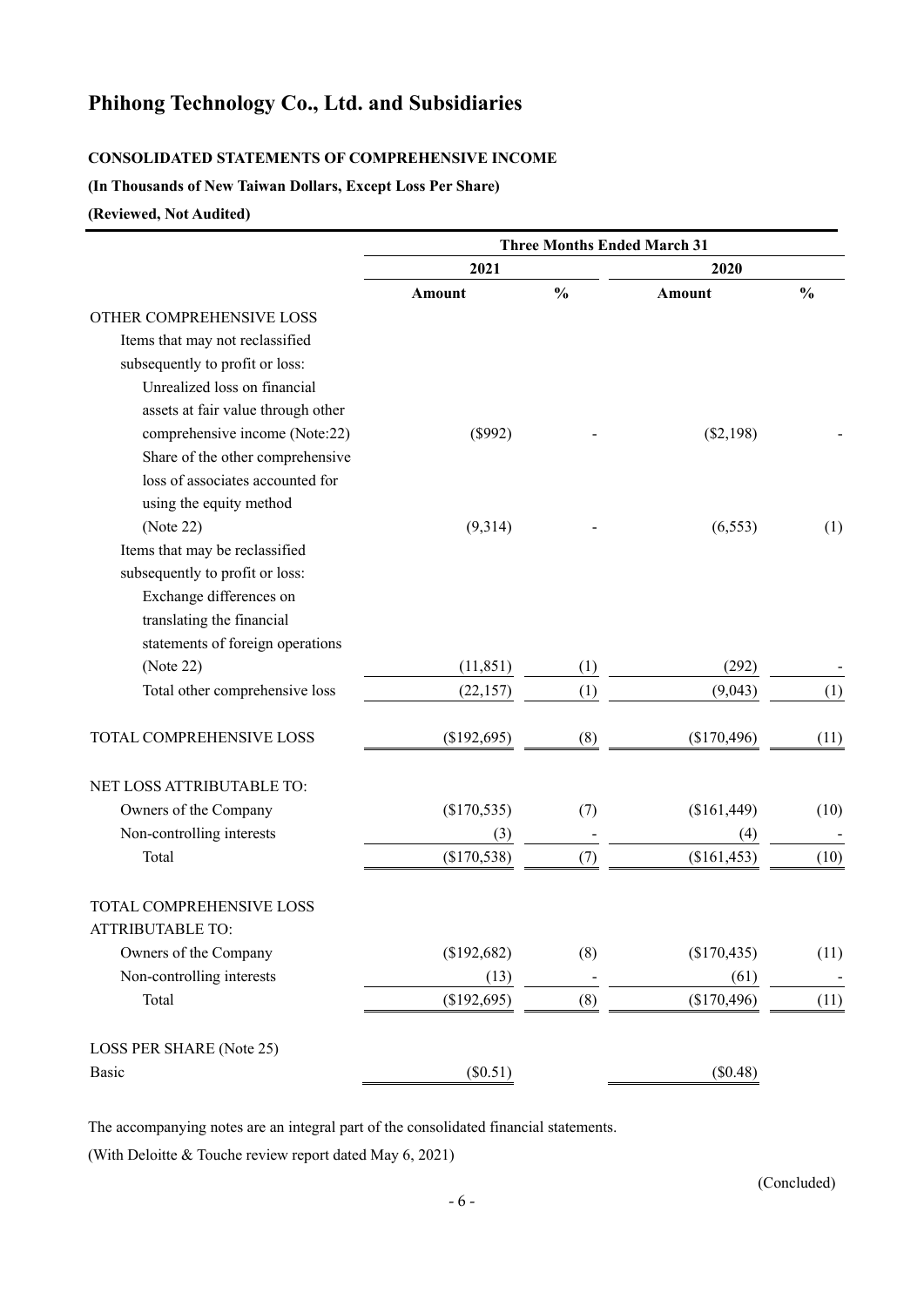# **Phihong Technology Co., Ltd. and Subsidiaries**

### **CONSOLIDATED STATEMENTS OF COMPREHENSIVE INCOME**

### **(In Thousands of New Taiwan Dollars, Except Loss Per Share)**

### **(Reviewed, Not Audited)**

|                                    | <b>Three Months Ended March 31</b> |               |             |               |  |  |
|------------------------------------|------------------------------------|---------------|-------------|---------------|--|--|
|                                    | 2021                               |               | 2020        |               |  |  |
|                                    | Amount                             | $\frac{0}{0}$ | Amount      | $\frac{0}{0}$ |  |  |
| OTHER COMPREHENSIVE LOSS           |                                    |               |             |               |  |  |
| Items that may not reclassified    |                                    |               |             |               |  |  |
| subsequently to profit or loss:    |                                    |               |             |               |  |  |
| Unrealized loss on financial       |                                    |               |             |               |  |  |
| assets at fair value through other |                                    |               |             |               |  |  |
| comprehensive income (Note:22)     | (\$992)                            |               | (\$2,198)   |               |  |  |
| Share of the other comprehensive   |                                    |               |             |               |  |  |
| loss of associates accounted for   |                                    |               |             |               |  |  |
| using the equity method            |                                    |               |             |               |  |  |
| (Note 22)                          | (9,314)                            |               | (6, 553)    | (1)           |  |  |
| Items that may be reclassified     |                                    |               |             |               |  |  |
| subsequently to profit or loss:    |                                    |               |             |               |  |  |
| Exchange differences on            |                                    |               |             |               |  |  |
| translating the financial          |                                    |               |             |               |  |  |
| statements of foreign operations   |                                    |               |             |               |  |  |
| (Note 22)                          | (11, 851)                          | (1)           | (292)       |               |  |  |
| Total other comprehensive loss     | (22, 157)                          | (1)           | (9,043)     | (1)           |  |  |
| TOTAL COMPREHENSIVE LOSS           | (\$192,695)                        | (8)           | (\$170,496) | (11)          |  |  |
| NET LOSS ATTRIBUTABLE TO:          |                                    |               |             |               |  |  |
| Owners of the Company              | (\$170,535)                        | (7)           | (\$161,449) | (10)          |  |  |
| Non-controlling interests          | (3)                                |               | (4)         |               |  |  |
| Total                              | (\$170,538)                        | (7)           | (\$161,453) | (10)          |  |  |
| TOTAL COMPREHENSIVE LOSS           |                                    |               |             |               |  |  |
| <b>ATTRIBUTABLE TO:</b>            |                                    |               |             |               |  |  |
| Owners of the Company              | (\$192,682)                        | (8)           | (\$170,435) | (11)          |  |  |
| Non-controlling interests          | (13)                               |               | (61)        |               |  |  |
| Total                              | (\$192,695)                        | (8)           | (\$170,496) | (11)          |  |  |
| LOSS PER SHARE (Note 25)           |                                    |               |             |               |  |  |
| Basic                              | (\$0.51)                           |               | (\$0.48)    |               |  |  |

The accompanying notes are an integral part of the consolidated financial statements.

(With Deloitte & Touche review report dated May 6, 2021)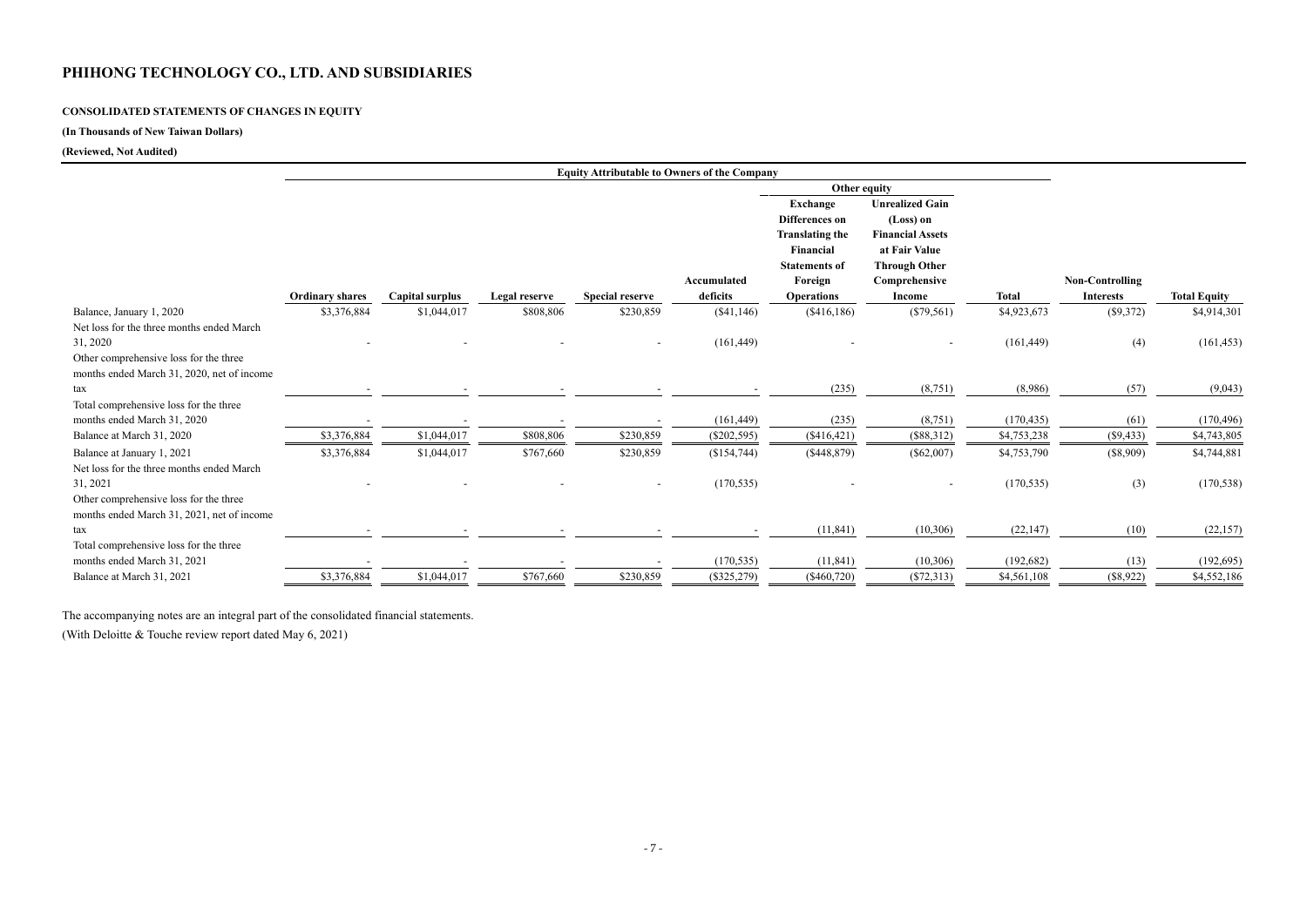# **CONSOLIDATED STATEMENTS OF CHANGES IN EQUITY**

# **(In Thousands of New Taiwan Dollars)**

### **(Reviewed, Not Audited)**

|                                            |                        |                 |               | <b>Equity Attributable to Owners of the Company</b> |               |                        |                          |              |                        |                     |
|--------------------------------------------|------------------------|-----------------|---------------|-----------------------------------------------------|---------------|------------------------|--------------------------|--------------|------------------------|---------------------|
|                                            |                        |                 |               |                                                     |               | Other equity           |                          |              |                        |                     |
|                                            |                        |                 |               |                                                     |               | Exchange               | <b>Unrealized Gain</b>   |              |                        |                     |
|                                            |                        |                 |               |                                                     |               | Differences on         | (Loss) on                |              |                        |                     |
|                                            |                        |                 |               |                                                     |               | <b>Translating the</b> | <b>Financial Assets</b>  |              |                        |                     |
|                                            |                        |                 |               |                                                     |               | Financial              | at Fair Value            |              |                        |                     |
|                                            |                        |                 |               |                                                     |               | <b>Statements of</b>   | <b>Through Other</b>     |              |                        |                     |
|                                            |                        |                 |               |                                                     | Accumulated   | Foreign                | Comprehensive            |              | <b>Non-Controlling</b> |                     |
|                                            | <b>Ordinary shares</b> | Capital surplus | Legal reserve | <b>Special reserve</b>                              | deficits      | <b>Operations</b>      | <b>Income</b>            | <b>Total</b> | <b>Interests</b>       | <b>Total Equity</b> |
| Balance, January 1, 2020                   | \$3,376,884            | \$1,044,017     | \$808,806     | \$230,859                                           | (\$41,146)    | (\$416,186)            | $(\$79,561)$             | \$4,923,673  | (\$9,372)              | \$4,914,301         |
| Net loss for the three months ended March  |                        |                 |               |                                                     |               |                        |                          |              |                        |                     |
| 31, 2020                                   |                        |                 |               |                                                     | (161, 449)    |                        |                          | (161, 449)   | (4)                    | (161, 453)          |
| Other comprehensive loss for the three     |                        |                 |               |                                                     |               |                        |                          |              |                        |                     |
| months ended March 31, 2020, net of income |                        |                 |               |                                                     |               |                        |                          |              |                        |                     |
| tax                                        |                        |                 |               |                                                     |               | (235)                  | (8,751)                  | (8,986)      | (57)                   | (9,043)             |
| Total comprehensive loss for the three     |                        |                 |               |                                                     |               |                        |                          |              |                        |                     |
| months ended March 31, 2020                |                        |                 |               |                                                     | (161, 449)    | (235)                  | (8,751)                  | (170, 435)   | (61)                   | (170, 496)          |
| Balance at March 31, 2020                  | \$3,376,884            | \$1,044,017     | \$808,806     | \$230,859                                           | $(\$202,595)$ | (\$416,421)            | (\$88,312)               | \$4,753,238  | (\$9,433)              | \$4,743,805         |
| Balance at January 1, 2021                 | \$3,376,884            | \$1,044,017     | \$767,660     | \$230,859                                           | (\$154,744)   | (\$448,879)            | $(\$62,007)$             | \$4,753,790  | (\$8,909)              | \$4,744,881         |
| Net loss for the three months ended March  |                        |                 |               |                                                     |               |                        |                          |              |                        |                     |
| 31, 2021                                   |                        |                 |               | $\blacksquare$                                      | (170, 535)    |                        | $\overline{\phantom{a}}$ | (170, 535)   | (3)                    | (170, 538)          |
| Other comprehensive loss for the three     |                        |                 |               |                                                     |               |                        |                          |              |                        |                     |
| months ended March 31, 2021, net of income |                        |                 |               |                                                     |               |                        |                          |              |                        |                     |
| tax                                        |                        |                 |               |                                                     |               | (11, 841)              | (10, 306)                | (22, 147)    | (10)                   | (22, 157)           |
| Total comprehensive loss for the three     |                        |                 |               |                                                     |               |                        |                          |              |                        |                     |
| months ended March 31, 2021                |                        |                 |               |                                                     | (170, 535)    | (11, 841)              | (10,306)                 | (192, 682)   | (13)                   | (192, 695)          |
| Balance at March 31, 2021                  | \$3,376,884            | \$1,044,017     | \$767,660     | \$230,859                                           | $(\$325,279)$ | $(\$460,720)$          | $(\$72,313)$             | \$4,561,108  | (\$8,922)              | \$4,552,186         |

The accompanying notes are an integral part of the consolidated financial statements.

(With Deloitte & Touche review report dated May 6, 2021)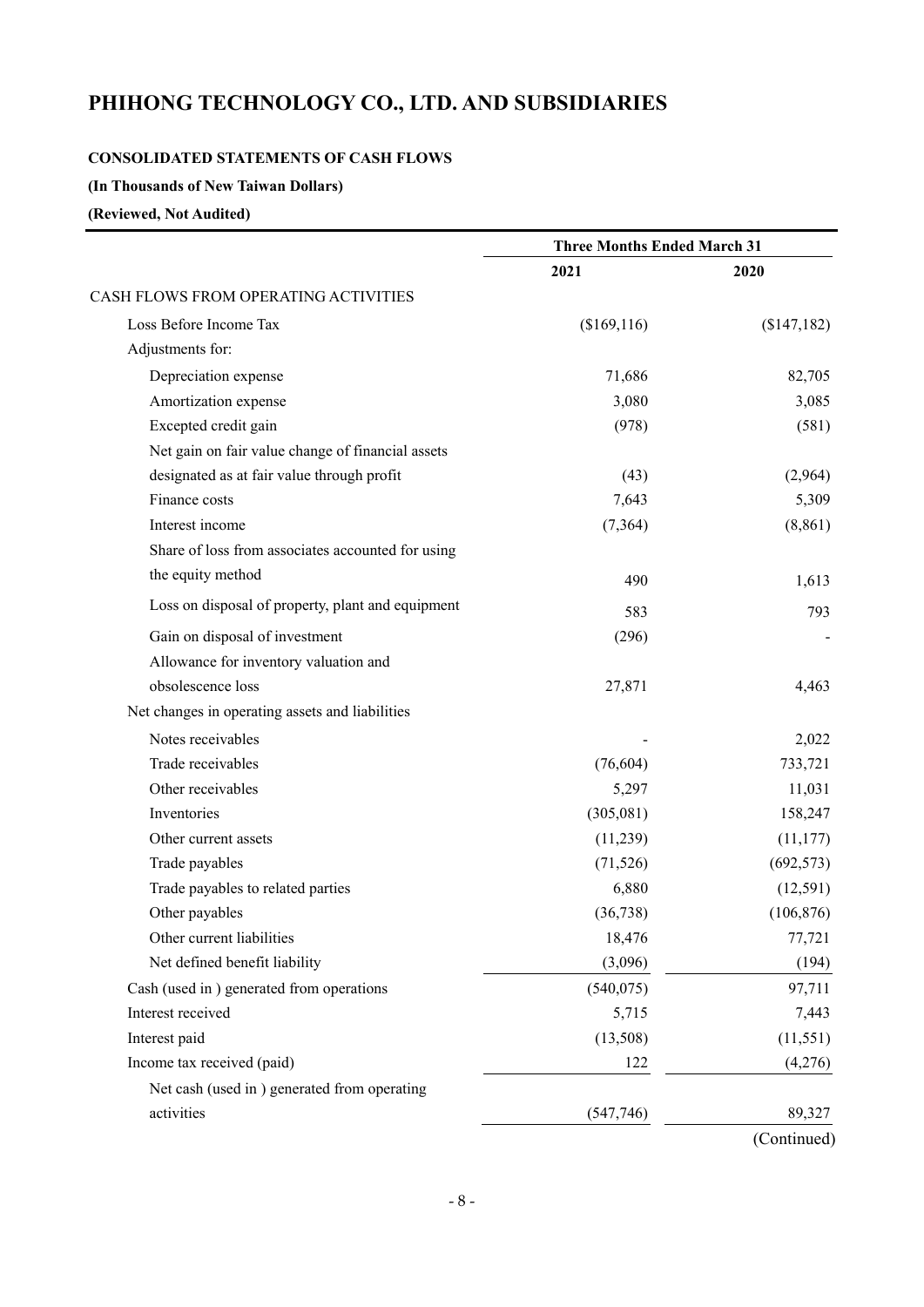### **CONSOLIDATED STATEMENTS OF CASH FLOWS**

**(In Thousands of New Taiwan Dollars)** 

### **(Reviewed, Not Audited)**

|                                                   | <b>Three Months Ended March 31</b> |             |
|---------------------------------------------------|------------------------------------|-------------|
|                                                   | 2021                               | 2020        |
| CASH FLOWS FROM OPERATING ACTIVITIES              |                                    |             |
| Loss Before Income Tax                            | (\$169,116)                        | (\$147,182) |
| Adjustments for:                                  |                                    |             |
| Depreciation expense                              | 71,686                             | 82,705      |
| Amortization expense                              | 3,080                              | 3,085       |
| Excepted credit gain                              | (978)                              | (581)       |
| Net gain on fair value change of financial assets |                                    |             |
| designated as at fair value through profit        | (43)                               | (2,964)     |
| Finance costs                                     | 7,643                              | 5,309       |
| Interest income                                   | (7, 364)                           | (8, 861)    |
| Share of loss from associates accounted for using |                                    |             |
| the equity method                                 | 490                                | 1,613       |
| Loss on disposal of property, plant and equipment | 583                                | 793         |
| Gain on disposal of investment                    | (296)                              |             |
| Allowance for inventory valuation and             |                                    |             |
| obsolescence loss                                 | 27,871                             | 4,463       |
| Net changes in operating assets and liabilities   |                                    |             |
| Notes receivables                                 |                                    | 2,022       |
| Trade receivables                                 | (76, 604)                          | 733,721     |
| Other receivables                                 | 5,297                              | 11,031      |
| Inventories                                       | (305,081)                          | 158,247     |
| Other current assets                              | (11,239)                           | (11, 177)   |
| Trade payables                                    | (71, 526)                          | (692, 573)  |
| Trade payables to related parties                 | 6,880                              | (12, 591)   |
| Other payables                                    | (36, 738)                          | (106, 876)  |
| Other current liabilities                         | 18,476                             | 77,721      |
| Net defined benefit liability                     | (3,096)                            | (194)       |
| Cash (used in ) generated from operations         | (540, 075)                         | 97,711      |
| Interest received                                 | 5,715                              | 7,443       |
| Interest paid                                     | (13,508)                           | (11, 551)   |
| Income tax received (paid)                        | 122                                | (4,276)     |
| Net cash (used in) generated from operating       |                                    |             |
| activities                                        | (547,746)                          | 89,327      |
|                                                   |                                    | (Continued) |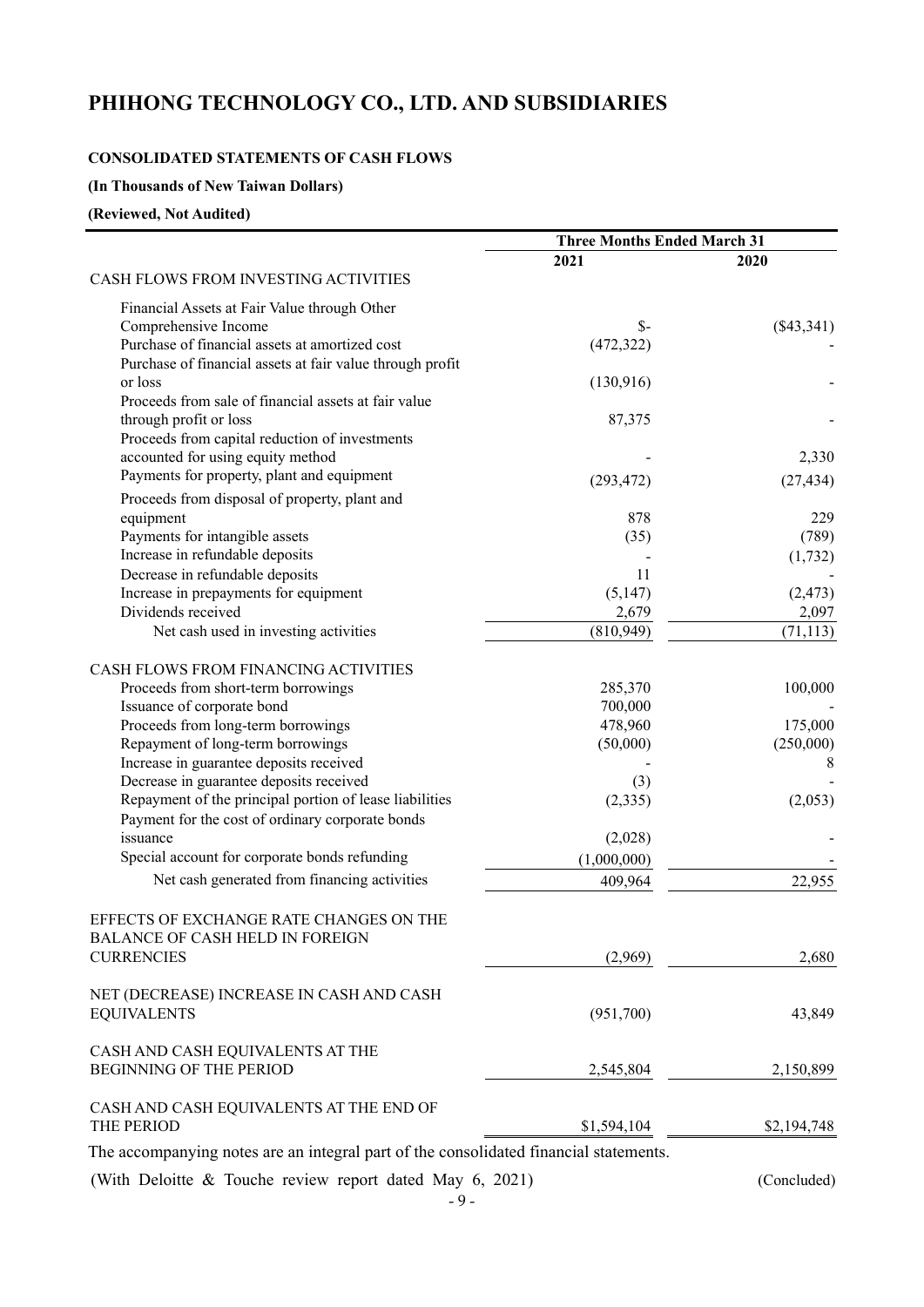### **CONSOLIDATED STATEMENTS OF CASH FLOWS**

**(In Thousands of New Taiwan Dollars)** 

**(Reviewed, Not Audited)** 

| 2021<br>2020<br>CASH FLOWS FROM INVESTING ACTIVITIES<br>Financial Assets at Fair Value through Other<br>$\mathcal{S}$ -<br>Comprehensive Income<br>$(\$43,341)$<br>Purchase of financial assets at amortized cost<br>(472, 322)<br>Purchase of financial assets at fair value through profit<br>or loss<br>(130,916)<br>Proceeds from sale of financial assets at fair value<br>through profit or loss<br>87,375<br>Proceeds from capital reduction of investments<br>accounted for using equity method<br>2,330<br>Payments for property, plant and equipment<br>(293, 472)<br>(27, 434)<br>Proceeds from disposal of property, plant and<br>878<br>229<br>equipment<br>Payments for intangible assets<br>(35)<br>(789)<br>Increase in refundable deposits<br>(1, 732)<br>Decrease in refundable deposits<br>11<br>Increase in prepayments for equipment<br>(5, 147)<br>(2, 473)<br>Dividends received<br>2,679<br>2,097<br>(810, 949)<br>(71, 113)<br>Net cash used in investing activities<br>CASH FLOWS FROM FINANCING ACTIVITIES<br>100,000<br>Proceeds from short-term borrowings<br>285,370<br>Issuance of corporate bond<br>700,000<br>175,000<br>Proceeds from long-term borrowings<br>478,960<br>Repayment of long-term borrowings<br>(50,000)<br>(250,000)<br>Increase in guarantee deposits received<br>8<br>Decrease in guarantee deposits received<br>(3)<br>Repayment of the principal portion of lease liabilities<br>(2, 335)<br>(2,053)<br>Payment for the cost of ordinary corporate bonds<br>issuance<br>(2,028)<br>Special account for corporate bonds refunding<br>(1,000,000)<br>Net cash generated from financing activities<br>409,964<br>22,955<br>EFFECTS OF EXCHANGE RATE CHANGES ON THE<br>BALANCE OF CASH HELD IN FOREIGN<br><b>CURRENCIES</b><br>(2,969)<br>2,680<br>NET (DECREASE) INCREASE IN CASH AND CASH<br><b>EQUIVALENTS</b><br>(951,700)<br>43,849<br>CASH AND CASH EQUIVALENTS AT THE<br><b>BEGINNING OF THE PERIOD</b><br>2,150,899<br>2,545,804<br>CASH AND CASH EQUIVALENTS AT THE END OF<br>THE PERIOD<br>\$1,594,104<br>\$2,194,748 | <b>Three Months Ended March 31</b> |  |
|----------------------------------------------------------------------------------------------------------------------------------------------------------------------------------------------------------------------------------------------------------------------------------------------------------------------------------------------------------------------------------------------------------------------------------------------------------------------------------------------------------------------------------------------------------------------------------------------------------------------------------------------------------------------------------------------------------------------------------------------------------------------------------------------------------------------------------------------------------------------------------------------------------------------------------------------------------------------------------------------------------------------------------------------------------------------------------------------------------------------------------------------------------------------------------------------------------------------------------------------------------------------------------------------------------------------------------------------------------------------------------------------------------------------------------------------------------------------------------------------------------------------------------------------------------------------------------------------------------------------------------------------------------------------------------------------------------------------------------------------------------------------------------------------------------------------------------------------------------------------------------------------------------------------------------------------------------------------------------------------------------------------------------------------------------------------------------|------------------------------------|--|
|                                                                                                                                                                                                                                                                                                                                                                                                                                                                                                                                                                                                                                                                                                                                                                                                                                                                                                                                                                                                                                                                                                                                                                                                                                                                                                                                                                                                                                                                                                                                                                                                                                                                                                                                                                                                                                                                                                                                                                                                                                                                                  |                                    |  |
|                                                                                                                                                                                                                                                                                                                                                                                                                                                                                                                                                                                                                                                                                                                                                                                                                                                                                                                                                                                                                                                                                                                                                                                                                                                                                                                                                                                                                                                                                                                                                                                                                                                                                                                                                                                                                                                                                                                                                                                                                                                                                  |                                    |  |
|                                                                                                                                                                                                                                                                                                                                                                                                                                                                                                                                                                                                                                                                                                                                                                                                                                                                                                                                                                                                                                                                                                                                                                                                                                                                                                                                                                                                                                                                                                                                                                                                                                                                                                                                                                                                                                                                                                                                                                                                                                                                                  |                                    |  |
|                                                                                                                                                                                                                                                                                                                                                                                                                                                                                                                                                                                                                                                                                                                                                                                                                                                                                                                                                                                                                                                                                                                                                                                                                                                                                                                                                                                                                                                                                                                                                                                                                                                                                                                                                                                                                                                                                                                                                                                                                                                                                  |                                    |  |
|                                                                                                                                                                                                                                                                                                                                                                                                                                                                                                                                                                                                                                                                                                                                                                                                                                                                                                                                                                                                                                                                                                                                                                                                                                                                                                                                                                                                                                                                                                                                                                                                                                                                                                                                                                                                                                                                                                                                                                                                                                                                                  |                                    |  |
|                                                                                                                                                                                                                                                                                                                                                                                                                                                                                                                                                                                                                                                                                                                                                                                                                                                                                                                                                                                                                                                                                                                                                                                                                                                                                                                                                                                                                                                                                                                                                                                                                                                                                                                                                                                                                                                                                                                                                                                                                                                                                  |                                    |  |
|                                                                                                                                                                                                                                                                                                                                                                                                                                                                                                                                                                                                                                                                                                                                                                                                                                                                                                                                                                                                                                                                                                                                                                                                                                                                                                                                                                                                                                                                                                                                                                                                                                                                                                                                                                                                                                                                                                                                                                                                                                                                                  |                                    |  |
|                                                                                                                                                                                                                                                                                                                                                                                                                                                                                                                                                                                                                                                                                                                                                                                                                                                                                                                                                                                                                                                                                                                                                                                                                                                                                                                                                                                                                                                                                                                                                                                                                                                                                                                                                                                                                                                                                                                                                                                                                                                                                  |                                    |  |
|                                                                                                                                                                                                                                                                                                                                                                                                                                                                                                                                                                                                                                                                                                                                                                                                                                                                                                                                                                                                                                                                                                                                                                                                                                                                                                                                                                                                                                                                                                                                                                                                                                                                                                                                                                                                                                                                                                                                                                                                                                                                                  |                                    |  |
|                                                                                                                                                                                                                                                                                                                                                                                                                                                                                                                                                                                                                                                                                                                                                                                                                                                                                                                                                                                                                                                                                                                                                                                                                                                                                                                                                                                                                                                                                                                                                                                                                                                                                                                                                                                                                                                                                                                                                                                                                                                                                  |                                    |  |
|                                                                                                                                                                                                                                                                                                                                                                                                                                                                                                                                                                                                                                                                                                                                                                                                                                                                                                                                                                                                                                                                                                                                                                                                                                                                                                                                                                                                                                                                                                                                                                                                                                                                                                                                                                                                                                                                                                                                                                                                                                                                                  |                                    |  |
|                                                                                                                                                                                                                                                                                                                                                                                                                                                                                                                                                                                                                                                                                                                                                                                                                                                                                                                                                                                                                                                                                                                                                                                                                                                                                                                                                                                                                                                                                                                                                                                                                                                                                                                                                                                                                                                                                                                                                                                                                                                                                  |                                    |  |
|                                                                                                                                                                                                                                                                                                                                                                                                                                                                                                                                                                                                                                                                                                                                                                                                                                                                                                                                                                                                                                                                                                                                                                                                                                                                                                                                                                                                                                                                                                                                                                                                                                                                                                                                                                                                                                                                                                                                                                                                                                                                                  |                                    |  |
|                                                                                                                                                                                                                                                                                                                                                                                                                                                                                                                                                                                                                                                                                                                                                                                                                                                                                                                                                                                                                                                                                                                                                                                                                                                                                                                                                                                                                                                                                                                                                                                                                                                                                                                                                                                                                                                                                                                                                                                                                                                                                  |                                    |  |
|                                                                                                                                                                                                                                                                                                                                                                                                                                                                                                                                                                                                                                                                                                                                                                                                                                                                                                                                                                                                                                                                                                                                                                                                                                                                                                                                                                                                                                                                                                                                                                                                                                                                                                                                                                                                                                                                                                                                                                                                                                                                                  |                                    |  |
|                                                                                                                                                                                                                                                                                                                                                                                                                                                                                                                                                                                                                                                                                                                                                                                                                                                                                                                                                                                                                                                                                                                                                                                                                                                                                                                                                                                                                                                                                                                                                                                                                                                                                                                                                                                                                                                                                                                                                                                                                                                                                  |                                    |  |
|                                                                                                                                                                                                                                                                                                                                                                                                                                                                                                                                                                                                                                                                                                                                                                                                                                                                                                                                                                                                                                                                                                                                                                                                                                                                                                                                                                                                                                                                                                                                                                                                                                                                                                                                                                                                                                                                                                                                                                                                                                                                                  |                                    |  |
|                                                                                                                                                                                                                                                                                                                                                                                                                                                                                                                                                                                                                                                                                                                                                                                                                                                                                                                                                                                                                                                                                                                                                                                                                                                                                                                                                                                                                                                                                                                                                                                                                                                                                                                                                                                                                                                                                                                                                                                                                                                                                  |                                    |  |
|                                                                                                                                                                                                                                                                                                                                                                                                                                                                                                                                                                                                                                                                                                                                                                                                                                                                                                                                                                                                                                                                                                                                                                                                                                                                                                                                                                                                                                                                                                                                                                                                                                                                                                                                                                                                                                                                                                                                                                                                                                                                                  |                                    |  |
|                                                                                                                                                                                                                                                                                                                                                                                                                                                                                                                                                                                                                                                                                                                                                                                                                                                                                                                                                                                                                                                                                                                                                                                                                                                                                                                                                                                                                                                                                                                                                                                                                                                                                                                                                                                                                                                                                                                                                                                                                                                                                  |                                    |  |
|                                                                                                                                                                                                                                                                                                                                                                                                                                                                                                                                                                                                                                                                                                                                                                                                                                                                                                                                                                                                                                                                                                                                                                                                                                                                                                                                                                                                                                                                                                                                                                                                                                                                                                                                                                                                                                                                                                                                                                                                                                                                                  |                                    |  |
|                                                                                                                                                                                                                                                                                                                                                                                                                                                                                                                                                                                                                                                                                                                                                                                                                                                                                                                                                                                                                                                                                                                                                                                                                                                                                                                                                                                                                                                                                                                                                                                                                                                                                                                                                                                                                                                                                                                                                                                                                                                                                  |                                    |  |
|                                                                                                                                                                                                                                                                                                                                                                                                                                                                                                                                                                                                                                                                                                                                                                                                                                                                                                                                                                                                                                                                                                                                                                                                                                                                                                                                                                                                                                                                                                                                                                                                                                                                                                                                                                                                                                                                                                                                                                                                                                                                                  |                                    |  |
|                                                                                                                                                                                                                                                                                                                                                                                                                                                                                                                                                                                                                                                                                                                                                                                                                                                                                                                                                                                                                                                                                                                                                                                                                                                                                                                                                                                                                                                                                                                                                                                                                                                                                                                                                                                                                                                                                                                                                                                                                                                                                  |                                    |  |
|                                                                                                                                                                                                                                                                                                                                                                                                                                                                                                                                                                                                                                                                                                                                                                                                                                                                                                                                                                                                                                                                                                                                                                                                                                                                                                                                                                                                                                                                                                                                                                                                                                                                                                                                                                                                                                                                                                                                                                                                                                                                                  |                                    |  |
|                                                                                                                                                                                                                                                                                                                                                                                                                                                                                                                                                                                                                                                                                                                                                                                                                                                                                                                                                                                                                                                                                                                                                                                                                                                                                                                                                                                                                                                                                                                                                                                                                                                                                                                                                                                                                                                                                                                                                                                                                                                                                  |                                    |  |
|                                                                                                                                                                                                                                                                                                                                                                                                                                                                                                                                                                                                                                                                                                                                                                                                                                                                                                                                                                                                                                                                                                                                                                                                                                                                                                                                                                                                                                                                                                                                                                                                                                                                                                                                                                                                                                                                                                                                                                                                                                                                                  |                                    |  |
|                                                                                                                                                                                                                                                                                                                                                                                                                                                                                                                                                                                                                                                                                                                                                                                                                                                                                                                                                                                                                                                                                                                                                                                                                                                                                                                                                                                                                                                                                                                                                                                                                                                                                                                                                                                                                                                                                                                                                                                                                                                                                  |                                    |  |
|                                                                                                                                                                                                                                                                                                                                                                                                                                                                                                                                                                                                                                                                                                                                                                                                                                                                                                                                                                                                                                                                                                                                                                                                                                                                                                                                                                                                                                                                                                                                                                                                                                                                                                                                                                                                                                                                                                                                                                                                                                                                                  |                                    |  |
|                                                                                                                                                                                                                                                                                                                                                                                                                                                                                                                                                                                                                                                                                                                                                                                                                                                                                                                                                                                                                                                                                                                                                                                                                                                                                                                                                                                                                                                                                                                                                                                                                                                                                                                                                                                                                                                                                                                                                                                                                                                                                  |                                    |  |
|                                                                                                                                                                                                                                                                                                                                                                                                                                                                                                                                                                                                                                                                                                                                                                                                                                                                                                                                                                                                                                                                                                                                                                                                                                                                                                                                                                                                                                                                                                                                                                                                                                                                                                                                                                                                                                                                                                                                                                                                                                                                                  |                                    |  |
|                                                                                                                                                                                                                                                                                                                                                                                                                                                                                                                                                                                                                                                                                                                                                                                                                                                                                                                                                                                                                                                                                                                                                                                                                                                                                                                                                                                                                                                                                                                                                                                                                                                                                                                                                                                                                                                                                                                                                                                                                                                                                  |                                    |  |
|                                                                                                                                                                                                                                                                                                                                                                                                                                                                                                                                                                                                                                                                                                                                                                                                                                                                                                                                                                                                                                                                                                                                                                                                                                                                                                                                                                                                                                                                                                                                                                                                                                                                                                                                                                                                                                                                                                                                                                                                                                                                                  |                                    |  |
|                                                                                                                                                                                                                                                                                                                                                                                                                                                                                                                                                                                                                                                                                                                                                                                                                                                                                                                                                                                                                                                                                                                                                                                                                                                                                                                                                                                                                                                                                                                                                                                                                                                                                                                                                                                                                                                                                                                                                                                                                                                                                  |                                    |  |
|                                                                                                                                                                                                                                                                                                                                                                                                                                                                                                                                                                                                                                                                                                                                                                                                                                                                                                                                                                                                                                                                                                                                                                                                                                                                                                                                                                                                                                                                                                                                                                                                                                                                                                                                                                                                                                                                                                                                                                                                                                                                                  |                                    |  |
|                                                                                                                                                                                                                                                                                                                                                                                                                                                                                                                                                                                                                                                                                                                                                                                                                                                                                                                                                                                                                                                                                                                                                                                                                                                                                                                                                                                                                                                                                                                                                                                                                                                                                                                                                                                                                                                                                                                                                                                                                                                                                  |                                    |  |
|                                                                                                                                                                                                                                                                                                                                                                                                                                                                                                                                                                                                                                                                                                                                                                                                                                                                                                                                                                                                                                                                                                                                                                                                                                                                                                                                                                                                                                                                                                                                                                                                                                                                                                                                                                                                                                                                                                                                                                                                                                                                                  |                                    |  |
|                                                                                                                                                                                                                                                                                                                                                                                                                                                                                                                                                                                                                                                                                                                                                                                                                                                                                                                                                                                                                                                                                                                                                                                                                                                                                                                                                                                                                                                                                                                                                                                                                                                                                                                                                                                                                                                                                                                                                                                                                                                                                  |                                    |  |
|                                                                                                                                                                                                                                                                                                                                                                                                                                                                                                                                                                                                                                                                                                                                                                                                                                                                                                                                                                                                                                                                                                                                                                                                                                                                                                                                                                                                                                                                                                                                                                                                                                                                                                                                                                                                                                                                                                                                                                                                                                                                                  |                                    |  |
|                                                                                                                                                                                                                                                                                                                                                                                                                                                                                                                                                                                                                                                                                                                                                                                                                                                                                                                                                                                                                                                                                                                                                                                                                                                                                                                                                                                                                                                                                                                                                                                                                                                                                                                                                                                                                                                                                                                                                                                                                                                                                  |                                    |  |
|                                                                                                                                                                                                                                                                                                                                                                                                                                                                                                                                                                                                                                                                                                                                                                                                                                                                                                                                                                                                                                                                                                                                                                                                                                                                                                                                                                                                                                                                                                                                                                                                                                                                                                                                                                                                                                                                                                                                                                                                                                                                                  |                                    |  |
|                                                                                                                                                                                                                                                                                                                                                                                                                                                                                                                                                                                                                                                                                                                                                                                                                                                                                                                                                                                                                                                                                                                                                                                                                                                                                                                                                                                                                                                                                                                                                                                                                                                                                                                                                                                                                                                                                                                                                                                                                                                                                  |                                    |  |
| The accompanying notes are an integral part of the consolidated financial statements                                                                                                                                                                                                                                                                                                                                                                                                                                                                                                                                                                                                                                                                                                                                                                                                                                                                                                                                                                                                                                                                                                                                                                                                                                                                                                                                                                                                                                                                                                                                                                                                                                                                                                                                                                                                                                                                                                                                                                                             |                                    |  |

The accompanying notes are an integral part of the consolidated financial statements.

(With Deloitte & Touche review report dated May 6, 2021) (Concluded)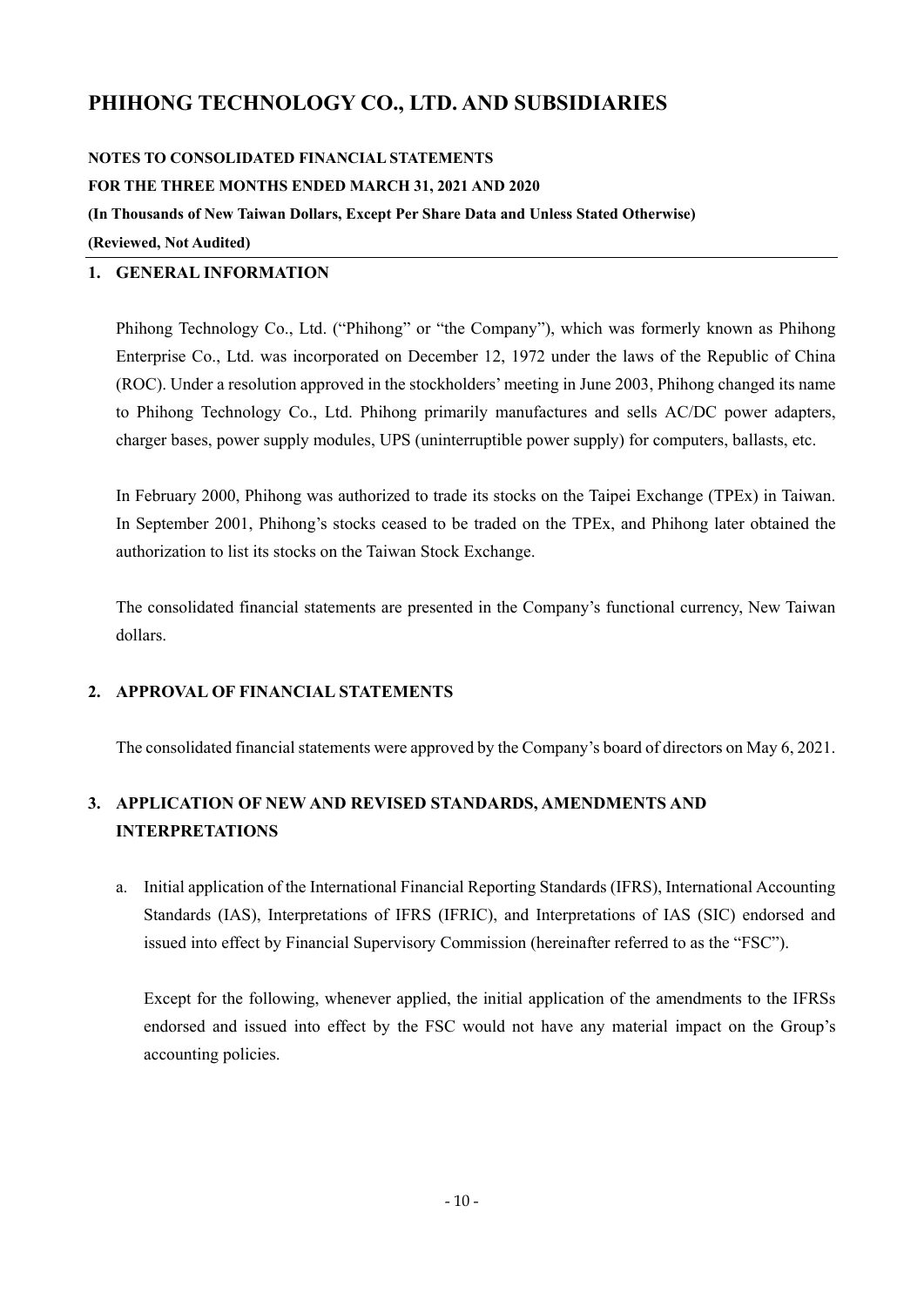### **NOTES TO CONSOLIDATED FINANCIAL STATEMENTS**

**FOR THE THREE MONTHS ENDED MARCH 31, 2021 AND 2020** 

**(In Thousands of New Taiwan Dollars, Except Per Share Data and Unless Stated Otherwise)** 

**(Reviewed, Not Audited)** 

### **1. GENERAL INFORMATION**

Phihong Technology Co., Ltd. ("Phihong" or "the Company"), which was formerly known as Phihong Enterprise Co., Ltd. was incorporated on December 12, 1972 under the laws of the Republic of China (ROC). Under a resolution approved in the stockholders' meeting in June 2003, Phihong changed its name to Phihong Technology Co., Ltd. Phihong primarily manufactures and sells AC/DC power adapters, charger bases, power supply modules, UPS (uninterruptible power supply) for computers, ballasts, etc.

In February 2000, Phihong was authorized to trade its stocks on the Taipei Exchange (TPEx) in Taiwan. In September 2001, Phihong's stocks ceased to be traded on the TPEx, and Phihong later obtained the authorization to list its stocks on the Taiwan Stock Exchange.

The consolidated financial statements are presented in the Company's functional currency, New Taiwan dollars.

### **2. APPROVAL OF FINANCIAL STATEMENTS**

The consolidated financial statements were approved by the Company's board of directors on May 6, 2021.

# **3. APPLICATION OF NEW AND REVISED STANDARDS, AMENDMENTS AND INTERPRETATIONS**

a. Initial application of the International Financial Reporting Standards (IFRS), International Accounting Standards (IAS), Interpretations of IFRS (IFRIC), and Interpretations of IAS (SIC) endorsed and issued into effect by Financial Supervisory Commission (hereinafter referred to as the "FSC").

Except for the following, whenever applied, the initial application of the amendments to the IFRSs endorsed and issued into effect by the FSC would not have any material impact on the Group's accounting policies.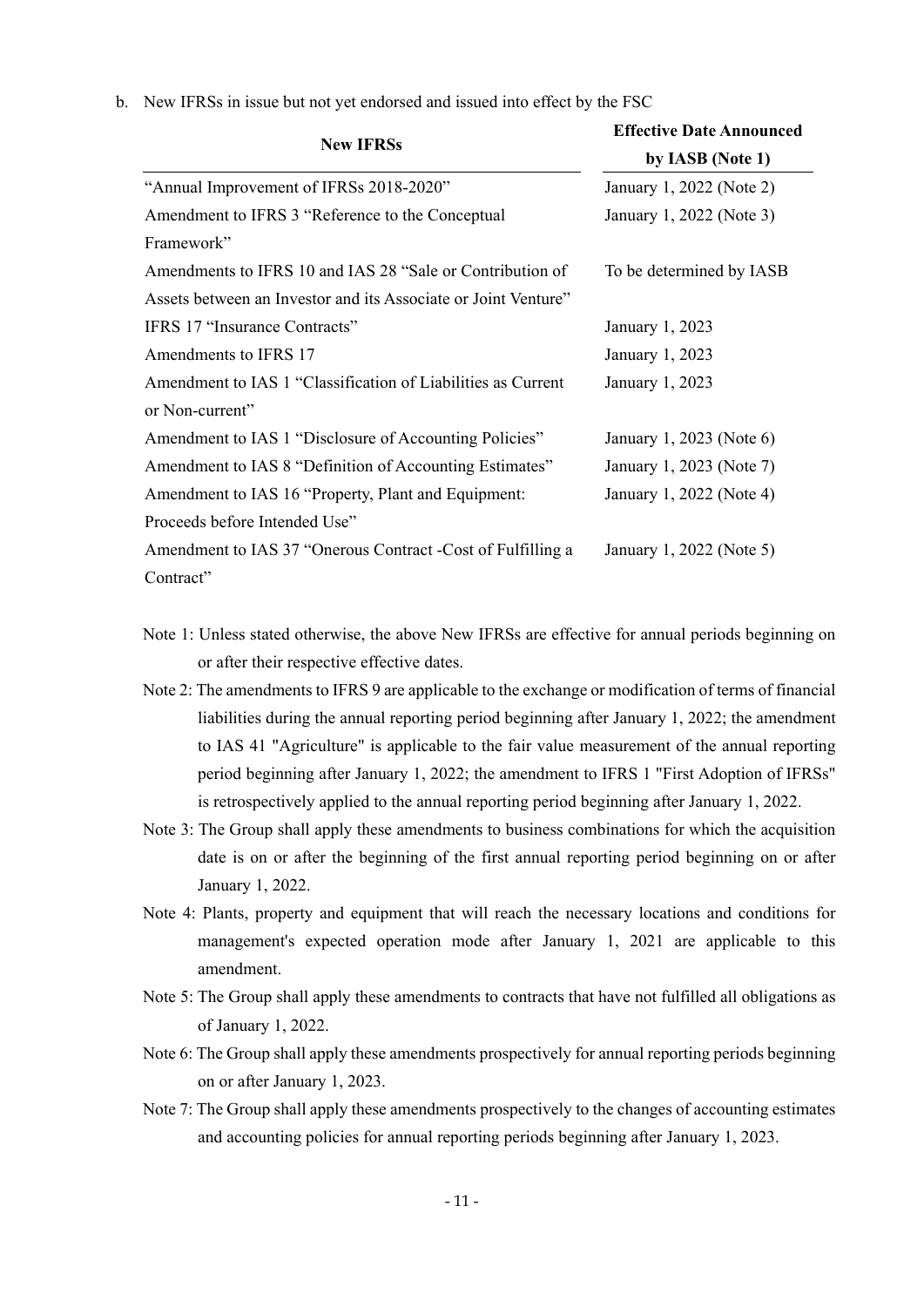| b. New IFRSs in issue but not yet endorsed and issued into effect by the FSC |  |  |  |  |  |
|------------------------------------------------------------------------------|--|--|--|--|--|
|                                                                              |  |  |  |  |  |

| <b>New IFRSs</b>                                               | <b>Effective Date Announced</b><br>by IASB (Note 1) |
|----------------------------------------------------------------|-----------------------------------------------------|
| "Annual Improvement of IFRSs 2018-2020"                        | January 1, 2022 (Note 2)                            |
| Amendment to IFRS 3 "Reference to the Conceptual               | January 1, 2022 (Note 3)                            |
| Framework"                                                     |                                                     |
| Amendments to IFRS 10 and IAS 28 "Sale or Contribution of      | To be determined by IASB                            |
| Assets between an Investor and its Associate or Joint Venture" |                                                     |
| IFRS 17 "Insurance Contracts"                                  | January 1, 2023                                     |
| Amendments to IFRS 17                                          | January 1, 2023                                     |
| Amendment to IAS 1 "Classification of Liabilities as Current   | January 1, 2023                                     |
| or Non-current"                                                |                                                     |
| Amendment to IAS 1 "Disclosure of Accounting Policies"         | January 1, 2023 (Note 6)                            |
| Amendment to IAS 8 "Definition of Accounting Estimates"        | January 1, 2023 (Note 7)                            |
| Amendment to IAS 16 "Property, Plant and Equipment:            | January 1, 2022 (Note 4)                            |
| Proceeds before Intended Use"                                  |                                                     |
| Amendment to IAS 37 "Onerous Contract - Cost of Fulfilling a   | January 1, 2022 (Note 5)                            |
| Contract"                                                      |                                                     |

- Note 1: Unless stated otherwise, the above New IFRSs are effective for annual periods beginning on or after their respective effective dates.
- Note 2: The amendments to IFRS 9 are applicable to the exchange or modification of terms of financial liabilities during the annual reporting period beginning after January 1, 2022; the amendment to IAS 41 "Agriculture" is applicable to the fair value measurement of the annual reporting period beginning after January 1, 2022; the amendment to IFRS 1 "First Adoption of IFRSs" is retrospectively applied to the annual reporting period beginning after January 1, 2022.
- Note 3: The Group shall apply these amendments to business combinations for which the acquisition date is on or after the beginning of the first annual reporting period beginning on or after January 1, 2022.
- Note 4: Plants, property and equipment that will reach the necessary locations and conditions for management's expected operation mode after January 1, 2021 are applicable to this amendment.
- Note 5: The Group shall apply these amendments to contracts that have not fulfilled all obligations as of January 1, 2022.
- Note 6: The Group shall apply these amendments prospectively for annual reporting periods beginning on or after January 1, 2023.
- Note 7: The Group shall apply these amendments prospectively to the changes of accounting estimates and accounting policies for annual reporting periods beginning after January 1, 2023.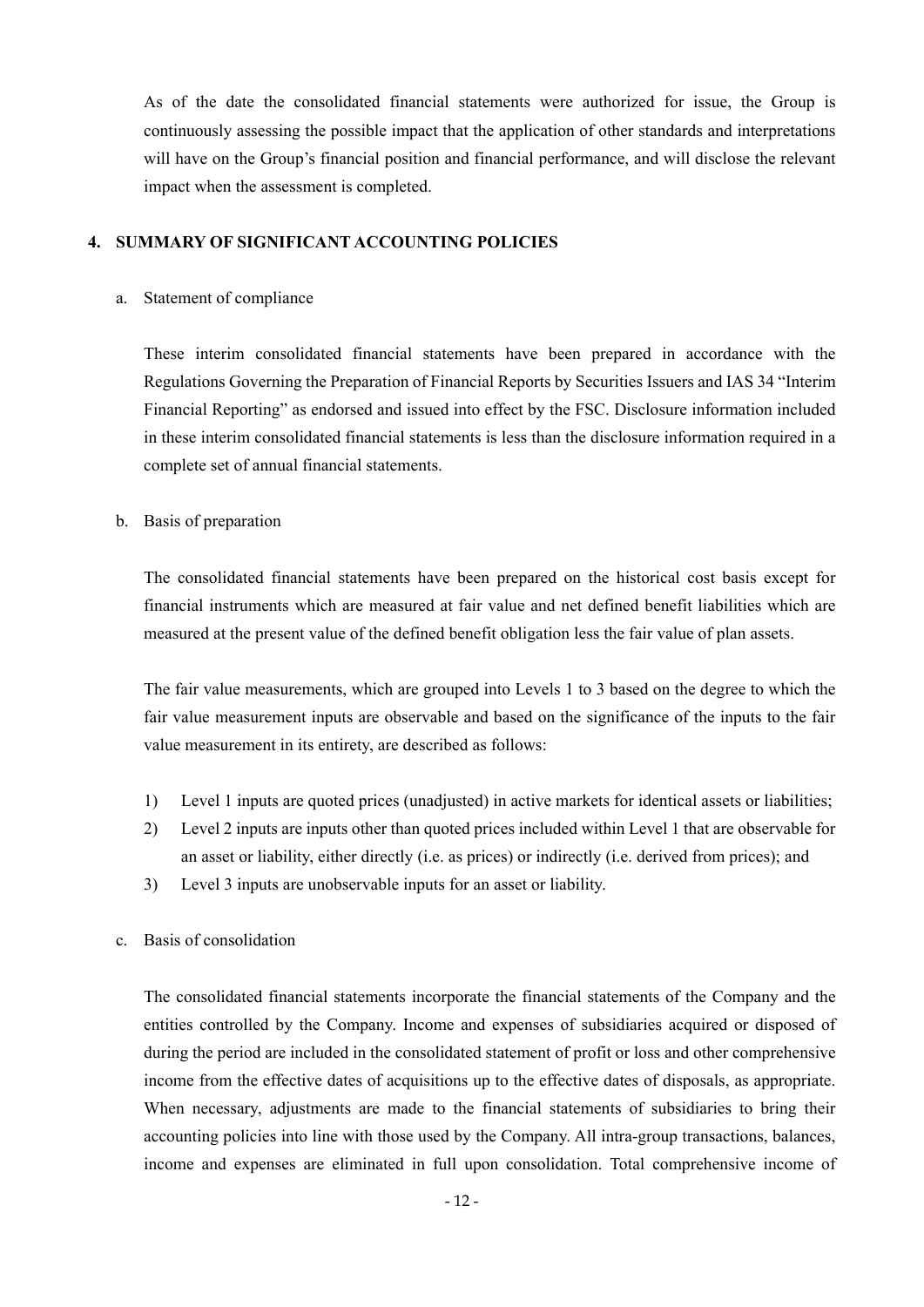As of the date the consolidated financial statements were authorized for issue, the Group is continuously assessing the possible impact that the application of other standards and interpretations will have on the Group's financial position and financial performance, and will disclose the relevant impact when the assessment is completed.

### **4. SUMMARY OF SIGNIFICANT ACCOUNTING POLICIES**

### a. Statement of compliance

These interim consolidated financial statements have been prepared in accordance with the Regulations Governing the Preparation of Financial Reports by Securities Issuers and IAS 34 "Interim Financial Reporting" as endorsed and issued into effect by the FSC. Disclosure information included in these interim consolidated financial statements is less than the disclosure information required in a complete set of annual financial statements.

#### b. Basis of preparation

The consolidated financial statements have been prepared on the historical cost basis except for financial instruments which are measured at fair value and net defined benefit liabilities which are measured at the present value of the defined benefit obligation less the fair value of plan assets.

The fair value measurements, which are grouped into Levels 1 to 3 based on the degree to which the fair value measurement inputs are observable and based on the significance of the inputs to the fair value measurement in its entirety, are described as follows:

- 1) Level 1 inputs are quoted prices (unadjusted) in active markets for identical assets or liabilities;
- 2) Level 2 inputs are inputs other than quoted prices included within Level 1 that are observable for an asset or liability, either directly (i.e. as prices) or indirectly (i.e. derived from prices); and
- 3) Level 3 inputs are unobservable inputs for an asset or liability.
- c. Basis of consolidation

The consolidated financial statements incorporate the financial statements of the Company and the entities controlled by the Company. Income and expenses of subsidiaries acquired or disposed of during the period are included in the consolidated statement of profit or loss and other comprehensive income from the effective dates of acquisitions up to the effective dates of disposals, as appropriate. When necessary, adjustments are made to the financial statements of subsidiaries to bring their accounting policies into line with those used by the Company. All intra-group transactions, balances, income and expenses are eliminated in full upon consolidation. Total comprehensive income of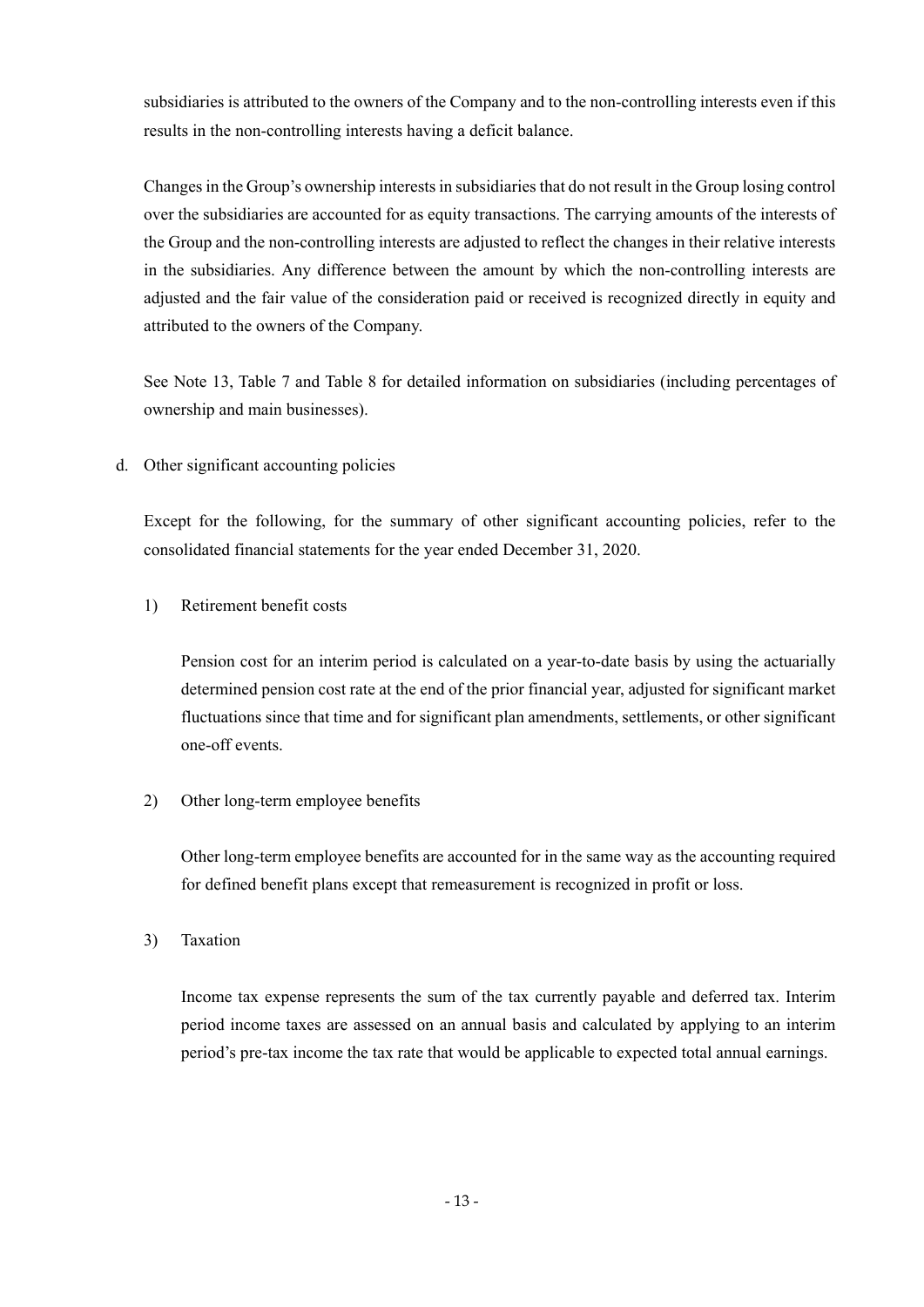subsidiaries is attributed to the owners of the Company and to the non-controlling interests even if this results in the non-controlling interests having a deficit balance.

Changes in the Group's ownership interests in subsidiaries that do not result in the Group losing control over the subsidiaries are accounted for as equity transactions. The carrying amounts of the interests of the Group and the non-controlling interests are adjusted to reflect the changes in their relative interests in the subsidiaries. Any difference between the amount by which the non-controlling interests are adjusted and the fair value of the consideration paid or received is recognized directly in equity and attributed to the owners of the Company.

See Note 13, Table 7 and Table 8 for detailed information on subsidiaries (including percentages of ownership and main businesses).

d. Other significant accounting policies

Except for the following, for the summary of other significant accounting policies, refer to the consolidated financial statements for the year ended December 31, 2020.

1) Retirement benefit costs

Pension cost for an interim period is calculated on a year-to-date basis by using the actuarially determined pension cost rate at the end of the prior financial year, adjusted for significant market fluctuations since that time and for significant plan amendments, settlements, or other significant one-off events.

2) Other long-term employee benefits

Other long-term employee benefits are accounted for in the same way as the accounting required for defined benefit plans except that remeasurement is recognized in profit or loss.

3) Taxation

Income tax expense represents the sum of the tax currently payable and deferred tax. Interim period income taxes are assessed on an annual basis and calculated by applying to an interim period's pre-tax income the tax rate that would be applicable to expected total annual earnings.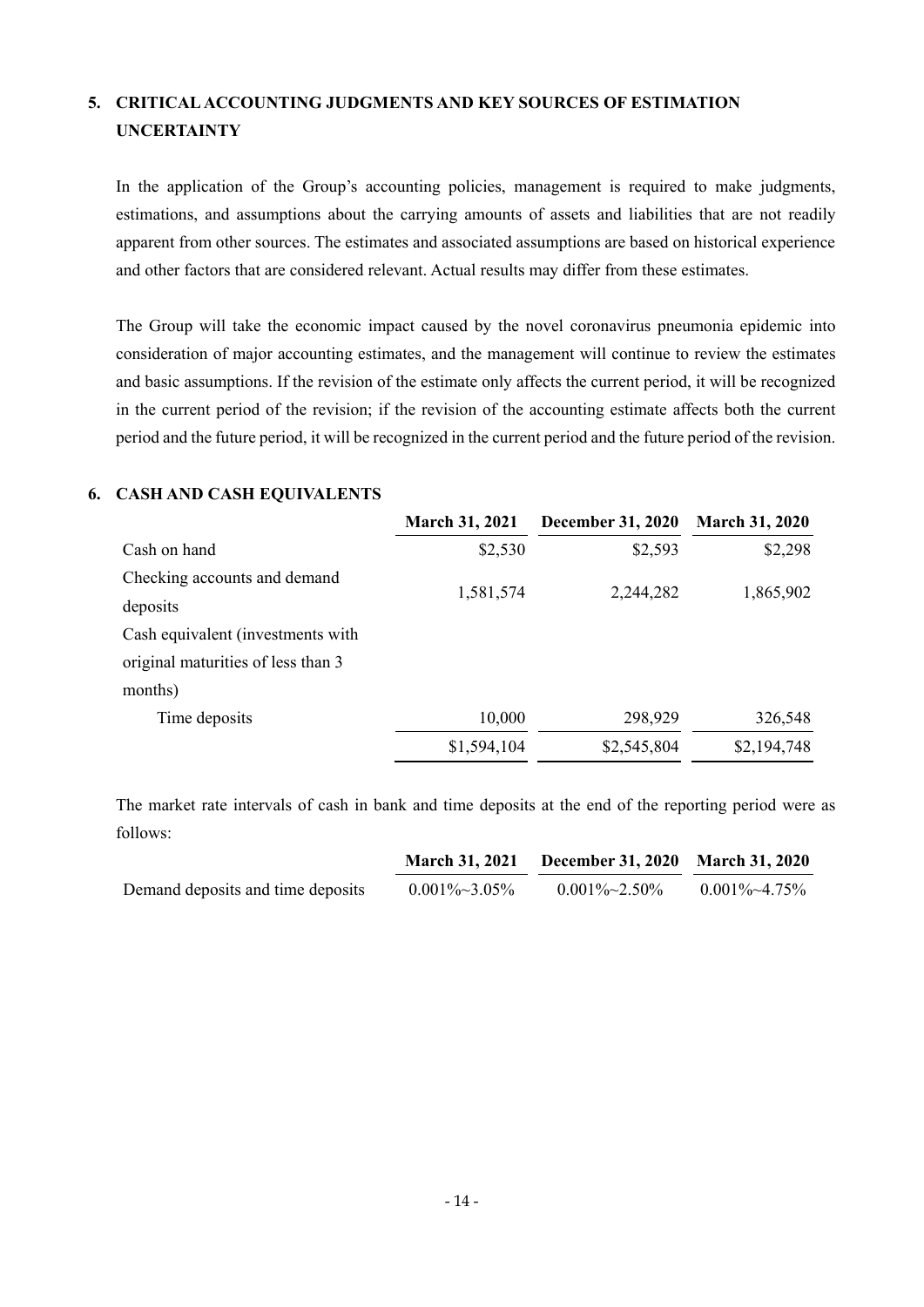# **5. CRITICAL ACCOUNTING JUDGMENTS AND KEY SOURCES OF ESTIMATION UNCERTAINTY**

In the application of the Group's accounting policies, management is required to make judgments, estimations, and assumptions about the carrying amounts of assets and liabilities that are not readily apparent from other sources. The estimates and associated assumptions are based on historical experience and other factors that are considered relevant. Actual results may differ from these estimates.

The Group will take the economic impact caused by the novel coronavirus pneumonia epidemic into consideration of major accounting estimates, and the management will continue to review the estimates and basic assumptions. If the revision of the estimate only affects the current period, it will be recognized in the current period of the revision; if the revision of the accounting estimate affects both the current period and the future period, it will be recognized in the current period and the future period of the revision.

### **6. CASH AND CASH EQUIVALENTS**

|                                    | <b>March 31, 2021</b> | <b>December 31, 2020</b> | <b>March 31, 2020</b> |
|------------------------------------|-----------------------|--------------------------|-----------------------|
| Cash on hand                       | \$2,530               | \$2,593                  | \$2,298               |
| Checking accounts and demand       |                       |                          |                       |
| deposits                           | 1,581,574             | 2,244,282                | 1,865,902             |
| Cash equivalent (investments with  |                       |                          |                       |
| original maturities of less than 3 |                       |                          |                       |
| months)                            |                       |                          |                       |
| Time deposits                      | 10,000                | 298,929                  | 326,548               |
|                                    | \$1,594,104           | \$2,545,804              | \$2,194,748           |

The market rate intervals of cash in bank and time deposits at the end of the reporting period were as follows:

|                                   | <b>March 31, 2021</b> | December 31, 2020 March 31, 2020 |                       |
|-----------------------------------|-----------------------|----------------------------------|-----------------------|
| Demand deposits and time deposits | $0.001\% \sim 3.05\%$ | $0.001\%~2.50\%$                 | $0.001\% \sim 4.75\%$ |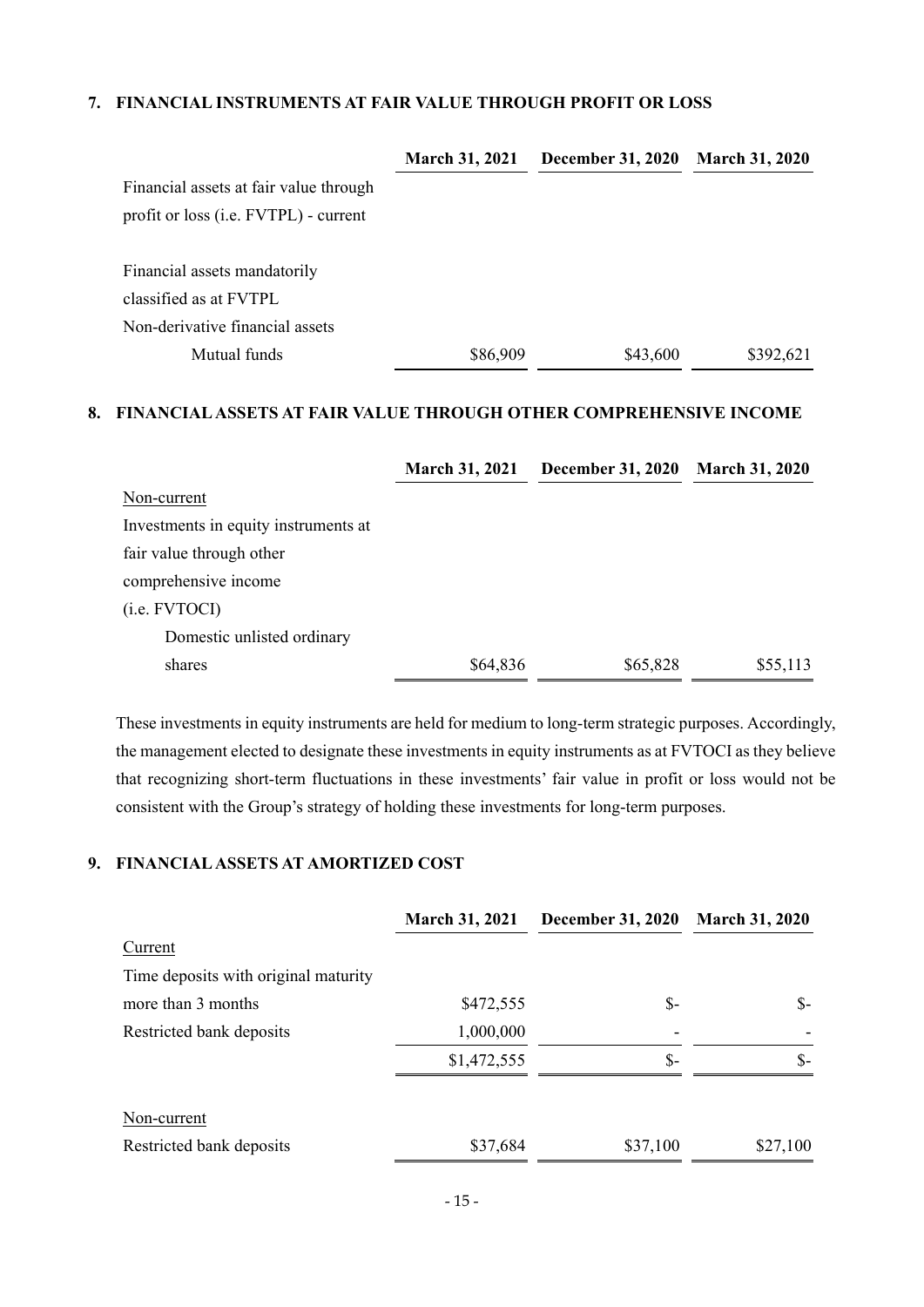### **7. FINANCIAL INSTRUMENTS AT FAIR VALUE THROUGH PROFIT OR LOSS**

|                                               | <b>March 31, 2021</b> | <b>December 31, 2020</b> | <b>March 31, 2020</b> |
|-----------------------------------------------|-----------------------|--------------------------|-----------------------|
| Financial assets at fair value through        |                       |                          |                       |
| profit or loss ( <i>i.e.</i> FVTPL) - current |                       |                          |                       |
| Financial assets mandatorily                  |                       |                          |                       |
| classified as at FVTPL                        |                       |                          |                       |
| Non-derivative financial assets               |                       |                          |                       |
| Mutual funds                                  | \$86,909              | \$43,600                 | \$392,621             |

### **8. FINANCIAL ASSETS AT FAIR VALUE THROUGH OTHER COMPREHENSIVE INCOME**

|                                      | <b>March 31, 2021</b> | <b>December 31, 2020</b> | <b>March 31, 2020</b> |
|--------------------------------------|-----------------------|--------------------------|-----------------------|
| Non-current                          |                       |                          |                       |
| Investments in equity instruments at |                       |                          |                       |
| fair value through other             |                       |                          |                       |
| comprehensive income                 |                       |                          |                       |
| ( <i>i.e.</i> FVTOCI)                |                       |                          |                       |
| Domestic unlisted ordinary           |                       |                          |                       |
| shares                               | \$64,836              | \$65,828                 | \$55,113              |

These investments in equity instruments are held for medium to long-term strategic purposes. Accordingly, the management elected to designate these investments in equity instruments as at FVTOCI as they believe that recognizing short-term fluctuations in these investments' fair value in profit or loss would not be consistent with the Group's strategy of holding these investments for long-term purposes.

## **9. FINANCIAL ASSETS AT AMORTIZED COST**

|                                      | <b>March 31, 2021</b> | <b>December 31, 2020</b> | <b>March 31, 2020</b> |
|--------------------------------------|-----------------------|--------------------------|-----------------------|
| Current                              |                       |                          |                       |
| Time deposits with original maturity |                       |                          |                       |
| more than 3 months                   | \$472,555             | $S-$                     | $S-$                  |
| Restricted bank deposits             | 1,000,000             |                          |                       |
|                                      | \$1,472,555           | $S-$                     | $S-$                  |
| Non-current                          |                       |                          |                       |
| Restricted bank deposits             | \$37,684              | \$37,100                 | \$27,100              |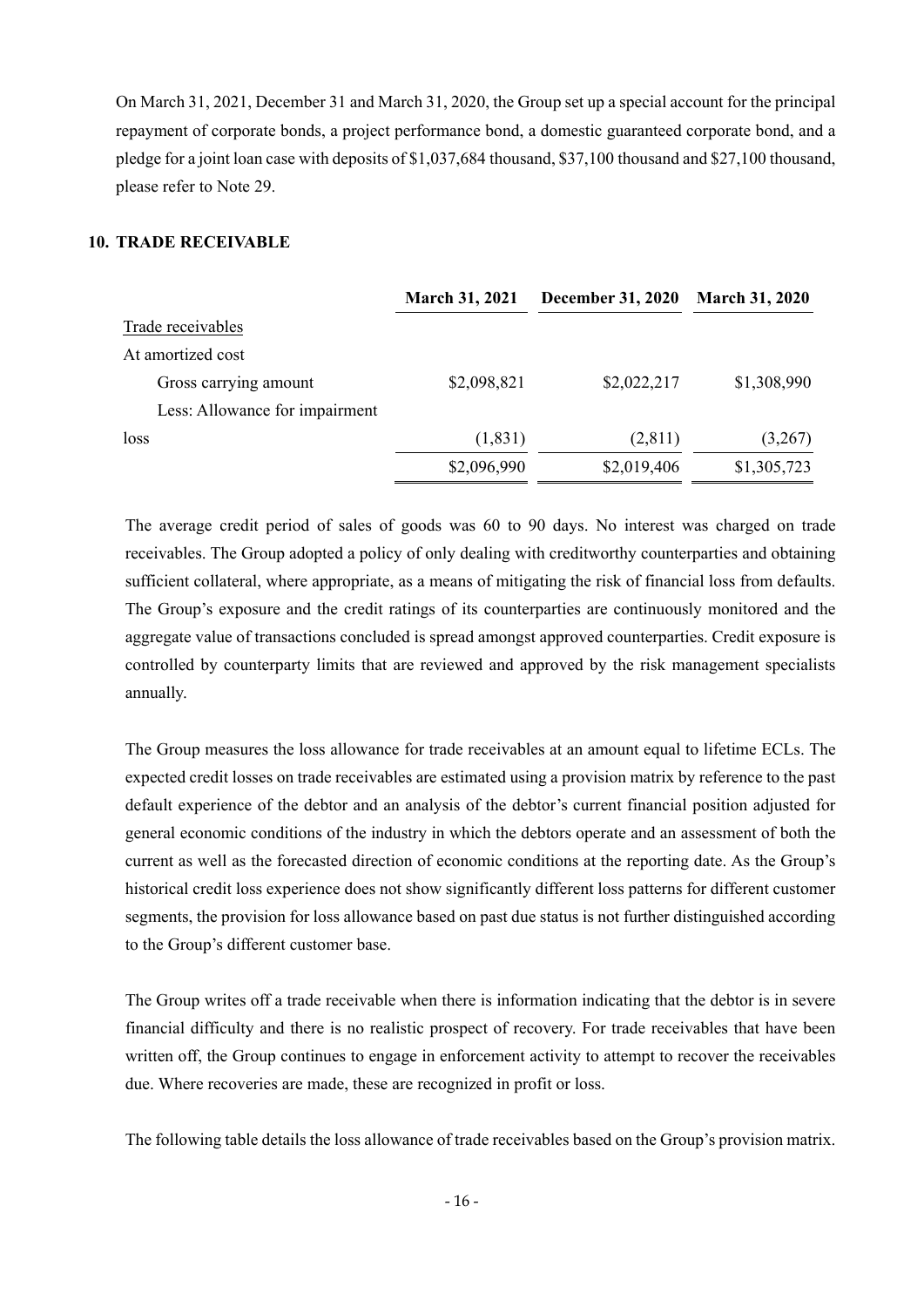On March 31, 2021, December 31 and March 31, 2020, the Group set up a special account for the principal repayment of corporate bonds, a project performance bond, a domestic guaranteed corporate bond, and a pledge for a joint loan case with deposits of \$1,037,684 thousand, \$37,100 thousand and \$27,100 thousand, please refer to Note 29.

### **10. TRADE RECEIVABLE**

|                                | <b>March 31, 2021</b> | <b>December 31, 2020</b> | <b>March 31, 2020</b> |
|--------------------------------|-----------------------|--------------------------|-----------------------|
| Trade receivables              |                       |                          |                       |
| At amortized cost              |                       |                          |                       |
| Gross carrying amount          | \$2,098,821           | \$2,022,217              | \$1,308,990           |
| Less: Allowance for impairment |                       |                          |                       |
| loss                           | (1,831)               | (2,811)                  | (3,267)               |
|                                | \$2,096,990           | \$2,019,406              | \$1,305,723           |

The average credit period of sales of goods was 60 to 90 days. No interest was charged on trade receivables. The Group adopted a policy of only dealing with creditworthy counterparties and obtaining sufficient collateral, where appropriate, as a means of mitigating the risk of financial loss from defaults. The Group's exposure and the credit ratings of its counterparties are continuously monitored and the aggregate value of transactions concluded is spread amongst approved counterparties. Credit exposure is controlled by counterparty limits that are reviewed and approved by the risk management specialists annually.

The Group measures the loss allowance for trade receivables at an amount equal to lifetime ECLs. The expected credit losses on trade receivables are estimated using a provision matrix by reference to the past default experience of the debtor and an analysis of the debtor's current financial position adjusted for general economic conditions of the industry in which the debtors operate and an assessment of both the current as well as the forecasted direction of economic conditions at the reporting date. As the Group's historical credit loss experience does not show significantly different loss patterns for different customer segments, the provision for loss allowance based on past due status is not further distinguished according to the Group's different customer base.

The Group writes off a trade receivable when there is information indicating that the debtor is in severe financial difficulty and there is no realistic prospect of recovery. For trade receivables that have been written off, the Group continues to engage in enforcement activity to attempt to recover the receivables due. Where recoveries are made, these are recognized in profit or loss.

The following table details the loss allowance of trade receivables based on the Group's provision matrix.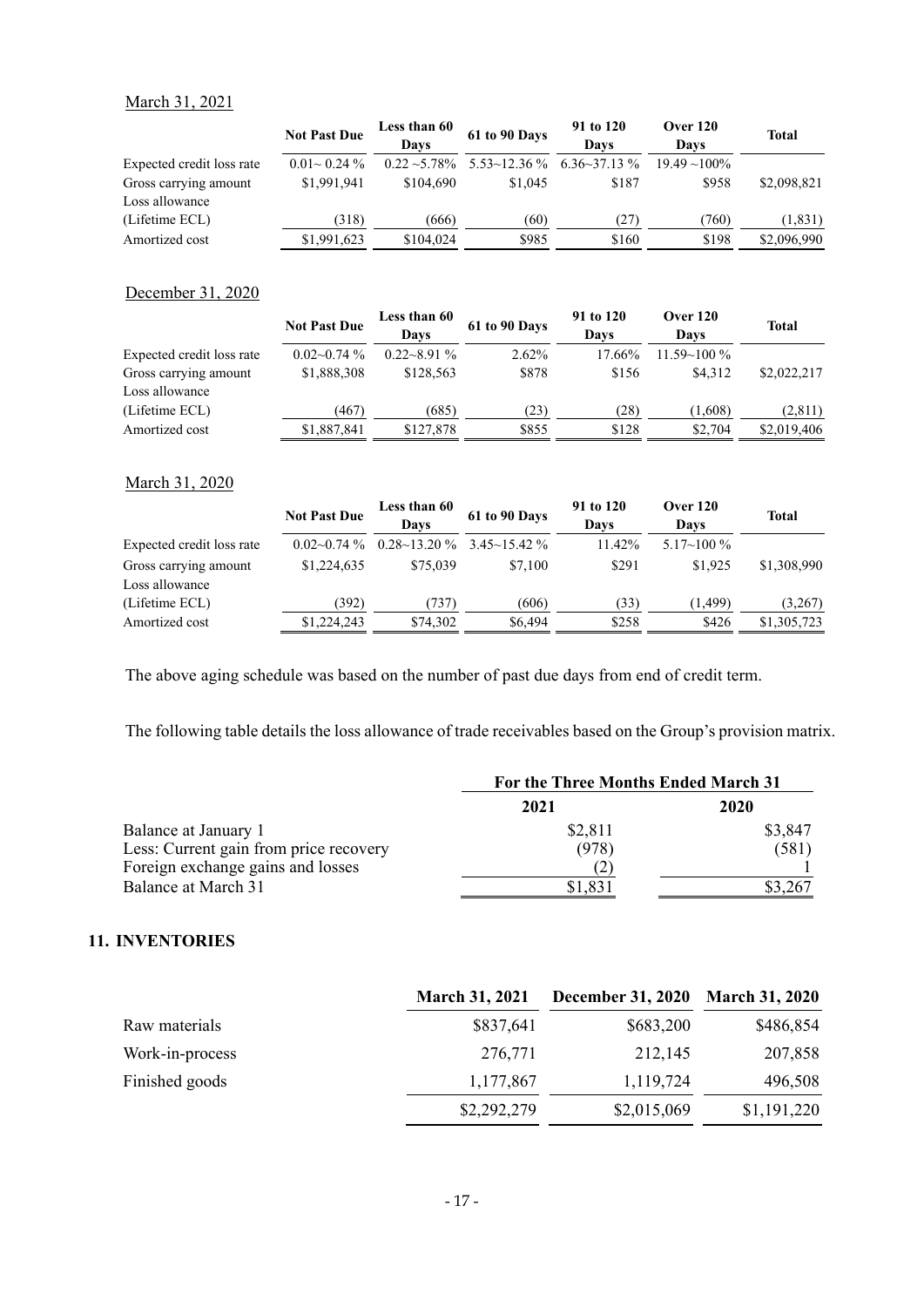### March 31, 2021

|                           | <b>Not Past Due</b> | Less than 60    | 61 to 90 Days        | 91 to 120                  | <b>Over 120</b> | <b>Total</b> |
|---------------------------|---------------------|-----------------|----------------------|----------------------------|-----------------|--------------|
|                           |                     | Davs            |                      | Davs                       | Davs            |              |
| Expected credit loss rate | $0.01 \sim 0.24 \%$ | $0.22 - 5.78\%$ | $5.53 \sim 12.36 \%$ | $6.36 \rightarrow 37.13\%$ | $19.49 - 100\%$ |              |
| Gross carrying amount     | \$1,991,941         | \$104,690       | \$1,045              | \$187                      | \$958           | \$2,098,821  |
| Loss allowance            |                     |                 |                      |                            |                 |              |
| (Lifetime ECL)            | (318)               | (666)           | (60)                 | (27)                       | (760)           | (1, 831)     |
| Amortized cost            | \$1,991,623         | \$104,024       | \$985                | \$160                      | \$198           | \$2,096,990  |

### December 31, 2020

|                           | <b>Not Past Due</b> | <b>Less than 60</b><br>Davs | 61 to 90 Days | 91 to 120<br>Davs | <b>Over 120</b><br>Davs | <b>Total</b> |
|---------------------------|---------------------|-----------------------------|---------------|-------------------|-------------------------|--------------|
| Expected credit loss rate | $0.02~0.74\%$       | $0.22 - 8.91\%$             | $2.62\%$      | 17.66%            | $11.59 - 100\%$         |              |
| Gross carrying amount     | \$1,888,308         | \$128,563                   | \$878         | \$156             | \$4.312                 | \$2,022,217  |
| Loss allowance            |                     |                             |               |                   |                         |              |
| (Lifetime ECL)            | (467)               | (685)                       | (23)          | (28)              | (1,608)                 | (2,811)      |
| Amortized cost            | \$1,887,841         | \$127,878                   | \$855         | \$128             | \$2,704                 | \$2,019,406  |

#### March 31, 2020

|                           | <b>Not Past Due</b> | Less than 60<br>Davs | 61 to 90 Days                             | 91 to 120<br>Davs | Over 120<br>Davs   | <b>Total</b> |
|---------------------------|---------------------|----------------------|-------------------------------------------|-------------------|--------------------|--------------|
| Expected credit loss rate | $0.02~0.74\%$       |                      | $0.28 \sim 13.20 \%$ 3.45 $\sim 15.42 \%$ | 11.42%            | $5.17 \sim 100 \%$ |              |
| Gross carrying amount     | \$1,224,635         | \$75,039             | \$7,100                                   | \$291             | \$1,925            | \$1,308,990  |
| Loss allowance            |                     |                      |                                           |                   |                    |              |
| (Lifetime ECL)            | (392)               | (737)                | (606)                                     | 33)               | (1, 499)           | (3,267)      |
| Amortized cost            | \$1,224,243         | \$74,302             | \$6,494                                   | \$258             | \$426              | \$1,305,723  |

The above aging schedule was based on the number of past due days from end of credit term.

The following table details the loss allowance of trade receivables based on the Group's provision matrix.

|                                        | For the Three Months Ended March 31 |         |  |
|----------------------------------------|-------------------------------------|---------|--|
|                                        | 2021                                | 2020    |  |
| Balance at January 1                   | \$2,811                             | \$3,847 |  |
| Less: Current gain from price recovery | (978)                               | (581)   |  |
| Foreign exchange gains and losses      |                                     |         |  |
| Balance at March 31                    | \$1,831                             | 3.267   |  |

#### **11. INVENTORIES**

|                 | <b>March 31, 2021</b> | <b>December 31, 2020</b> | <b>March 31, 2020</b> |
|-----------------|-----------------------|--------------------------|-----------------------|
| Raw materials   | \$837,641             | \$683,200                | \$486,854             |
| Work-in-process | 276,771               | 212,145                  | 207,858               |
| Finished goods  | 1,177,867             | 1,119,724                | 496,508               |
|                 | \$2,292,279           | \$2,015,069              | \$1,191,220           |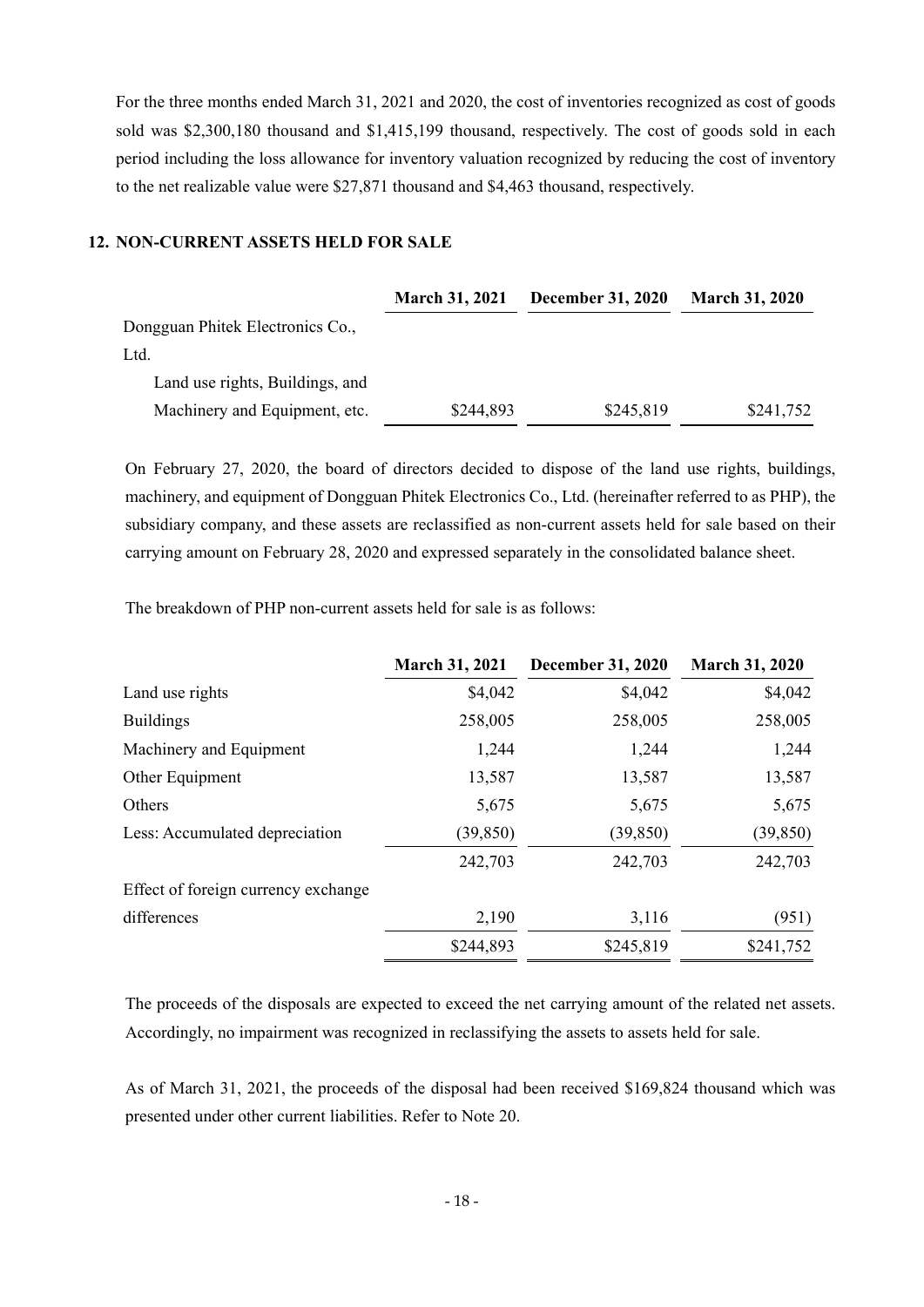For the three months ended March 31, 2021 and 2020, the cost of inventories recognized as cost of goods sold was \$2,300,180 thousand and \$1,415,199 thousand, respectively. The cost of goods sold in each period including the loss allowance for inventory valuation recognized by reducing the cost of inventory to the net realizable value were \$27,871 thousand and \$4,463 thousand, respectively.

### **12. NON-CURRENT ASSETS HELD FOR SALE**

|                                  | <b>March 31, 2021</b> | <b>December 31, 2020</b> | <b>March 31, 2020</b> |
|----------------------------------|-----------------------|--------------------------|-----------------------|
| Dongguan Phitek Electronics Co., |                       |                          |                       |
| Ltd.                             |                       |                          |                       |
| Land use rights, Buildings, and  |                       |                          |                       |
| Machinery and Equipment, etc.    | \$244,893             | \$245,819                | \$241,752             |
|                                  |                       |                          |                       |

On February 27, 2020, the board of directors decided to dispose of the land use rights, buildings, machinery, and equipment of Dongguan Phitek Electronics Co., Ltd. (hereinafter referred to as PHP), the subsidiary company, and these assets are reclassified as non-current assets held for sale based on their carrying amount on February 28, 2020 and expressed separately in the consolidated balance sheet.

The breakdown of PHP non-current assets held for sale is as follows:

| <b>March 31, 2021</b> | <b>December 31, 2020</b> | <b>March 31, 2020</b> |
|-----------------------|--------------------------|-----------------------|
| \$4,042               | \$4,042                  | \$4,042               |
| 258,005               | 258,005                  | 258,005               |
| 1,244                 | 1,244                    | 1,244                 |
| 13,587                | 13,587                   | 13,587                |
| 5,675                 | 5,675                    | 5,675                 |
| (39, 850)             | (39, 850)                | (39, 850)             |
| 242,703               | 242,703                  | 242,703               |
|                       |                          |                       |
| 2,190                 | 3,116                    | (951)                 |
| \$244,893             | \$245,819                | \$241,752             |
|                       |                          |                       |

The proceeds of the disposals are expected to exceed the net carrying amount of the related net assets. Accordingly, no impairment was recognized in reclassifying the assets to assets held for sale.

As of March 31, 2021, the proceeds of the disposal had been received \$169,824 thousand which was presented under other current liabilities. Refer to Note 20.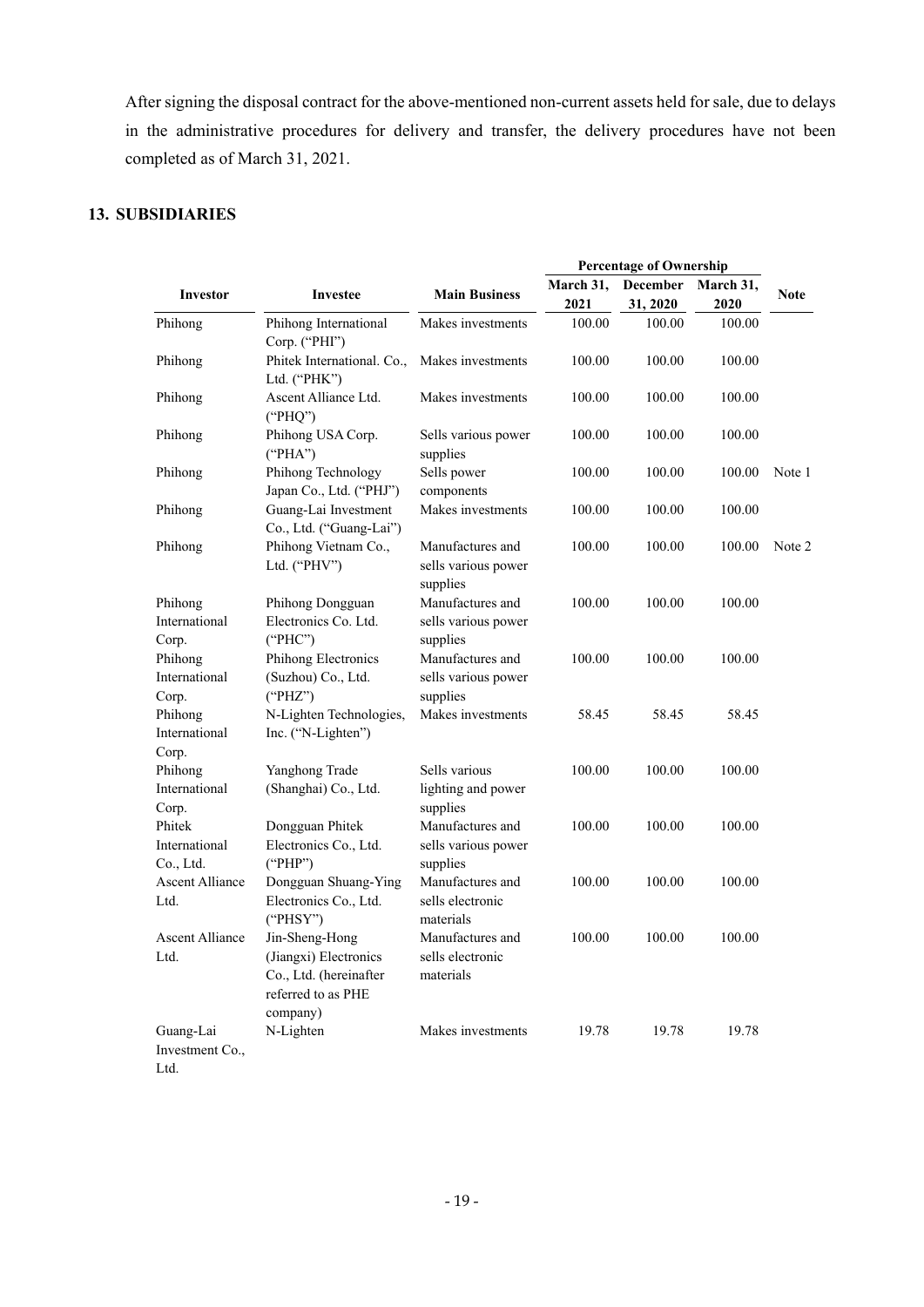After signing the disposal contract for the above-mentioned non-current assets held for sale, due to delays in the administrative procedures for delivery and transfer, the delivery procedures have not been completed as of March 31, 2021.

# **13. SUBSIDIARIES**

|                                            |                                                                                                     |                                                     |                   | <b>Percentage of Ownership</b> |                   |             |
|--------------------------------------------|-----------------------------------------------------------------------------------------------------|-----------------------------------------------------|-------------------|--------------------------------|-------------------|-------------|
| Investor                                   | Investee                                                                                            | <b>Main Business</b>                                | March 31,<br>2021 | December<br>31, 2020           | March 31,<br>2020 | <b>Note</b> |
| Phihong                                    | Phihong International<br>Corp. ("PHI")                                                              | Makes investments                                   | 100.00            | 100.00                         | 100.00            |             |
| Phihong                                    | Phitek International. Co.,<br>Ltd. ("PHK")                                                          | Makes investments                                   | 100.00            | 100.00                         | 100.00            |             |
| Phihong                                    | Ascent Alliance Ltd.<br>("PHQ")                                                                     | Makes investments                                   | 100.00            | 100.00                         | 100.00            |             |
| Phihong                                    | Phihong USA Corp.<br>("PHA")                                                                        | Sells various power<br>supplies                     | 100.00            | 100.00                         | 100.00            |             |
| Phihong                                    | Phihong Technology<br>Japan Co., Ltd. ("PHJ")                                                       | Sells power<br>components                           | 100.00            | 100.00                         | 100.00            | Note 1      |
| Phihong                                    | Guang-Lai Investment<br>Co., Ltd. ("Guang-Lai")                                                     | Makes investments                                   | 100.00            | 100.00                         | 100.00            |             |
| Phihong                                    | Phihong Vietnam Co.,<br>Ltd. ("PHV")                                                                | Manufactures and<br>sells various power<br>supplies | 100.00            | 100.00                         | 100.00            | Note 2      |
| Phihong<br>International                   | Phihong Dongguan<br>Electronics Co. Ltd.                                                            | Manufactures and<br>sells various power             | 100.00            | 100.00                         | 100.00            |             |
| Corp.<br>Phihong<br>International          | ("PHC")<br>Phihong Electronics<br>(Suzhou) Co., Ltd.                                                | supplies<br>Manufactures and<br>sells various power | 100.00            | 100.00                         | 100.00            |             |
| Corp.<br>Phihong<br>International<br>Corp. | ("PHZ")<br>N-Lighten Technologies,<br>Inc. ("N-Lighten")                                            | supplies<br>Makes investments                       | 58.45             | 58.45                          | 58.45             |             |
| Phihong<br>International<br>Corp.          | Yanghong Trade<br>(Shanghai) Co., Ltd.                                                              | Sells various<br>lighting and power<br>supplies     | 100.00            | 100.00                         | 100.00            |             |
| Phitek<br>International<br>Co., Ltd.       | Dongguan Phitek<br>Electronics Co., Ltd.<br>("PHP")                                                 | Manufactures and<br>sells various power<br>supplies | 100.00            | 100.00                         | 100.00            |             |
| <b>Ascent Alliance</b><br>Ltd.             | Dongguan Shuang-Ying<br>Electronics Co., Ltd.<br>("PHSY")                                           | Manufactures and<br>sells electronic<br>materials   | 100.00            | 100.00                         | 100.00            |             |
| <b>Ascent Alliance</b><br>Ltd.             | Jin-Sheng-Hong<br>(Jiangxi) Electronics<br>Co., Ltd. (hereinafter<br>referred to as PHE<br>company) | Manufactures and<br>sells electronic<br>materials   | 100.00            | 100.00                         | 100.00            |             |
| Guang-Lai<br>Investment Co.,<br>Ltd.       | N-Lighten                                                                                           | Makes investments                                   | 19.78             | 19.78                          | 19.78             |             |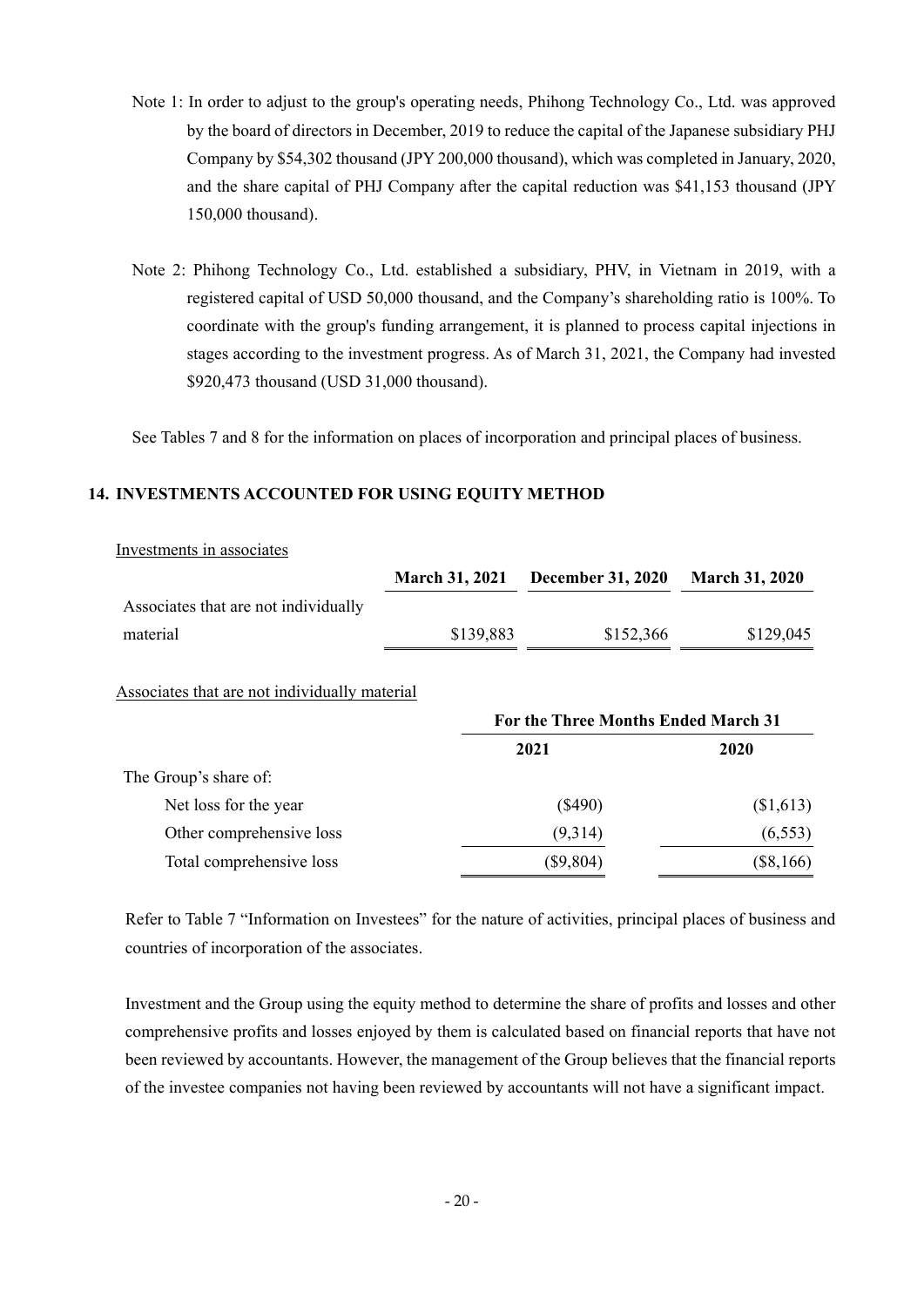- Note 1: In order to adjust to the group's operating needs, Phihong Technology Co., Ltd. was approved by the board of directors in December, 2019 to reduce the capital of the Japanese subsidiary PHJ Company by \$54,302 thousand (JPY 200,000 thousand), which was completed in January, 2020, and the share capital of PHJ Company after the capital reduction was \$41,153 thousand (JPY 150,000 thousand).
- Note 2: Phihong Technology Co., Ltd. established a subsidiary, PHV, in Vietnam in 2019, with a registered capital of USD 50,000 thousand, and the Company's shareholding ratio is 100%. To coordinate with the group's funding arrangement, it is planned to process capital injections in stages according to the investment progress. As of March 31, 2021, the Company had invested \$920,473 thousand (USD 31,000 thousand).

See Tables 7 and 8 for the information on places of incorporation and principal places of business.

### **14. INVESTMENTS ACCOUNTED FOR USING EQUITY METHOD**

| Investments in associates                     |                       |                                     |                       |
|-----------------------------------------------|-----------------------|-------------------------------------|-----------------------|
|                                               | <b>March 31, 2021</b> | <b>December 31, 2020</b>            | <b>March 31, 2020</b> |
| Associates that are not individually          |                       |                                     |                       |
| material                                      | \$139,883             | \$152,366                           | \$129,045             |
| Associates that are not individually material |                       | For the Three Months Ended March 31 |                       |
|                                               |                       | 2021                                | 2020                  |
| The Group's share of:                         |                       |                                     |                       |
| Net loss for the year                         |                       | (\$490)                             | (S1,613)              |

Refer to Table 7 "Information on Investees" for the nature of activities, principal places of business and countries of incorporation of the associates.

Other comprehensive loss (9,314) (6,553) Total comprehensive loss (\$9,804) (\$8,166)

Investment and the Group using the equity method to determine the share of profits and losses and other comprehensive profits and losses enjoyed by them is calculated based on financial reports that have not been reviewed by accountants. However, the management of the Group believes that the financial reports of the investee companies not having been reviewed by accountants will not have a significant impact.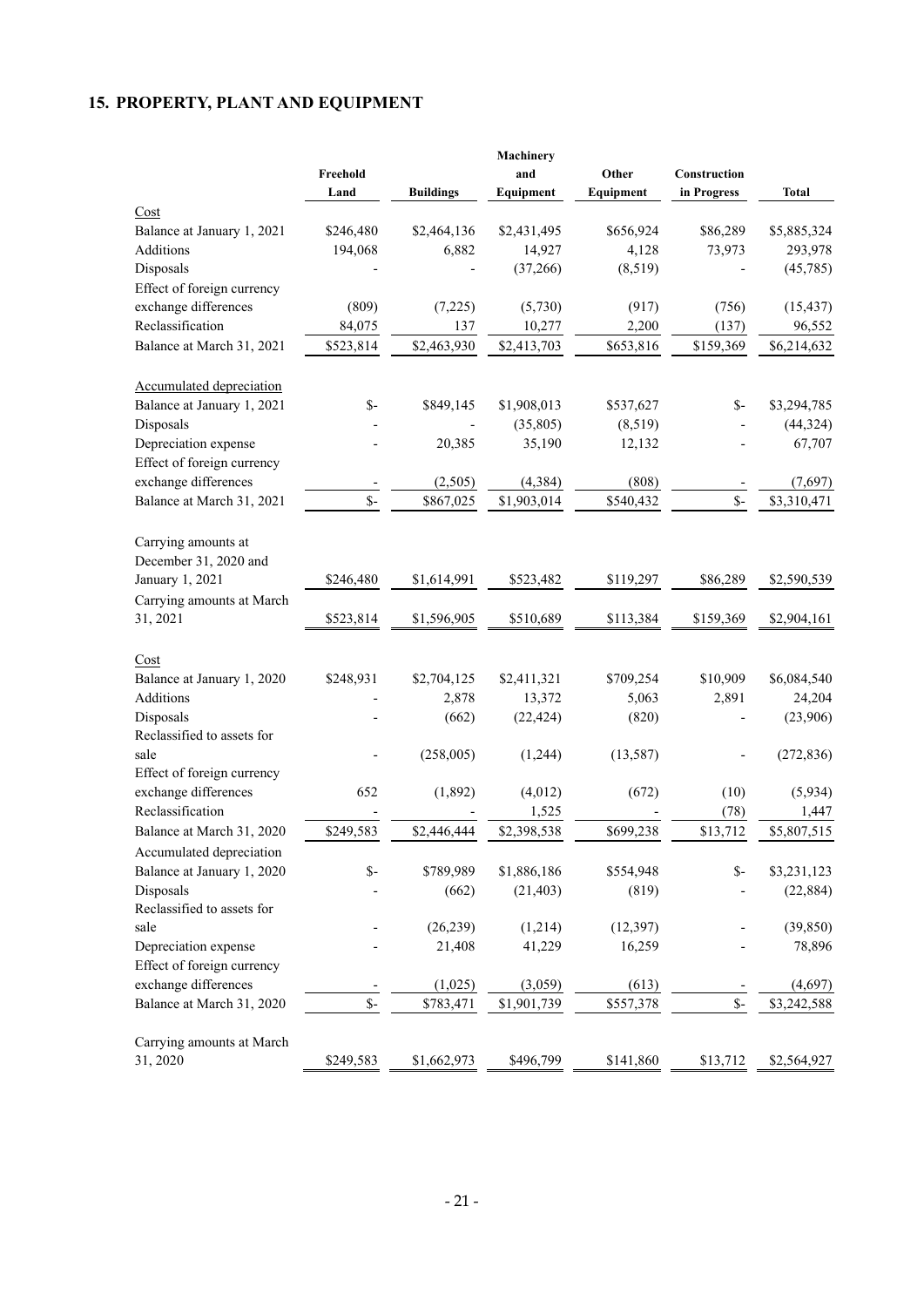# **15. PROPERTY, PLANT AND EQUIPMENT**

|                                 |                |                  | Machinery   |           |                |              |
|---------------------------------|----------------|------------------|-------------|-----------|----------------|--------------|
|                                 | Freehold       |                  | and         | Other     | Construction   |              |
|                                 | Land           | <b>Buildings</b> | Equipment   | Equipment | in Progress    | <b>Total</b> |
| Cost                            |                |                  |             |           |                |              |
| Balance at January 1, 2021      | \$246,480      | \$2,464,136      | \$2,431,495 | \$656,924 | \$86,289       | \$5,885,324  |
| Additions                       | 194,068        | 6,882            | 14,927      | 4,128     | 73,973         | 293,978      |
| Disposals                       |                |                  | (37, 266)   | (8,519)   |                | (45, 785)    |
| Effect of foreign currency      |                |                  |             |           |                |              |
| exchange differences            | (809)          | (7,225)          | (5,730)     | (917)     | (756)          | (15, 437)    |
| Reclassification                | 84,075         | 137              | 10,277      | 2,200     | (137)          | 96,552       |
| Balance at March 31, 2021       | \$523,814      | \$2,463,930      |             | \$653,816 | \$159,369      | \$6,214,632  |
|                                 |                |                  | \$2,413,703 |           |                |              |
| <b>Accumulated depreciation</b> |                |                  |             |           |                |              |
| Balance at January 1, 2021      | $S-$           | \$849,145        | \$1,908,013 | \$537,627 | $S-$           | \$3,294,785  |
| Disposals                       |                |                  | (35,805)    | (8,519)   | $\overline{a}$ | (44, 324)    |
| Depreciation expense            |                | 20,385           | 35,190      | 12,132    |                | 67,707       |
| Effect of foreign currency      |                |                  |             |           |                |              |
| exchange differences            |                | (2,505)          | (4, 384)    | (808)     |                | (7,697)      |
| Balance at March 31, 2021       | \$-            | \$867,025        | \$1,903,014 | \$540,432 | $\mathsf{S}$ - | \$3,310,471  |
|                                 |                |                  |             |           |                |              |
| Carrying amounts at             |                |                  |             |           |                |              |
| December 31, 2020 and           |                |                  |             |           |                |              |
| January 1, 2021                 | \$246,480      | \$1,614,991      | \$523,482   | \$119,297 | \$86,289       | \$2,590,539  |
| Carrying amounts at March       |                |                  |             |           |                |              |
| 31, 2021                        | \$523,814      | \$1,596,905      | \$510,689   | \$113,384 | \$159,369      | \$2,904,161  |
|                                 |                |                  |             |           |                |              |
| Cost                            |                |                  |             |           |                |              |
| Balance at January 1, 2020      | \$248,931      | \$2,704,125      | \$2,411,321 | \$709,254 | \$10,909       | \$6,084,540  |
| Additions                       |                | 2,878            | 13,372      | 5,063     | 2,891          | 24,204       |
| Disposals                       |                | (662)            | (22, 424)   | (820)     |                | (23,906)     |
| Reclassified to assets for      |                |                  |             |           |                |              |
| sale                            |                | (258,005)        | (1,244)     | (13, 587) |                | (272, 836)   |
| Effect of foreign currency      |                |                  |             |           |                |              |
| exchange differences            | 652            | (1,892)          | (4,012)     | (672)     | (10)           | (5,934)      |
| Reclassification                |                |                  | 1,525       |           | (78)           | 1,447        |
| Balance at March 31, 2020       | \$249,583      | \$2,446,444      | \$2,398,538 | \$699,238 | \$13,712       | \$5,807,515  |
| Accumulated depreciation        |                |                  |             |           |                |              |
| Balance at January 1, 2020      | $S-$           | \$789,989        | \$1,886,186 | \$554,948 | $S-$           | \$3,231,123  |
| Disposals                       |                | (662)            | (21, 403)   | (819)     |                | (22, 884)    |
| Reclassified to assets for      |                |                  |             |           |                |              |
|                                 |                |                  |             |           |                |              |
| sale                            |                | (26, 239)        | (1,214)     | (12, 397) |                | (39, 850)    |
| Depreciation expense            |                | 21,408           | 41,229      | 16,259    |                | 78,896       |
| Effect of foreign currency      |                |                  |             |           |                |              |
| exchange differences            |                | (1,025)          | (3,059)     | (613)     |                | (4,697)      |
| Balance at March 31, 2020       | $\mathsf{S}$ - | \$783,471        | \$1,901,739 | \$557,378 | $S-$           | \$3,242,588  |
| Carrying amounts at March       |                |                  |             |           |                |              |
| 31, 2020                        | \$249,583      | \$1,662,973      | \$496,799   | \$141,860 | \$13,712       | \$2,564,927  |
|                                 |                |                  |             |           |                |              |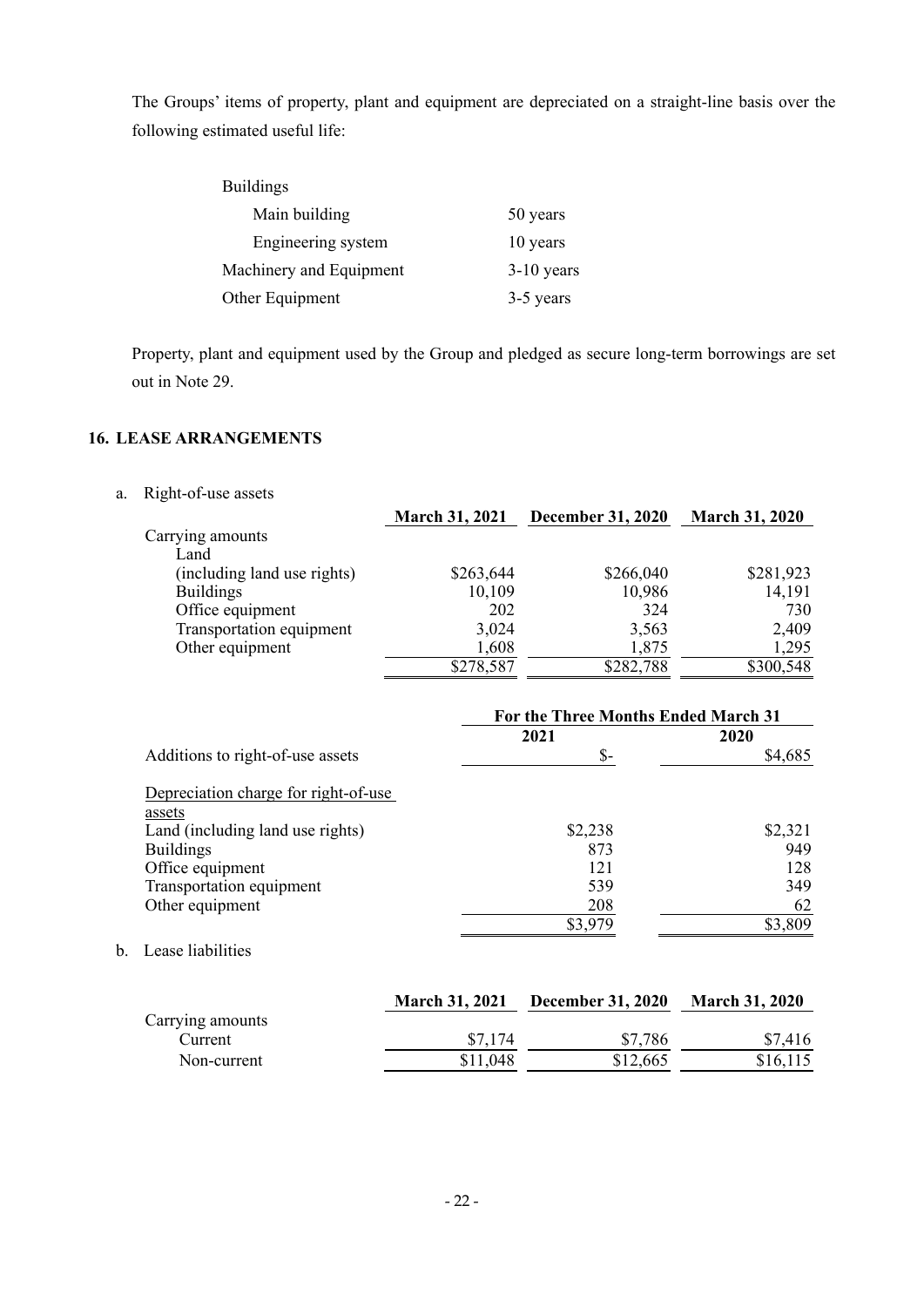The Groups' items of property, plant and equipment are depreciated on a straight-line basis over the following estimated useful life:

| <b>Buildings</b>        |              |
|-------------------------|--------------|
| Main building           | 50 years     |
| Engineering system      | 10 years     |
| Machinery and Equipment | $3-10$ years |
| Other Equipment         | 3-5 years    |

Property, plant and equipment used by the Group and pledged as secure long-term borrowings are set out in Note 29.

### **16. LEASE ARRANGEMENTS**

a. Right-of-use assets

|                             | <b>March 31, 2021</b> | <b>December 31, 2020</b> | <b>March 31, 2020</b> |
|-----------------------------|-----------------------|--------------------------|-----------------------|
| Carrying amounts            |                       |                          |                       |
| Land                        |                       |                          |                       |
| (including land use rights) | \$263,644             | \$266,040                | \$281,923             |
| <b>Buildings</b>            | 10,109                | 10,986                   | 14,191                |
| Office equipment            | 202                   | 324                      | 730                   |
| Transportation equipment    | 3,024                 | 3,563                    | 2,409                 |
| Other equipment             | 1,608                 | 1,875                    | 1,295                 |
|                             | \$278,587             | \$282,788                | \$300,548             |

|                                            | For the Three Months Ended March 31 |         |  |
|--------------------------------------------|-------------------------------------|---------|--|
|                                            | 2021                                | 2020    |  |
| Additions to right-of-use assets           | $S-$                                | \$4,685 |  |
| Depreciation charge for right-of-use       |                                     |         |  |
| assets<br>Land (including land use rights) | \$2,238                             | \$2,321 |  |
| <b>Buildings</b>                           | 873                                 | 949     |  |
| Office equipment                           | 121                                 | 128     |  |
| Transportation equipment                   | 539                                 | 349     |  |
| Other equipment                            | 208                                 | 62      |  |
|                                            | \$3,979                             | \$3,809 |  |

### b. Lease liabilities

|                  | <b>March 31, 2021</b> | <b>December 31, 2020</b> | <b>March 31, 2020</b> |
|------------------|-----------------------|--------------------------|-----------------------|
| Carrying amounts |                       |                          |                       |
| Current          | \$7,174               | \$7,786                  | \$7,416               |
| Non-current      | \$11,048              | \$12,665                 | \$16,115              |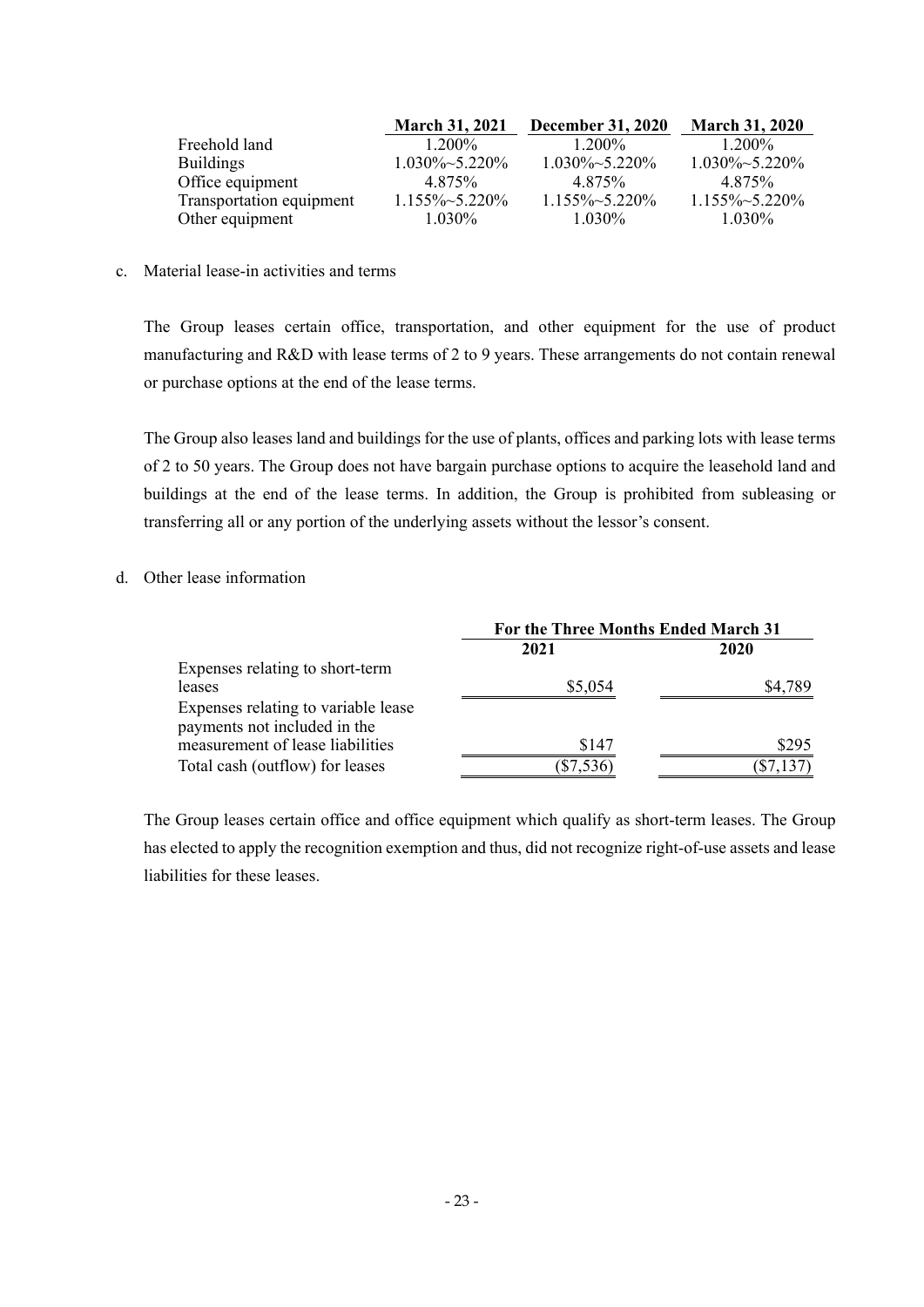|                          | <b>March 31, 2021</b>  | <b>December 31, 2020</b> | <b>March 31, 2020</b>  |
|--------------------------|------------------------|--------------------------|------------------------|
| Freehold land            | $1.200\%$              | $1.200\%$                | $1.200\%$              |
| <b>Buildings</b>         | $1.030\% \sim 5.220\%$ | $1.030\% \sim 5.220\%$   | $1.030\% \sim 5.220\%$ |
| Office equipment         | 4.875%                 | 4.875%                   | 4.875%                 |
| Transportation equipment | $1.155\% \sim 5.220\%$ | $1.155\% \sim 5.220\%$   | $1.155\% \sim 5.220\%$ |
| Other equipment          | $1.030\%$              | $1.030\%$                | $1.030\%$              |

c. Material lease-in activities and terms

The Group leases certain office, transportation, and other equipment for the use of product manufacturing and R&D with lease terms of 2 to 9 years. These arrangements do not contain renewal or purchase options at the end of the lease terms.

The Group also leases land and buildings for the use of plants, offices and parking lots with lease terms of 2 to 50 years. The Group does not have bargain purchase options to acquire the leasehold land and buildings at the end of the lease terms. In addition, the Group is prohibited from subleasing or transferring all or any portion of the underlying assets without the lessor's consent.

#### d. Other lease information

|                                     | For the Three Months Ended March 31 |         |  |
|-------------------------------------|-------------------------------------|---------|--|
|                                     | 2021                                | 2020    |  |
| Expenses relating to short-term     |                                     |         |  |
| leases                              | \$5,054                             | \$4,789 |  |
| Expenses relating to variable lease |                                     |         |  |
| payments not included in the        |                                     |         |  |
| measurement of lease liabilities    | \$147                               | \$295   |  |
| Total cash (outflow) for leases     |                                     |         |  |

The Group leases certain office and office equipment which qualify as short-term leases. The Group has elected to apply the recognition exemption and thus, did not recognize right-of-use assets and lease liabilities for these leases.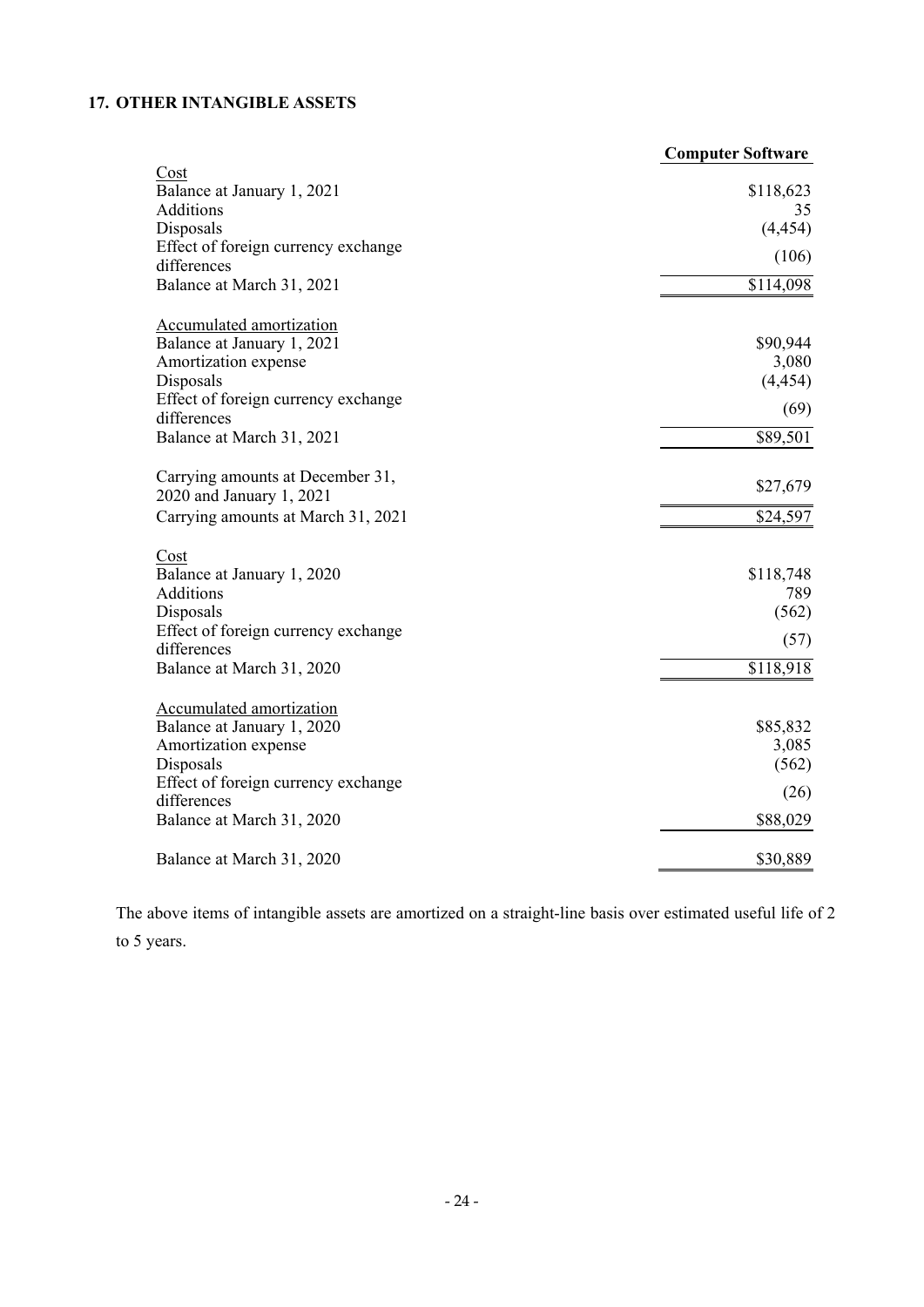# **17. OTHER INTANGIBLE ASSETS**

|                                                                                                    | <b>Computer Software</b>      |
|----------------------------------------------------------------------------------------------------|-------------------------------|
| Cost<br>Balance at January 1, 2021<br>Additions                                                    | \$118,623<br>35               |
| Disposals                                                                                          | (4, 454)                      |
| Effect of foreign currency exchange<br>differences                                                 | (106)                         |
| Balance at March 31, 2021                                                                          | \$114,098                     |
| Accumulated amortization<br>Balance at January 1, 2021<br>Amortization expense<br>Disposals        | \$90,944<br>3,080<br>(4, 454) |
| Effect of foreign currency exchange<br>differences                                                 | (69)                          |
| Balance at March 31, 2021                                                                          | \$89,501                      |
| Carrying amounts at December 31,<br>2020 and January 1, 2021                                       | \$27,679                      |
| Carrying amounts at March 31, 2021                                                                 | \$24,597                      |
| Cost<br>Balance at January 1, 2020<br><b>Additions</b><br>Disposals                                | \$118,748<br>789<br>(562)     |
| Effect of foreign currency exchange<br>differences                                                 | (57)                          |
| Balance at March 31, 2020                                                                          | \$118,918                     |
| <b>Accumulated amortization</b><br>Balance at January 1, 2020<br>Amortization expense<br>Disposals | \$85,832<br>3,085<br>(562)    |
| Effect of foreign currency exchange<br>differences                                                 | (26)                          |
| Balance at March 31, 2020                                                                          | \$88,029                      |
| Balance at March 31, 2020                                                                          | \$30,889                      |

The above items of intangible assets are amortized on a straight-line basis over estimated useful life of 2 to 5 years.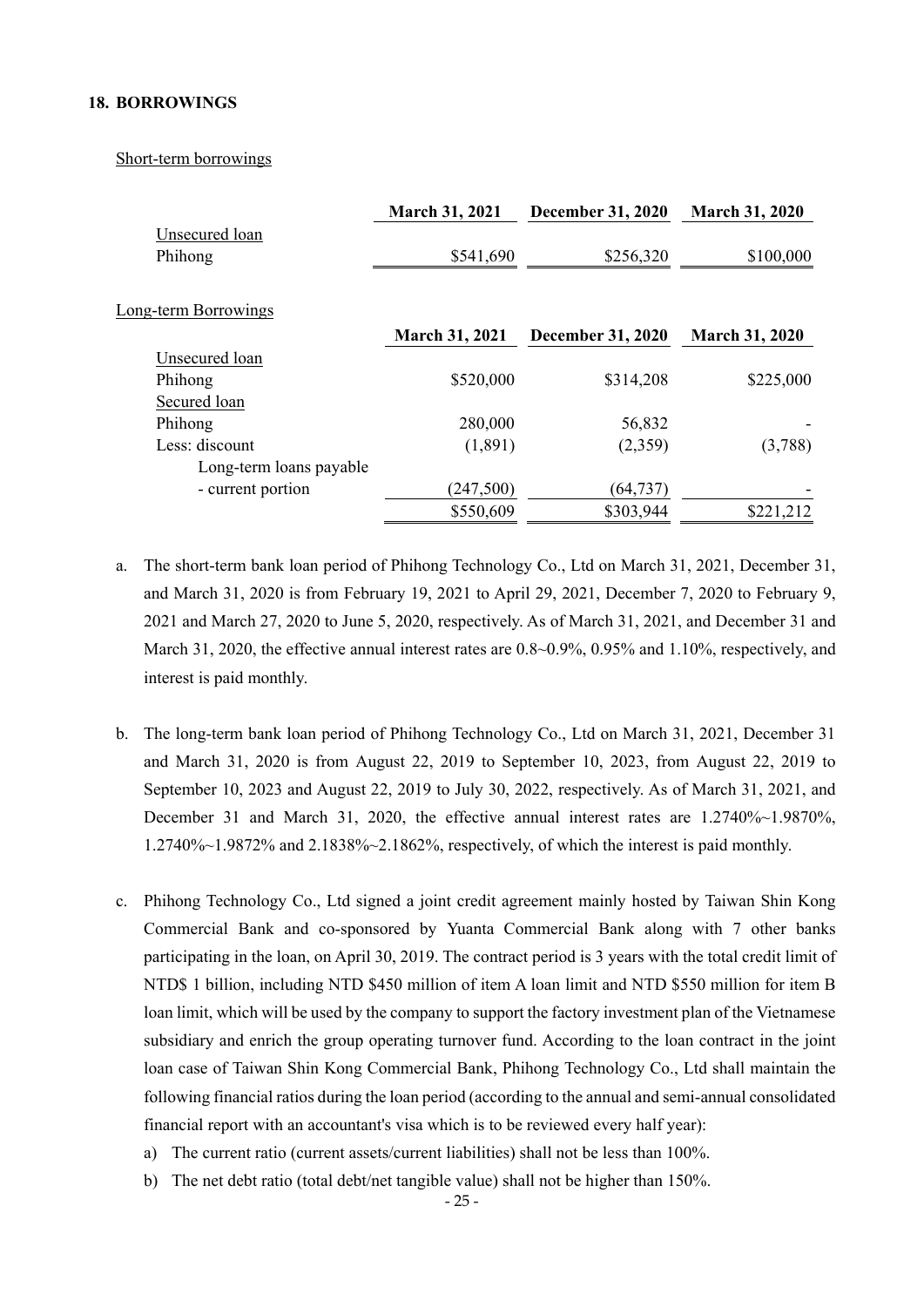#### **18. BORROWINGS**

#### Short-term borrowings

|                         | <b>March 31, 2021</b> | <b>December 31, 2020</b> | <b>March 31, 2020</b> |
|-------------------------|-----------------------|--------------------------|-----------------------|
| Unsecured loan          |                       |                          |                       |
| Phihong                 | \$541,690             | \$256,320                | \$100,000             |
|                         |                       |                          |                       |
| Long-term Borrowings    |                       |                          |                       |
|                         | <b>March 31, 2021</b> | <b>December 31, 2020</b> | <b>March 31, 2020</b> |
| Unsecured loan          |                       |                          |                       |
| Phihong                 | \$520,000             | \$314,208                | \$225,000             |
| Secured loan            |                       |                          |                       |
| Phihong                 | 280,000               | 56,832                   |                       |
| Less: discount          | (1,891)               | (2,359)                  | (3,788)               |
| Long-term loans payable |                       |                          |                       |
| - current portion       | (247,500)             | (64, 737)                |                       |
|                         | \$550,609             | \$303,944                | \$221,212             |
|                         |                       |                          |                       |

- a. The short-term bank loan period of Phihong Technology Co., Ltd on March 31, 2021, December 31, and March 31, 2020 is from February 19, 2021 to April 29, 2021, December 7, 2020 to February 9, 2021 and March 27, 2020 to June 5, 2020, respectively. As of March 31, 2021, and December 31 and March 31, 2020, the effective annual interest rates are 0.8~0.9%, 0.95% and 1.10%, respectively, and interest is paid monthly.
- b. The long-term bank loan period of Phihong Technology Co., Ltd on March 31, 2021, December 31 and March 31, 2020 is from August 22, 2019 to September 10, 2023, from August 22, 2019 to September 10, 2023 and August 22, 2019 to July 30, 2022, respectively. As of March 31, 2021, and December 31 and March 31, 2020, the effective annual interest rates are 1.2740%~1.9870%, 1.2740%~1.9872% and 2.1838%~2.1862%, respectively, of which the interest is paid monthly.
- c. Phihong Technology Co., Ltd signed a joint credit agreement mainly hosted by Taiwan Shin Kong Commercial Bank and co-sponsored by Yuanta Commercial Bank along with 7 other banks participating in the loan, on April 30, 2019. The contract period is 3 years with the total credit limit of NTD\$ 1 billion, including NTD \$450 million of item A loan limit and NTD \$550 million for item B loan limit, which will be used by the company to support the factory investment plan of the Vietnamese subsidiary and enrich the group operating turnover fund. According to the loan contract in the joint loan case of Taiwan Shin Kong Commercial Bank, Phihong Technology Co., Ltd shall maintain the following financial ratios during the loan period (according to the annual and semi-annual consolidated financial report with an accountant's visa which is to be reviewed every half year):
	- a) The current ratio (current assets/current liabilities) shall not be less than 100%.
	- b) The net debt ratio (total debt/net tangible value) shall not be higher than 150%.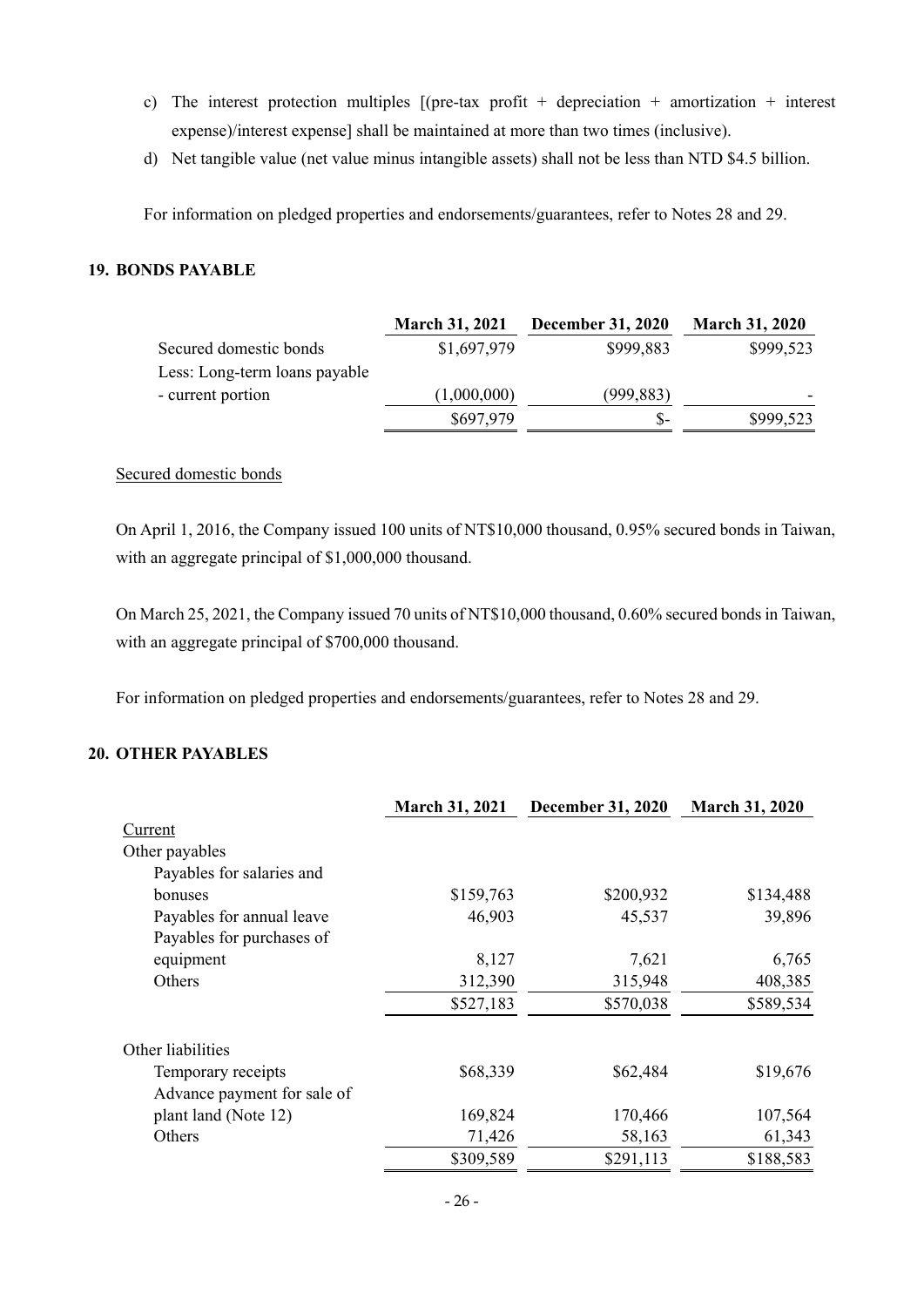- c) The interest protection multiples  $[(pre-tax profit + depreciation + amortization + interest$ expense)/interest expense] shall be maintained at more than two times (inclusive).
- d) Net tangible value (net value minus intangible assets) shall not be less than NTD \$4.5 billion.

For information on pledged properties and endorsements/guarantees, refer to Notes 28 and 29.

### **19. BONDS PAYABLE**

|                               | <b>March 31, 2021</b> | <b>December 31, 2020</b> | <b>March 31, 2020</b> |
|-------------------------------|-----------------------|--------------------------|-----------------------|
| Secured domestic bonds        | \$1,697,979           | \$999,883                | \$999,523             |
| Less: Long-term loans payable |                       |                          |                       |
| - current portion             | (1,000,000)           | (999, 883)               |                       |
|                               | \$697,979             | $S-$                     | \$999,523             |

### Secured domestic bonds

On April 1, 2016, the Company issued 100 units of NT\$10,000 thousand, 0.95% secured bonds in Taiwan, with an aggregate principal of \$1,000,000 thousand.

On March 25, 2021, the Company issued 70 units of NT\$10,000 thousand, 0.60% secured bonds in Taiwan, with an aggregate principal of \$700,000 thousand.

For information on pledged properties and endorsements/guarantees, refer to Notes 28 and 29.

### **20. OTHER PAYABLES**

|                             | <b>March 31, 2021</b> | <b>December 31, 2020</b> | <b>March 31, 2020</b> |
|-----------------------------|-----------------------|--------------------------|-----------------------|
| Current                     |                       |                          |                       |
| Other payables              |                       |                          |                       |
| Payables for salaries and   |                       |                          |                       |
| bonuses                     | \$159,763             | \$200,932                | \$134,488             |
| Payables for annual leave   | 46,903                | 45,537                   | 39,896                |
| Payables for purchases of   |                       |                          |                       |
| equipment                   | 8,127                 | 7,621                    | 6,765                 |
| Others                      | 312,390               | 315,948                  | 408,385               |
|                             | \$527,183             | \$570,038                | \$589,534             |
| Other liabilities           |                       |                          |                       |
| Temporary receipts          | \$68,339              | \$62,484                 | \$19,676              |
| Advance payment for sale of |                       |                          |                       |
| plant land (Note 12)        | 169,824               | 170,466                  | 107,564               |
| Others                      | 71,426                | 58,163                   | 61,343                |
|                             | \$309,589             | \$291,113                | \$188,583             |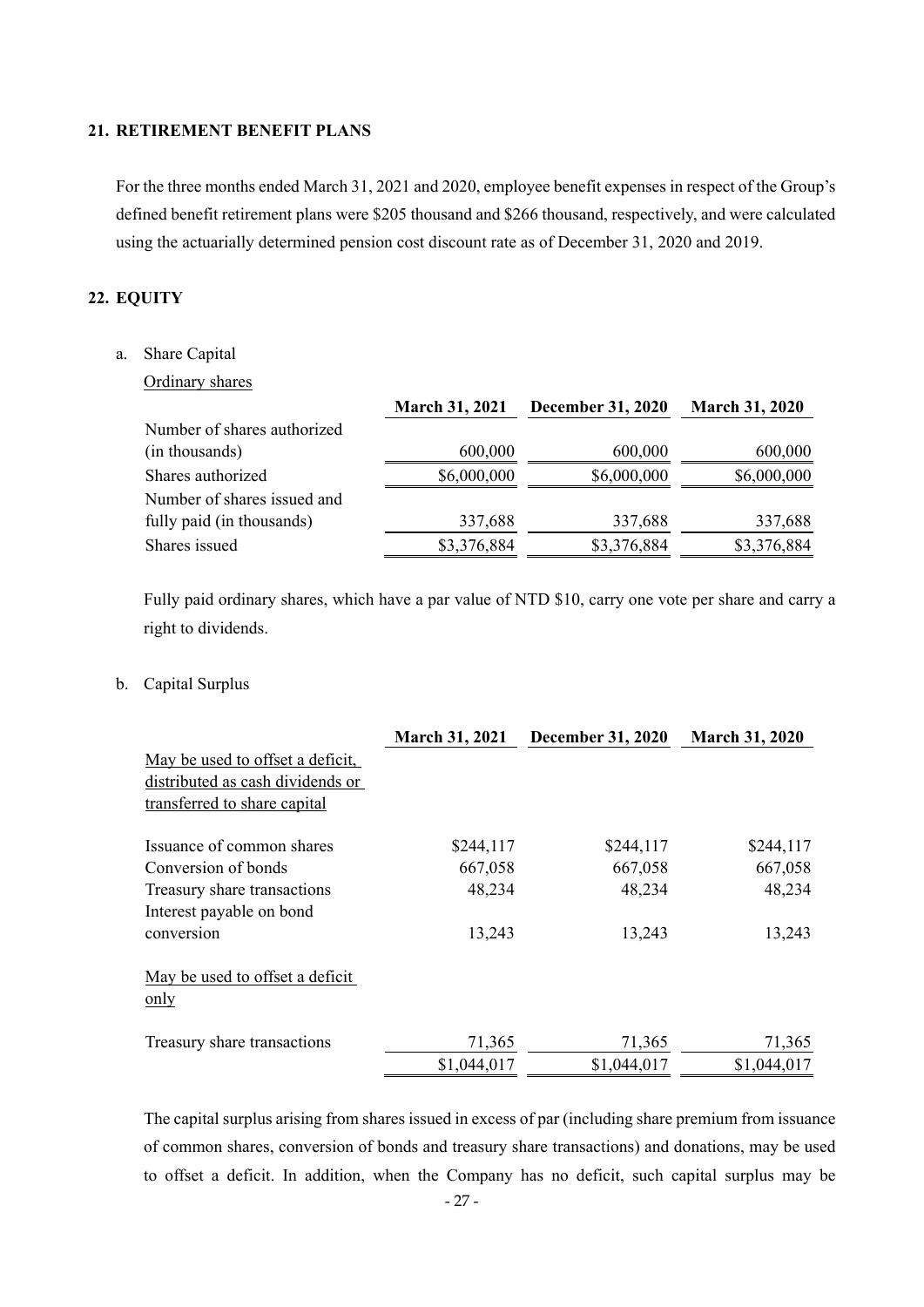### **21. RETIREMENT BENEFIT PLANS**

For the three months ended March 31, 2021 and 2020, employee benefit expenses in respect of the Group's defined benefit retirement plans were \$205 thousand and \$266 thousand, respectively, and were calculated using the actuarially determined pension cost discount rate as of December 31, 2020 and 2019.

## **22. EQUITY**

### a. Share Capital

### Ordinary shares

|                             | <b>March 31, 2021</b> | <b>December 31, 2020</b> | <b>March 31, 2020</b> |
|-----------------------------|-----------------------|--------------------------|-----------------------|
| Number of shares authorized |                       |                          |                       |
| (in thousands)              | 600,000               | 600,000                  | 600,000               |
| Shares authorized           | \$6,000,000           | \$6,000,000              | \$6,000,000           |
| Number of shares issued and |                       |                          |                       |
| fully paid (in thousands)   | 337,688               | 337,688                  | 337,688               |
| Shares issued               | \$3,376,884           | \$3,376,884              | \$3,376,884           |

Fully paid ordinary shares, which have a par value of NTD \$10, carry one vote per share and carry a right to dividends.

### b. Capital Surplus

|                                         | <b>March 31, 2021</b> | <b>December 31, 2020</b> | <b>March 31, 2020</b> |
|-----------------------------------------|-----------------------|--------------------------|-----------------------|
| May be used to offset a deficit,        |                       |                          |                       |
| distributed as cash dividends or        |                       |                          |                       |
| transferred to share capital            |                       |                          |                       |
| Issuance of common shares               | \$244,117             | \$244,117                | \$244,117             |
| Conversion of bonds                     | 667,058               | 667,058                  | 667,058               |
| Treasury share transactions             | 48,234                | 48,234                   | 48,234                |
| Interest payable on bond                |                       |                          |                       |
| conversion                              | 13,243                | 13,243                   | 13,243                |
| May be used to offset a deficit<br>only |                       |                          |                       |
| Treasury share transactions             | 71,365                | 71,365                   | 71,365                |
|                                         | \$1,044,017           | \$1,044,017              | \$1,044,017           |

The capital surplus arising from shares issued in excess of par (including share premium from issuance of common shares, conversion of bonds and treasury share transactions) and donations, may be used to offset a deficit. In addition, when the Company has no deficit, such capital surplus may be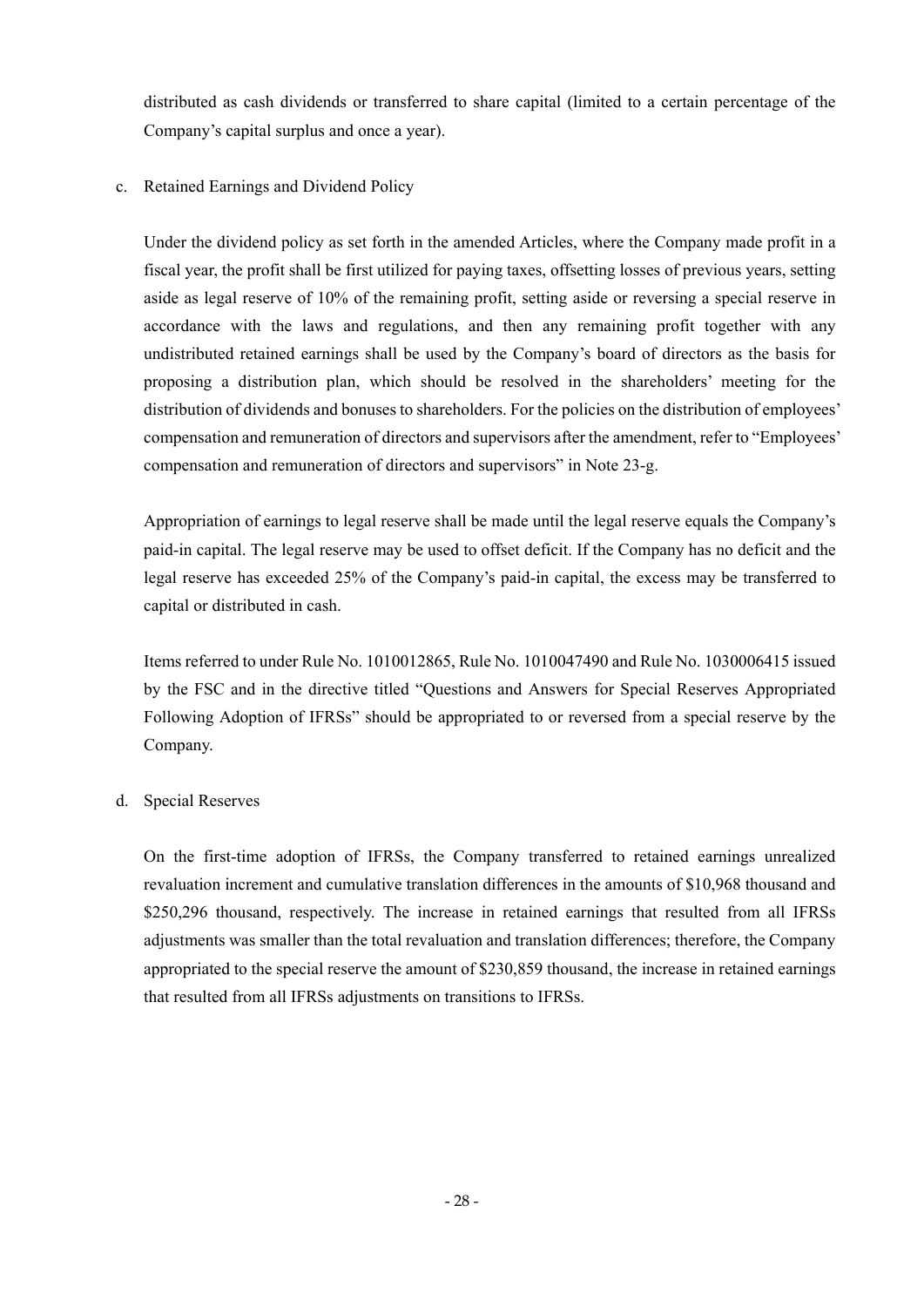distributed as cash dividends or transferred to share capital (limited to a certain percentage of the Company's capital surplus and once a year).

### c. Retained Earnings and Dividend Policy

Under the dividend policy as set forth in the amended Articles, where the Company made profit in a fiscal year, the profit shall be first utilized for paying taxes, offsetting losses of previous years, setting aside as legal reserve of 10% of the remaining profit, setting aside or reversing a special reserve in accordance with the laws and regulations, and then any remaining profit together with any undistributed retained earnings shall be used by the Company's board of directors as the basis for proposing a distribution plan, which should be resolved in the shareholders' meeting for the distribution of dividends and bonuses to shareholders. For the policies on the distribution of employees' compensation and remuneration of directors and supervisors after the amendment, refer to "Employees' compensation and remuneration of directors and supervisors" in Note 23-g.

Appropriation of earnings to legal reserve shall be made until the legal reserve equals the Company's paid-in capital. The legal reserve may be used to offset deficit. If the Company has no deficit and the legal reserve has exceeded 25% of the Company's paid-in capital, the excess may be transferred to capital or distributed in cash.

Items referred to under Rule No. 1010012865, Rule No. 1010047490 and Rule No. 1030006415 issued by the FSC and in the directive titled "Questions and Answers for Special Reserves Appropriated Following Adoption of IFRSs" should be appropriated to or reversed from a special reserve by the Company.

### d. Special Reserves

On the first-time adoption of IFRSs, the Company transferred to retained earnings unrealized revaluation increment and cumulative translation differences in the amounts of \$10,968 thousand and \$250,296 thousand, respectively. The increase in retained earnings that resulted from all IFRSs adjustments was smaller than the total revaluation and translation differences; therefore, the Company appropriated to the special reserve the amount of \$230,859 thousand, the increase in retained earnings that resulted from all IFRSs adjustments on transitions to IFRSs.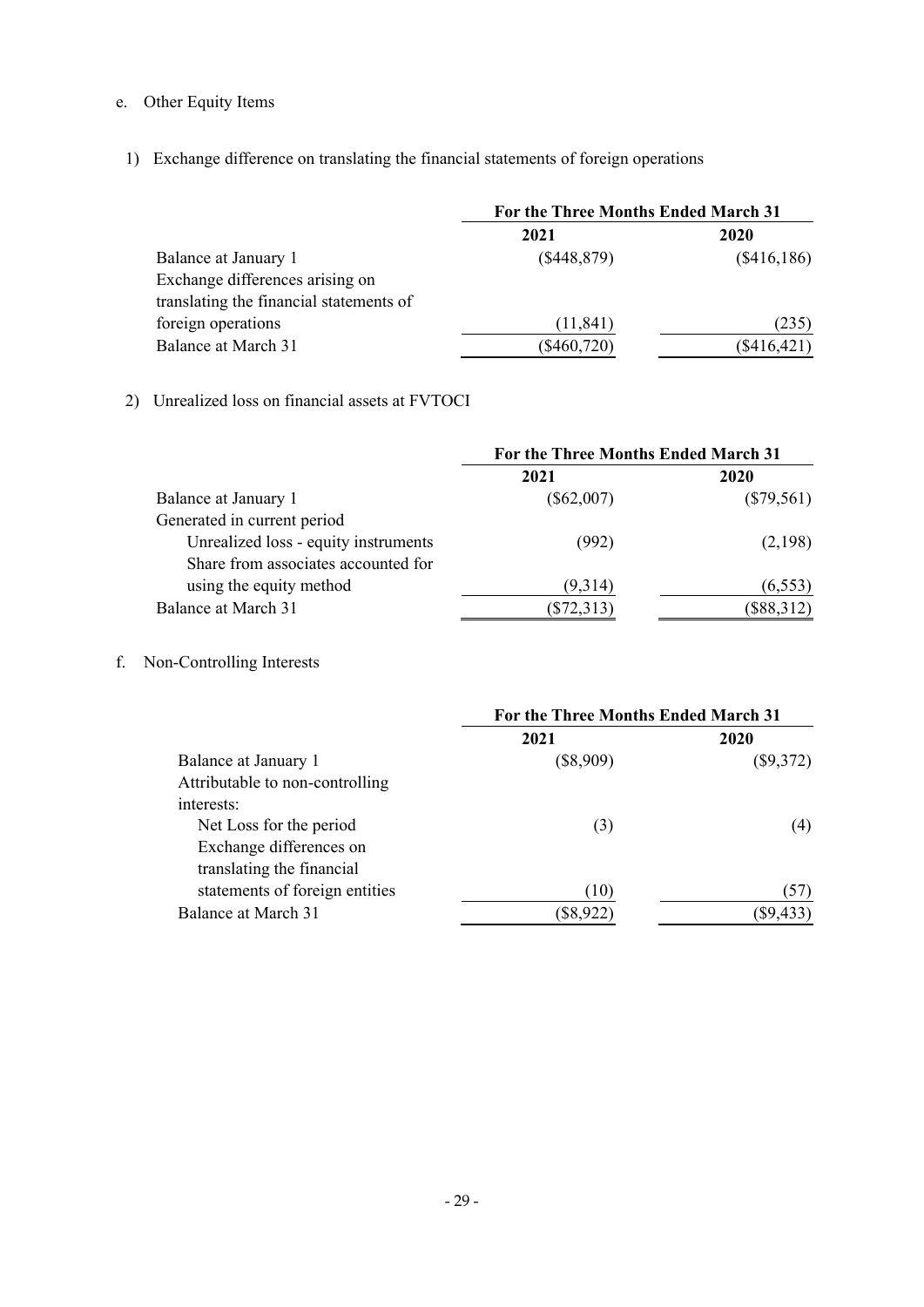# e. Other Equity Items

1) Exchange difference on translating the financial statements of foreign operations

|                                         | For the Three Months Ended March 31 |               |
|-----------------------------------------|-------------------------------------|---------------|
|                                         | 2021                                | 2020          |
| Balance at January 1                    | (\$448,879)                         | (\$416,186)   |
| Exchange differences arising on         |                                     |               |
| translating the financial statements of |                                     |               |
| foreign operations                      | (11, 841)                           | (235)         |
| Balance at March 31                     | $(\$460,720)$                       | $(\$416,421)$ |

## 2) Unrealized loss on financial assets at FVTOCI

|                                      | For the Three Months Ended March 31 |              |
|--------------------------------------|-------------------------------------|--------------|
|                                      | 2021                                | 2020         |
| Balance at January 1                 | $(\$62,007)$                        | $(\$79,561)$ |
| Generated in current period          |                                     |              |
| Unrealized loss - equity instruments | (992)                               | (2,198)      |
| Share from associates accounted for  |                                     |              |
| using the equity method              | (9,314)                             | (6, 553)     |
| Balance at March 31                  | $(\$72,313)$                        | (\$88,312)   |

# f. Non-Controlling Interests

|                                 | For the Three Months Ended March 31 |             |
|---------------------------------|-------------------------------------|-------------|
|                                 | 2021                                | 2020        |
| Balance at January 1            | $(\$8,909)$                         | $(\$9,372)$ |
| Attributable to non-controlling |                                     |             |
| interests:                      |                                     |             |
| Net Loss for the period         | (3)                                 | (4)         |
| Exchange differences on         |                                     |             |
| translating the financial       |                                     |             |
| statements of foreign entities  | (10)                                | (57)        |
| Balance at March 31             | $(\$8,922)$                         | (\$9,433    |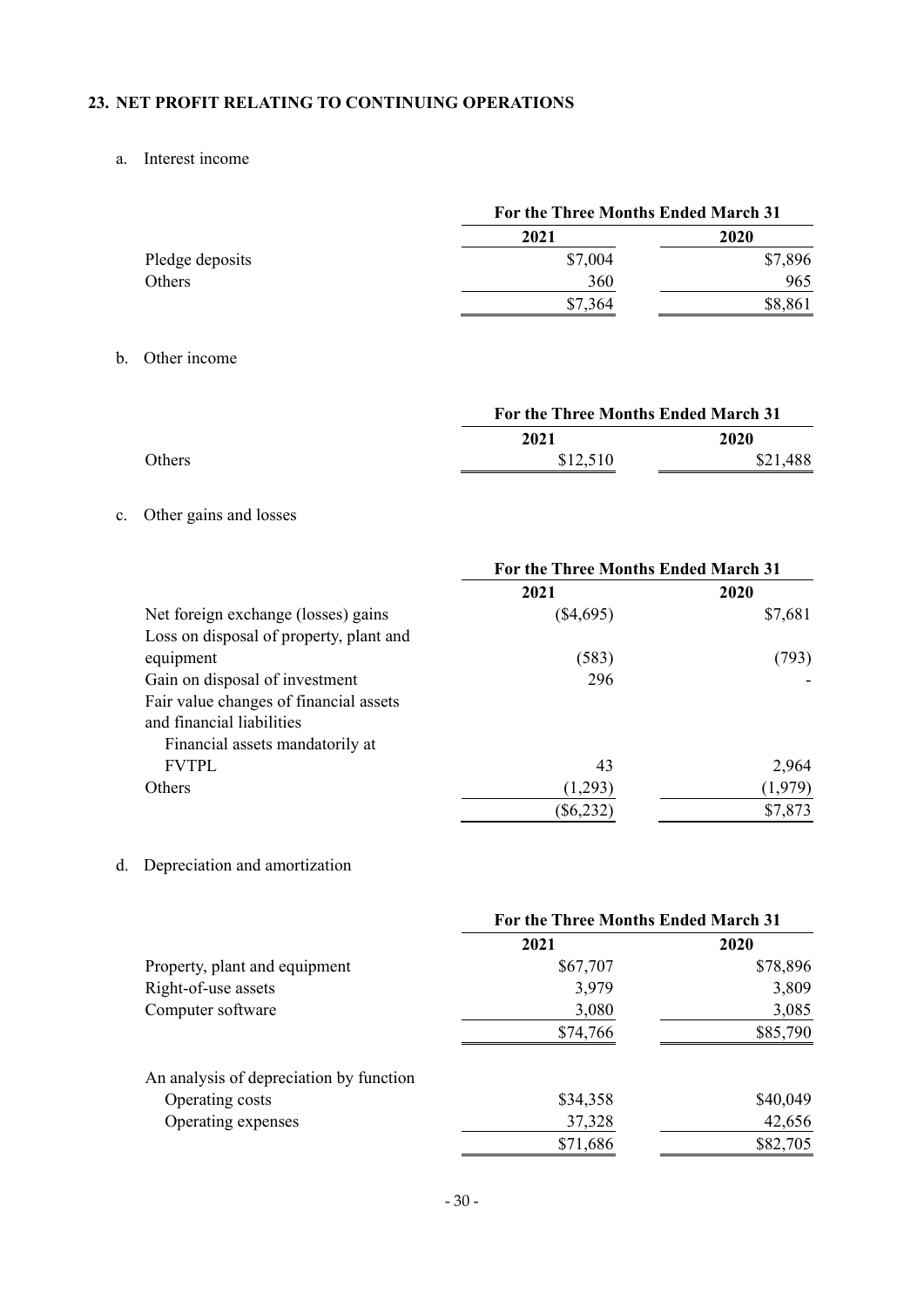### **23. NET PROFIT RELATING TO CONTINUING OPERATIONS**

### a. Interest income

|                 | For the Three Months Ended March 31 |         |
|-----------------|-------------------------------------|---------|
|                 | 2021                                | 2020    |
| Pledge deposits | \$7,004                             | \$7,896 |
| Others          | 360                                 | 965     |
|                 | \$7,364                             | \$8,861 |

### b. Other income

|               |          | For the Three Months Ended March 31 |  |
|---------------|----------|-------------------------------------|--|
|               | 2021     | 2020                                |  |
| <b>Others</b> | \$12,510 | \$21,488                            |  |

# c. Other gains and losses

|                                         | For the Three Months Ended March 31 |         |
|-----------------------------------------|-------------------------------------|---------|
|                                         | 2021                                | 2020    |
| Net foreign exchange (losses) gains     | $(\$4,695)$                         | \$7,681 |
| Loss on disposal of property, plant and |                                     |         |
| equipment                               | (583)                               | (793)   |
| Gain on disposal of investment          | 296                                 |         |
| Fair value changes of financial assets  |                                     |         |
| and financial liabilities               |                                     |         |
| Financial assets mandatorily at         |                                     |         |
| <b>FVTPL</b>                            | 43                                  | 2,964   |
| Others                                  | (1,293)                             | (1,979) |
|                                         | $(\$6,232$                          | \$7,873 |

# d. Depreciation and amortization

|                                         | For the Three Months Ended March 31 |          |
|-----------------------------------------|-------------------------------------|----------|
|                                         | 2021                                | 2020     |
| Property, plant and equipment           | \$67,707                            | \$78,896 |
| Right-of-use assets                     | 3,979                               | 3,809    |
| Computer software                       | 3,080                               | 3,085    |
|                                         | \$74,766                            | \$85,790 |
| An analysis of depreciation by function |                                     |          |
| Operating costs                         | \$34,358                            | \$40,049 |
| Operating expenses                      | 37,328                              | 42,656   |
|                                         | \$71,686                            | \$82,705 |
|                                         |                                     |          |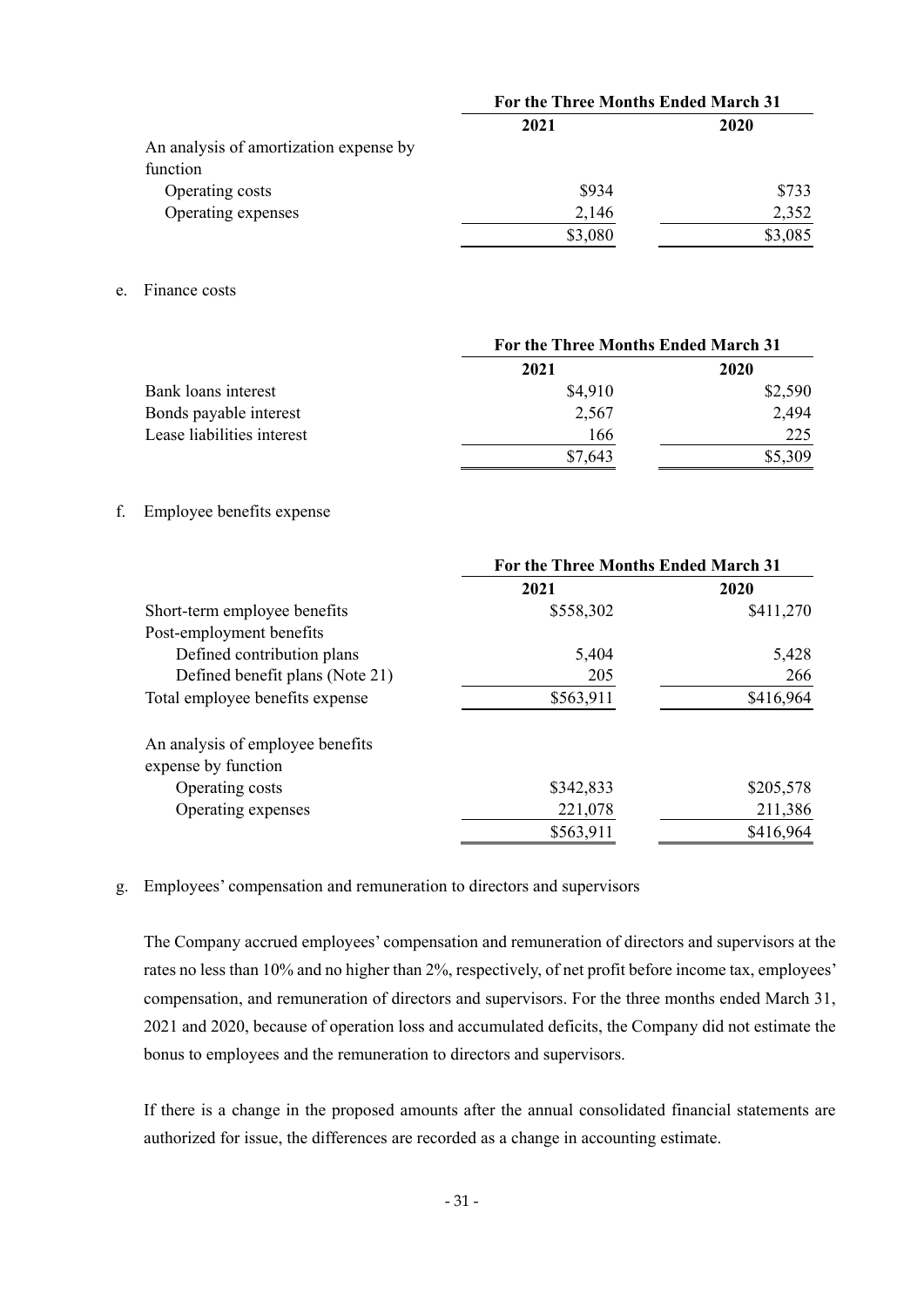|                                        | For the Three Months Ended March 31 |         |
|----------------------------------------|-------------------------------------|---------|
|                                        | 2021                                | 2020    |
| An analysis of amortization expense by |                                     |         |
| function                               |                                     |         |
| Operating costs                        | \$934                               | \$733   |
| Operating expenses                     | 2,146                               | 2,352   |
|                                        | \$3,080                             | \$3,085 |

e. Finance costs

|                            | For the Three Months Ended March 31 |         |
|----------------------------|-------------------------------------|---------|
|                            | 2021                                | 2020    |
| Bank loans interest        | \$4,910                             | \$2,590 |
| Bonds payable interest     | 2,567                               | 2,494   |
| Lease liabilities interest | 166                                 | 225     |
|                            | \$7,643                             | \$5,309 |

### f. Employee benefits expense

|                                                         | For the Three Months Ended March 31 |           |
|---------------------------------------------------------|-------------------------------------|-----------|
|                                                         | 2021                                | 2020      |
| Short-term employee benefits                            | \$558,302                           | \$411,270 |
| Post-employment benefits                                |                                     |           |
| Defined contribution plans                              | 5,404                               | 5,428     |
| Defined benefit plans (Note 21)                         | 205                                 | 266       |
| Total employee benefits expense                         | \$563,911                           | \$416,964 |
| An analysis of employee benefits<br>expense by function |                                     |           |
| Operating costs                                         | \$342,833                           | \$205,578 |
| Operating expenses                                      | 221,078                             | 211,386   |
|                                                         | \$563,911                           | \$416,964 |

g. Employees' compensation and remuneration to directors and supervisors

The Company accrued employees' compensation and remuneration of directors and supervisors at the rates no less than 10% and no higher than 2%, respectively, of net profit before income tax, employees' compensation, and remuneration of directors and supervisors. For the three months ended March 31, 2021 and 2020, because of operation loss and accumulated deficits, the Company did not estimate the bonus to employees and the remuneration to directors and supervisors.

If there is a change in the proposed amounts after the annual consolidated financial statements are authorized for issue, the differences are recorded as a change in accounting estimate.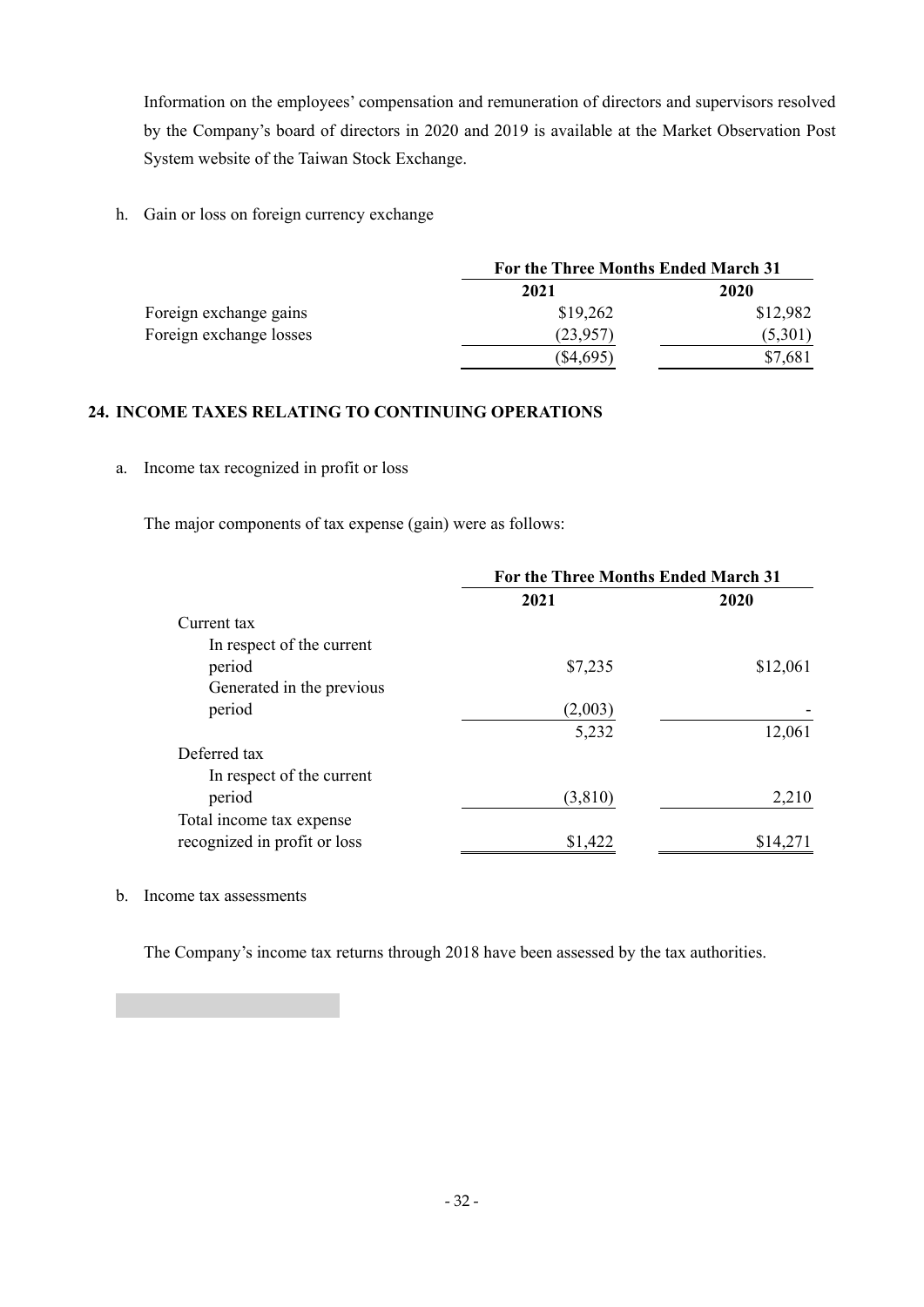Information on the employees' compensation and remuneration of directors and supervisors resolved by the Company's board of directors in 2020 and 2019 is available at the Market Observation Post System website of the Taiwan Stock Exchange.

h. Gain or loss on foreign currency exchange

|                         |             | For the Three Months Ended March 31 |  |
|-------------------------|-------------|-------------------------------------|--|
|                         | 2021        | 2020                                |  |
| Foreign exchange gains  | \$19,262    | \$12,982                            |  |
| Foreign exchange losses | (23,957)    | (5,301)                             |  |
|                         | $(\$4,695)$ | \$7,681                             |  |

### **24. INCOME TAXES RELATING TO CONTINUING OPERATIONS**

a. Income tax recognized in profit or loss

The major components of tax expense (gain) were as follows:

|                              | For the Three Months Ended March 31 |          |  |
|------------------------------|-------------------------------------|----------|--|
|                              | 2021                                | 2020     |  |
| Current tax                  |                                     |          |  |
| In respect of the current    |                                     |          |  |
| period                       | \$7,235                             | \$12,061 |  |
| Generated in the previous    |                                     |          |  |
| period                       | (2,003)                             |          |  |
|                              | 5,232                               | 12,061   |  |
| Deferred tax                 |                                     |          |  |
| In respect of the current    |                                     |          |  |
| period                       | (3,810)                             | 2,210    |  |
| Total income tax expense     |                                     |          |  |
| recognized in profit or loss | \$1,422                             | \$14,271 |  |

### b. Income tax assessments

The Company's income tax returns through 2018 have been assessed by the tax authorities.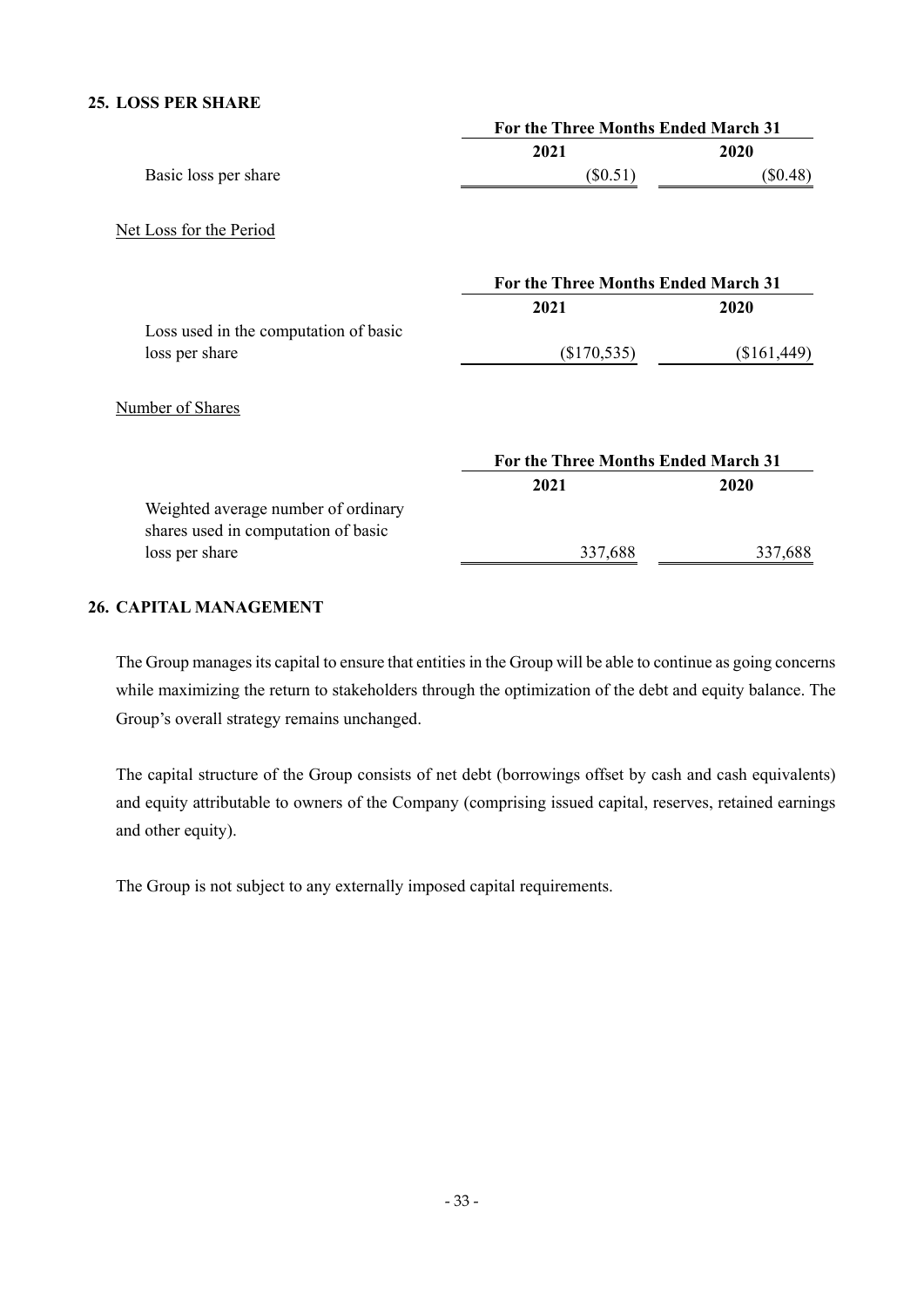### **25. LOSS PER SHARE**

|                                                                            | For the Three Months Ended March 31 |             |  |
|----------------------------------------------------------------------------|-------------------------------------|-------------|--|
|                                                                            | 2021                                | 2020        |  |
| Basic loss per share                                                       | $(\$0.51)$                          | $(\$0.48)$  |  |
| Net Loss for the Period                                                    |                                     |             |  |
|                                                                            | For the Three Months Ended March 31 |             |  |
|                                                                            | 2021                                | 2020        |  |
| Loss used in the computation of basic                                      |                                     |             |  |
| loss per share                                                             | $(\$170,535)$                       | (\$161,449) |  |
| Number of Shares                                                           |                                     |             |  |
|                                                                            | For the Three Months Ended March 31 |             |  |
|                                                                            | 2021                                | 2020        |  |
| Weighted average number of ordinary<br>shares used in computation of basic |                                     |             |  |
| loss per share                                                             | 337,688                             | 337,688     |  |
|                                                                            |                                     |             |  |

## **26. CAPITAL MANAGEMENT**

The Group manages its capital to ensure that entities in the Group will be able to continue as going concerns while maximizing the return to stakeholders through the optimization of the debt and equity balance. The Group's overall strategy remains unchanged.

The capital structure of the Group consists of net debt (borrowings offset by cash and cash equivalents) and equity attributable to owners of the Company (comprising issued capital, reserves, retained earnings and other equity).

The Group is not subject to any externally imposed capital requirements.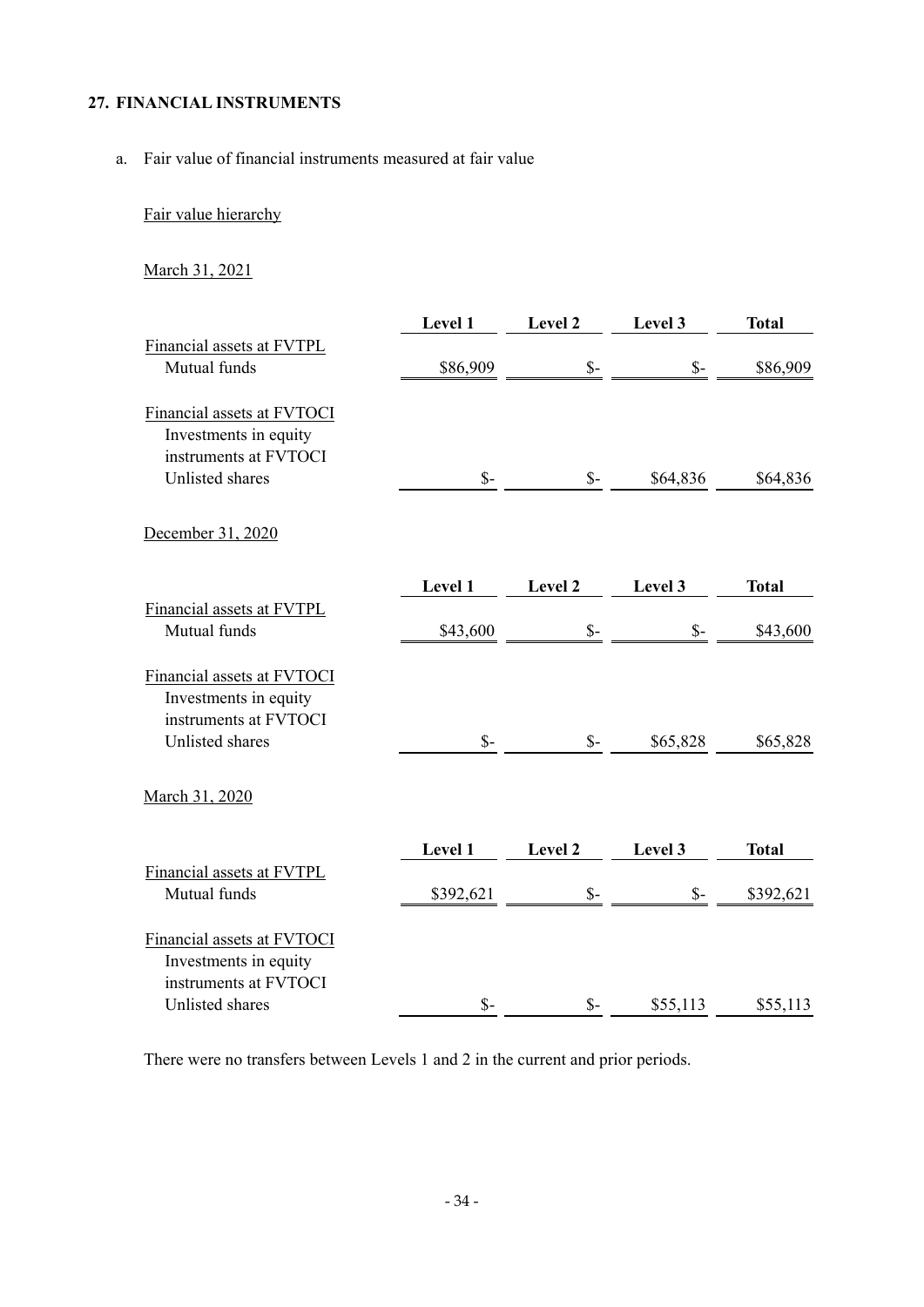### **27. FINANCIAL INSTRUMENTS**

a. Fair value of financial instruments measured at fair value

Fair value hierarchy

# March 31, 2021

|                                                                              | Level 1         | Level 2                 | Level 3                                                                     | <b>Total</b> |
|------------------------------------------------------------------------------|-----------------|-------------------------|-----------------------------------------------------------------------------|--------------|
| Financial assets at FVTPL<br>Mutual funds                                    |                 |                         | $\frac{$86,909}{8}$ $\frac{$-8.909}{8}$ $\frac{$-8.909}{8}$                 |              |
| Financial assets at FVTOCI<br>Investments in equity                          |                 |                         |                                                                             |              |
| instruments at FVTOCI<br>Unlisted shares                                     |                 |                         | $\frac{\$}{\$}$ $\frac{\$}{\$}$ $\frac{\$64,836}{\$}$ $\frac{\$64,836}{\$}$ |              |
| December 31, 2020                                                            |                 |                         |                                                                             |              |
|                                                                              |                 | Level 1 Level 2 Level 3 |                                                                             | <b>Total</b> |
| Financial assets at FVTPL<br>Mutual funds                                    |                 |                         | $\frac{$43,600}{$5}$ $\frac{$-82,600}{$-82,600}$                            |              |
| Financial assets at FVTOCI<br>Investments in equity<br>instruments at FVTOCI |                 |                         |                                                                             |              |
| Unlisted shares                                                              |                 | $S-$                    | $\frac{\$}{\$}$ $\frac{\$65,828}{\$65,828}$ $\frac{\$65,828}{\$65,828}$     |              |
| March 31, 2020                                                               |                 |                         |                                                                             |              |
|                                                                              | Level 1 Level 2 |                         | Level 3                                                                     | <b>Total</b> |
| Financial assets at FVTPL<br>Mutual funds                                    |                 |                         | $$392,621$ \$- \$-                                                          | \$392,621    |
| Financial assets at FVTOCI<br>Investments in equity<br>instruments at FVTOCI |                 |                         |                                                                             |              |
| Unlisted shares                                                              | $\mathcal{S}$ - | $\mathcal{S}$ -         | \$55,113                                                                    | \$55,113     |

There were no transfers between Levels 1 and 2 in the current and prior periods.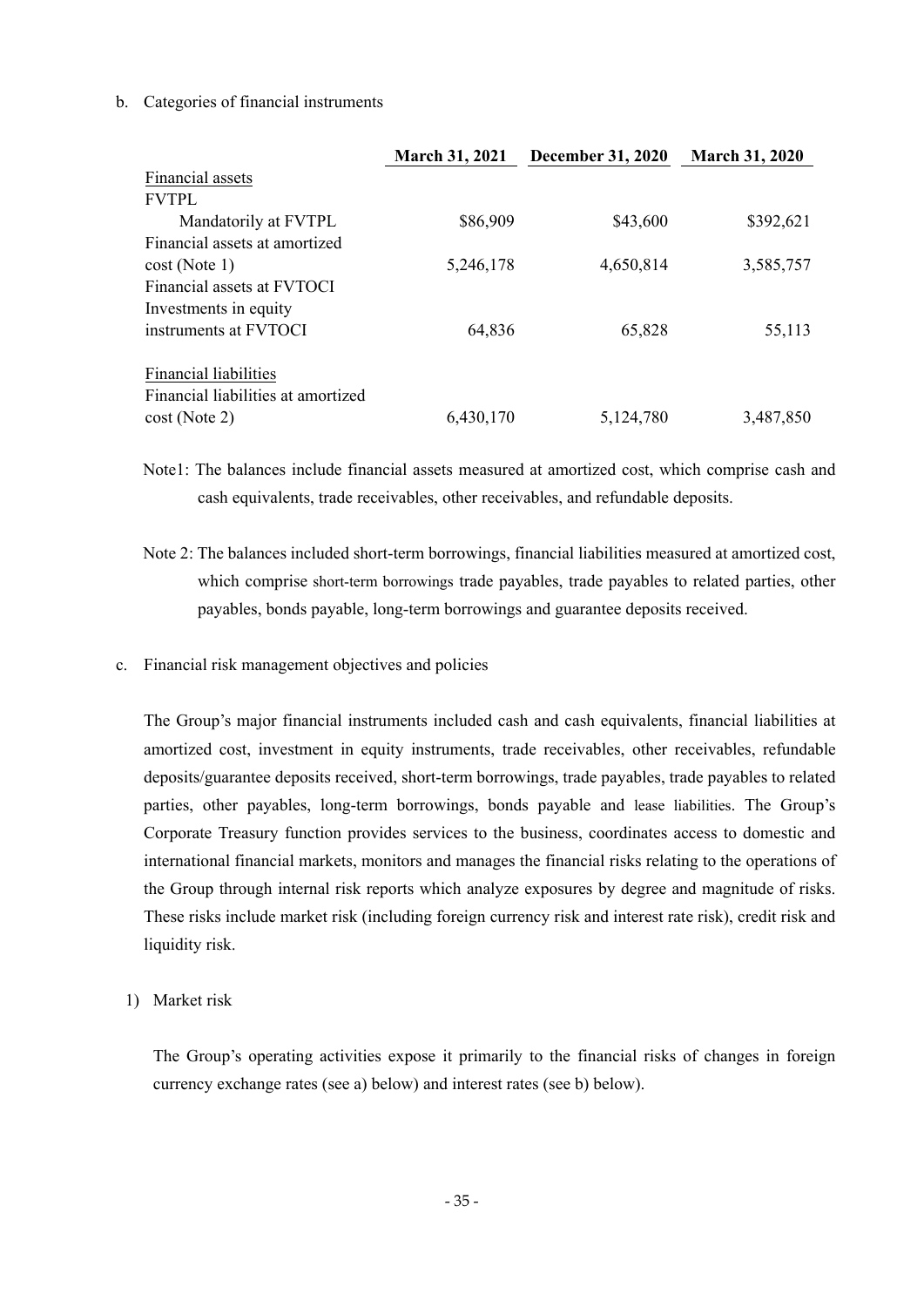### b. Categories of financial instruments

|                                    | <b>March 31, 2021</b> | <b>December 31, 2020</b> | <b>March 31, 2020</b> |
|------------------------------------|-----------------------|--------------------------|-----------------------|
| Financial assets                   |                       |                          |                       |
| <b>FVTPL</b>                       |                       |                          |                       |
| Mandatorily at FVTPL               | \$86,909              | \$43,600                 | \$392,621             |
| Financial assets at amortized      |                       |                          |                       |
| cost(Note 1)                       | 5,246,178             | 4,650,814                | 3,585,757             |
| Financial assets at FVTOCI         |                       |                          |                       |
| Investments in equity              |                       |                          |                       |
| instruments at FVTOCI              | 64,836                | 65,828                   | 55,113                |
| <b>Financial liabilities</b>       |                       |                          |                       |
| Financial liabilities at amortized |                       |                          |                       |
| $cost$ (Note 2)                    | 6,430,170             | 5,124,780                | 3,487,850             |

Note1: The balances include financial assets measured at amortized cost, which comprise cash and cash equivalents, trade receivables, other receivables, and refundable deposits.

- Note 2: The balances included short-term borrowings, financial liabilities measured at amortized cost, which comprise short-term borrowings trade payables, trade payables to related parties, other payables, bonds payable, long-term borrowings and guarantee deposits received.
- c. Financial risk management objectives and policies

The Group's major financial instruments included cash and cash equivalents, financial liabilities at amortized cost, investment in equity instruments, trade receivables, other receivables, refundable deposits/guarantee deposits received, short-term borrowings, trade payables, trade payables to related parties, other payables, long-term borrowings, bonds payable and lease liabilities. The Group's Corporate Treasury function provides services to the business, coordinates access to domestic and international financial markets, monitors and manages the financial risks relating to the operations of the Group through internal risk reports which analyze exposures by degree and magnitude of risks. These risks include market risk (including foreign currency risk and interest rate risk), credit risk and liquidity risk.

1) Market risk

The Group's operating activities expose it primarily to the financial risks of changes in foreign currency exchange rates (see a) below) and interest rates (see b) below).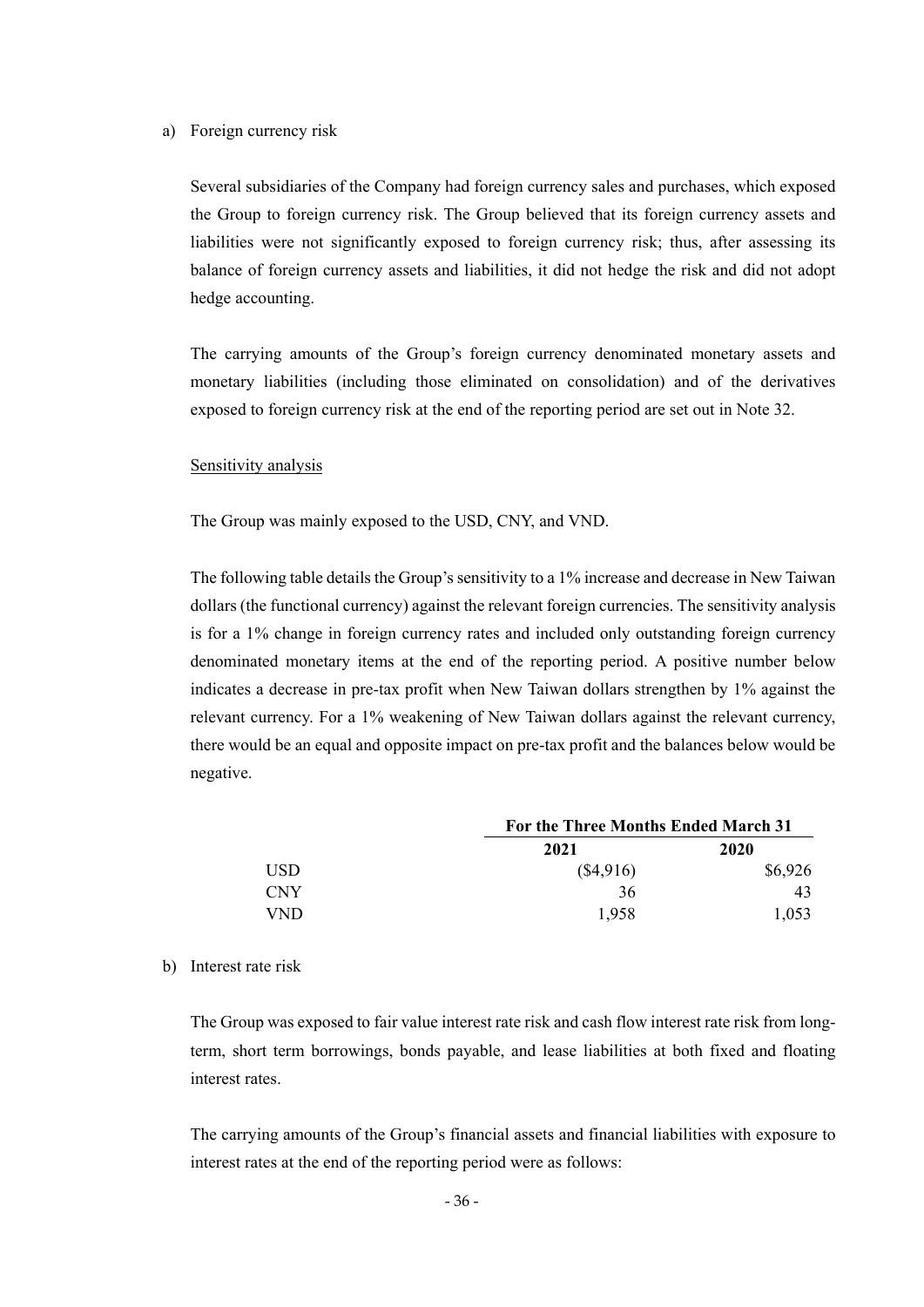#### a) Foreign currency risk

Several subsidiaries of the Company had foreign currency sales and purchases, which exposed the Group to foreign currency risk. The Group believed that its foreign currency assets and liabilities were not significantly exposed to foreign currency risk; thus, after assessing its balance of foreign currency assets and liabilities, it did not hedge the risk and did not adopt hedge accounting.

The carrying amounts of the Group's foreign currency denominated monetary assets and monetary liabilities (including those eliminated on consolidation) and of the derivatives exposed to foreign currency risk at the end of the reporting period are set out in Note 32.

#### Sensitivity analysis

The Group was mainly exposed to the USD, CNY, and VND.

The following table details the Group's sensitivity to a 1% increase and decrease in New Taiwan dollars (the functional currency) against the relevant foreign currencies. The sensitivity analysis is for a 1% change in foreign currency rates and included only outstanding foreign currency denominated monetary items at the end of the reporting period. A positive number below indicates a decrease in pre-tax profit when New Taiwan dollars strengthen by 1% against the relevant currency. For a 1% weakening of New Taiwan dollars against the relevant currency, there would be an equal and opposite impact on pre-tax profit and the balances below would be negative.

|            |           | For the Three Months Ended March 31 |  |  |
|------------|-----------|-------------------------------------|--|--|
|            | 2021      | 2020                                |  |  |
| USD.       | (\$4,916) | \$6,926                             |  |  |
| <b>CNY</b> | 36        | 43                                  |  |  |
| <b>VND</b> | 1.958     | 1,053                               |  |  |

#### b) Interest rate risk

The Group was exposed to fair value interest rate risk and cash flow interest rate risk from longterm, short term borrowings, bonds payable, and lease liabilities at both fixed and floating interest rates.

The carrying amounts of the Group's financial assets and financial liabilities with exposure to interest rates at the end of the reporting period were as follows: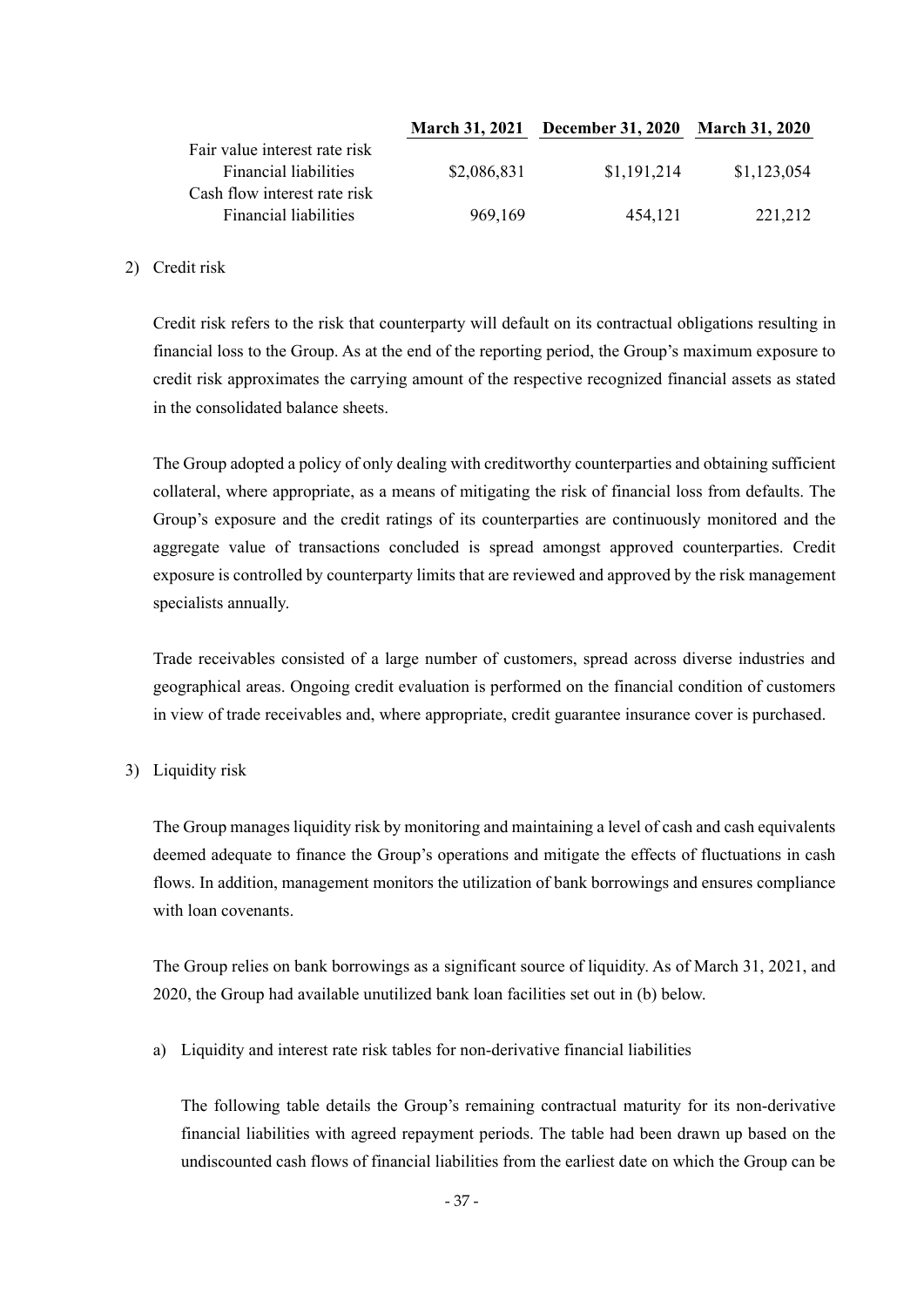|                               |             | March 31, 2021 December 31, 2020 March 31, 2020 |             |
|-------------------------------|-------------|-------------------------------------------------|-------------|
| Fair value interest rate risk |             |                                                 |             |
| <b>Financial liabilities</b>  | \$2,086,831 | \$1,191,214                                     | \$1,123,054 |
| Cash flow interest rate risk  |             |                                                 |             |
| <b>Financial liabilities</b>  | 969,169     | 454,121                                         | 221,212     |

### 2) Credit risk

Credit risk refers to the risk that counterparty will default on its contractual obligations resulting in financial loss to the Group. As at the end of the reporting period, the Group's maximum exposure to credit risk approximates the carrying amount of the respective recognized financial assets as stated in the consolidated balance sheets.

The Group adopted a policy of only dealing with creditworthy counterparties and obtaining sufficient collateral, where appropriate, as a means of mitigating the risk of financial loss from defaults. The Group's exposure and the credit ratings of its counterparties are continuously monitored and the aggregate value of transactions concluded is spread amongst approved counterparties. Credit exposure is controlled by counterparty limits that are reviewed and approved by the risk management specialists annually.

Trade receivables consisted of a large number of customers, spread across diverse industries and geographical areas. Ongoing credit evaluation is performed on the financial condition of customers in view of trade receivables and, where appropriate, credit guarantee insurance cover is purchased.

### 3) Liquidity risk

The Group manages liquidity risk by monitoring and maintaining a level of cash and cash equivalents deemed adequate to finance the Group's operations and mitigate the effects of fluctuations in cash flows. In addition, management monitors the utilization of bank borrowings and ensures compliance with loan covenants.

The Group relies on bank borrowings as a significant source of liquidity. As of March 31, 2021, and 2020, the Group had available unutilized bank loan facilities set out in (b) below.

a) Liquidity and interest rate risk tables for non-derivative financial liabilities

The following table details the Group's remaining contractual maturity for its non-derivative financial liabilities with agreed repayment periods. The table had been drawn up based on the undiscounted cash flows of financial liabilities from the earliest date on which the Group can be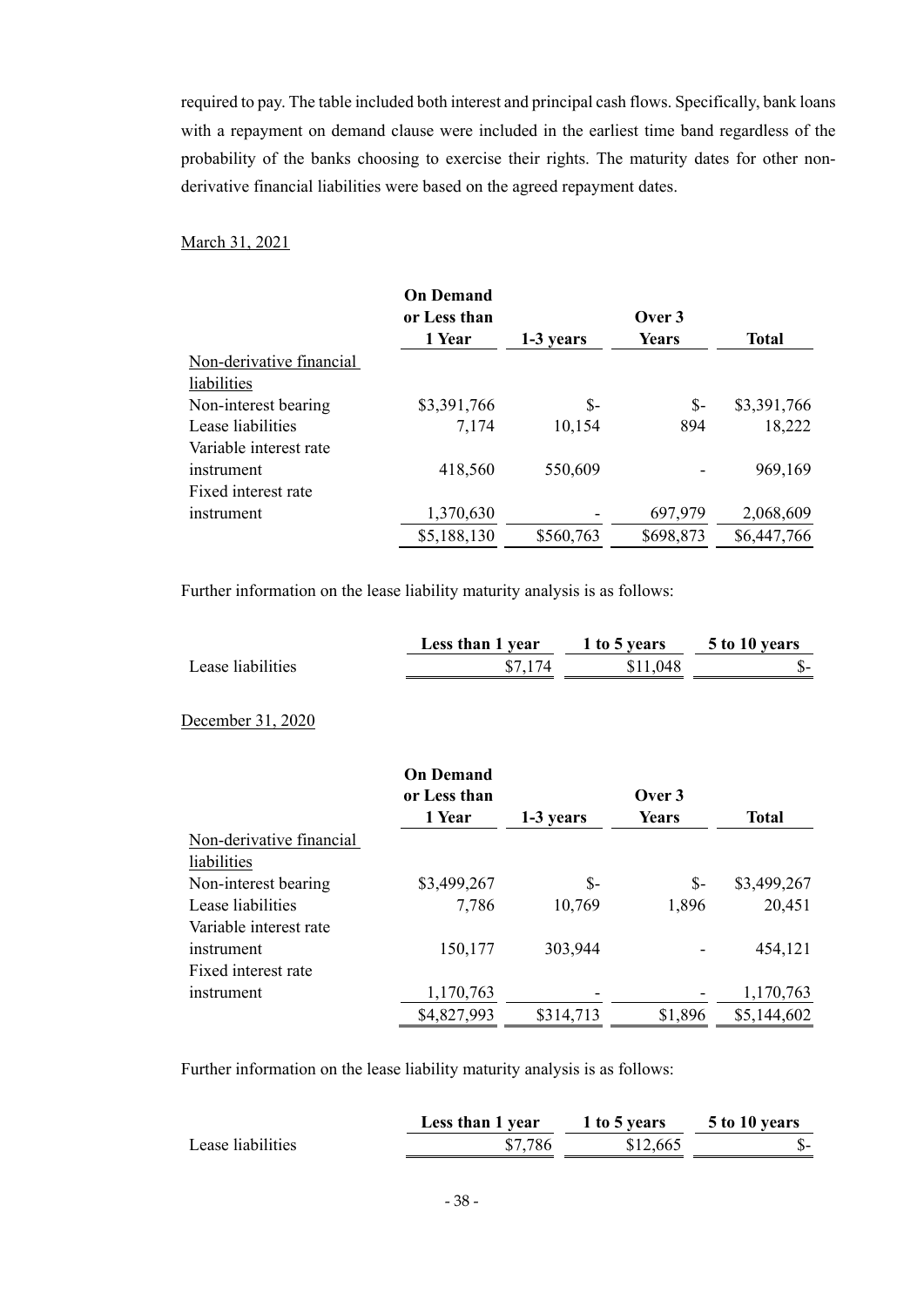required to pay. The table included both interest and principal cash flows. Specifically, bank loans with a repayment on demand clause were included in the earliest time band regardless of the probability of the banks choosing to exercise their rights. The maturity dates for other nonderivative financial liabilities were based on the agreed repayment dates.

### March 31, 2021

|                          | <b>On Demand</b> |           |              |              |
|--------------------------|------------------|-----------|--------------|--------------|
|                          | or Less than     |           | Over 3       |              |
|                          | 1 Year           | 1-3 years | <b>Years</b> | <b>Total</b> |
| Non-derivative financial |                  |           |              |              |
| liabilities              |                  |           |              |              |
| Non-interest bearing     | \$3,391,766      | $S-$      | $S-$         | \$3,391,766  |
| Lease liabilities        | 7,174            | 10,154    | 894          | 18,222       |
| Variable interest rate   |                  |           |              |              |
| instrument               | 418,560          | 550,609   |              | 969,169      |
| Fixed interest rate      |                  |           |              |              |
| instrument               | 1,370,630        |           | 697,979      | 2,068,609    |
|                          | \$5,188,130      | \$560,763 | \$698,873    | \$6,447,766  |

Further information on the lease liability maturity analysis is as follows:

|                   | Less than 1 year | 1 to 5 years | 5 to 10 years |
|-------------------|------------------|--------------|---------------|
| Lease liabilities |                  | \$11,048     |               |

#### December 31, 2020

|                          | <b>On Demand</b> |           |         |              |
|--------------------------|------------------|-----------|---------|--------------|
|                          | or Less than     |           | Over 3  |              |
|                          | 1 Year           | 1-3 years | Years   | <b>Total</b> |
| Non-derivative financial |                  |           |         |              |
| liabilities              |                  |           |         |              |
| Non-interest bearing     | \$3,499,267      | \$-       | \$-     | \$3,499,267  |
| Lease liabilities        | 7,786            | 10,769    | 1,896   | 20,451       |
| Variable interest rate   |                  |           |         |              |
| instrument               | 150,177          | 303,944   |         | 454,121      |
| Fixed interest rate      |                  |           |         |              |
| instrument               | 1,170,763        |           |         | 1,170,763    |
|                          | \$4,827,993      | \$314,713 | \$1,896 | \$5,144,602  |

Further information on the lease liability maturity analysis is as follows:

|                   | Less than 1 year | 1 to 5 years | 5 to 10 years |
|-------------------|------------------|--------------|---------------|
| Lease liabilities | \$7,786          | \$12,665     | .D-           |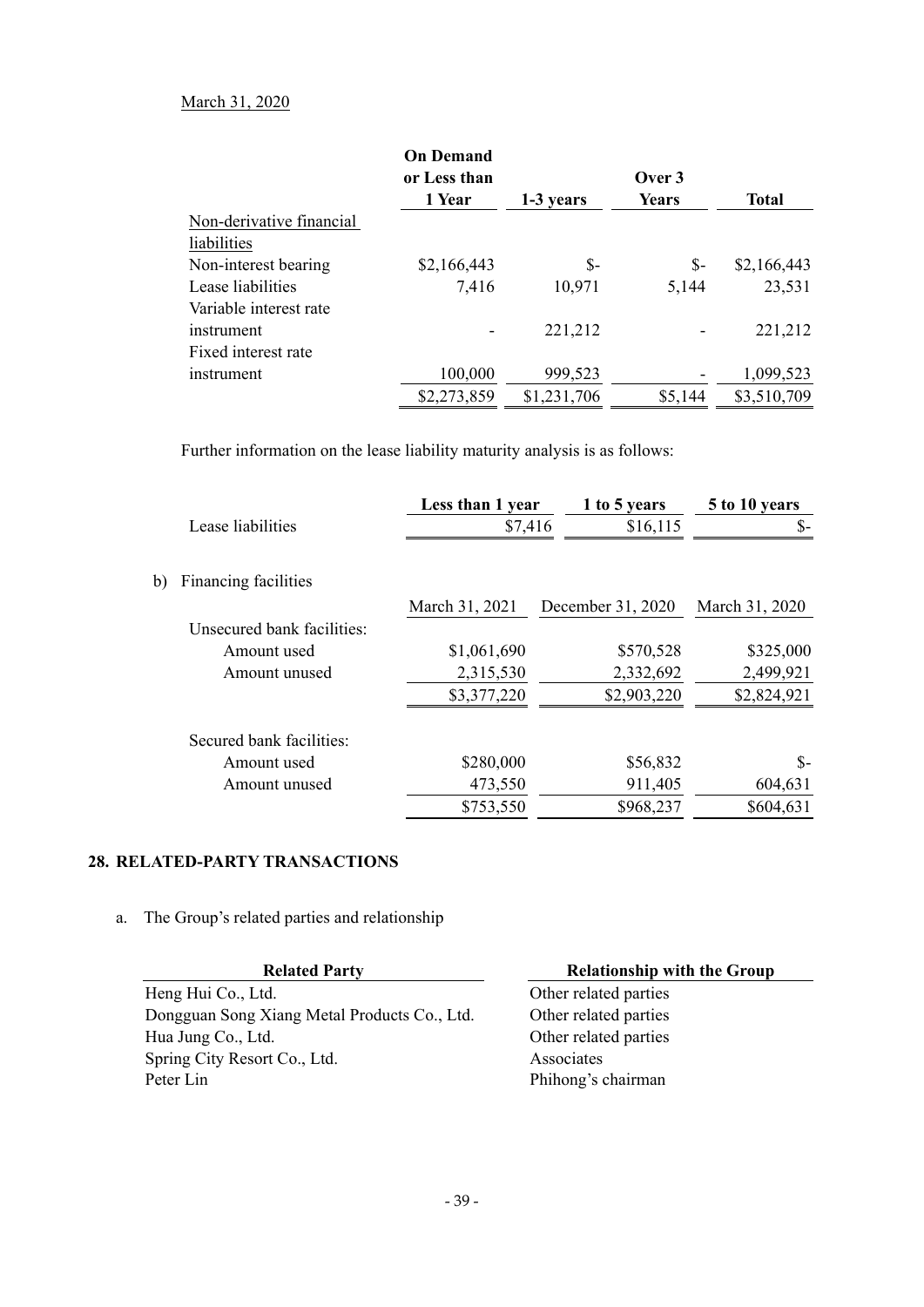### March 31, 2020

|                          | <b>On Demand</b><br>or Less than |             | Over 3       |              |
|--------------------------|----------------------------------|-------------|--------------|--------------|
|                          | 1 Year                           | 1-3 years   | <b>Years</b> | <b>Total</b> |
| Non-derivative financial |                                  |             |              |              |
| liabilities              |                                  |             |              |              |
| Non-interest bearing     | \$2,166,443                      | $S-$        | $S-$         | \$2,166,443  |
| Lease liabilities        | 7,416                            | 10,971      | 5,144        | 23,531       |
| Variable interest rate   |                                  |             |              |              |
| instrument               |                                  | 221,212     |              | 221,212      |
| Fixed interest rate      |                                  |             |              |              |
| instrument               | 100,000                          | 999,523     |              | 1,099,523    |
|                          | \$2,273,859                      | \$1,231,706 | \$5,144      | \$3,510,709  |

Further information on the lease liability maturity analysis is as follows:

|                            | Less than 1 year | 1 to 5 years      | 5 to 10 years  |
|----------------------------|------------------|-------------------|----------------|
| Lease liabilities          | \$7,416          | \$16,115          | \$-            |
| Financing facilities       |                  |                   |                |
|                            | March 31, 2021   | December 31, 2020 | March 31, 2020 |
| Unsecured bank facilities: |                  |                   |                |
| Amount used                | \$1,061,690      | \$570,528         | \$325,000      |
| Amount unused              | 2,315,530        | 2,332,692         | 2,499,921      |
|                            | \$3,377,220      | \$2,903,220       | \$2,824,921    |
| Secured bank facilities:   |                  |                   |                |
| Amount used                | \$280,000        | \$56,832          | \$-            |
| Amount unused              | 473,550          | 911,405           | 604,631        |
|                            | \$753,550        | \$968,237         | \$604,631      |

# **28. RELATED-PARTY TRANSACTIONS**

 $b)$ 

a. The Group's related parties and relationship

| <b>Related Party</b>                         | <b>Relationship with the Group</b> |
|----------------------------------------------|------------------------------------|
| Heng Hui Co., Ltd.                           | Other related parties              |
| Dongguan Song Xiang Metal Products Co., Ltd. | Other related parties              |
| Hua Jung Co., Ltd.                           | Other related parties              |
| Spring City Resort Co., Ltd.                 | Associates                         |
| Peter Lin                                    | Phihong's chairman                 |
|                                              |                                    |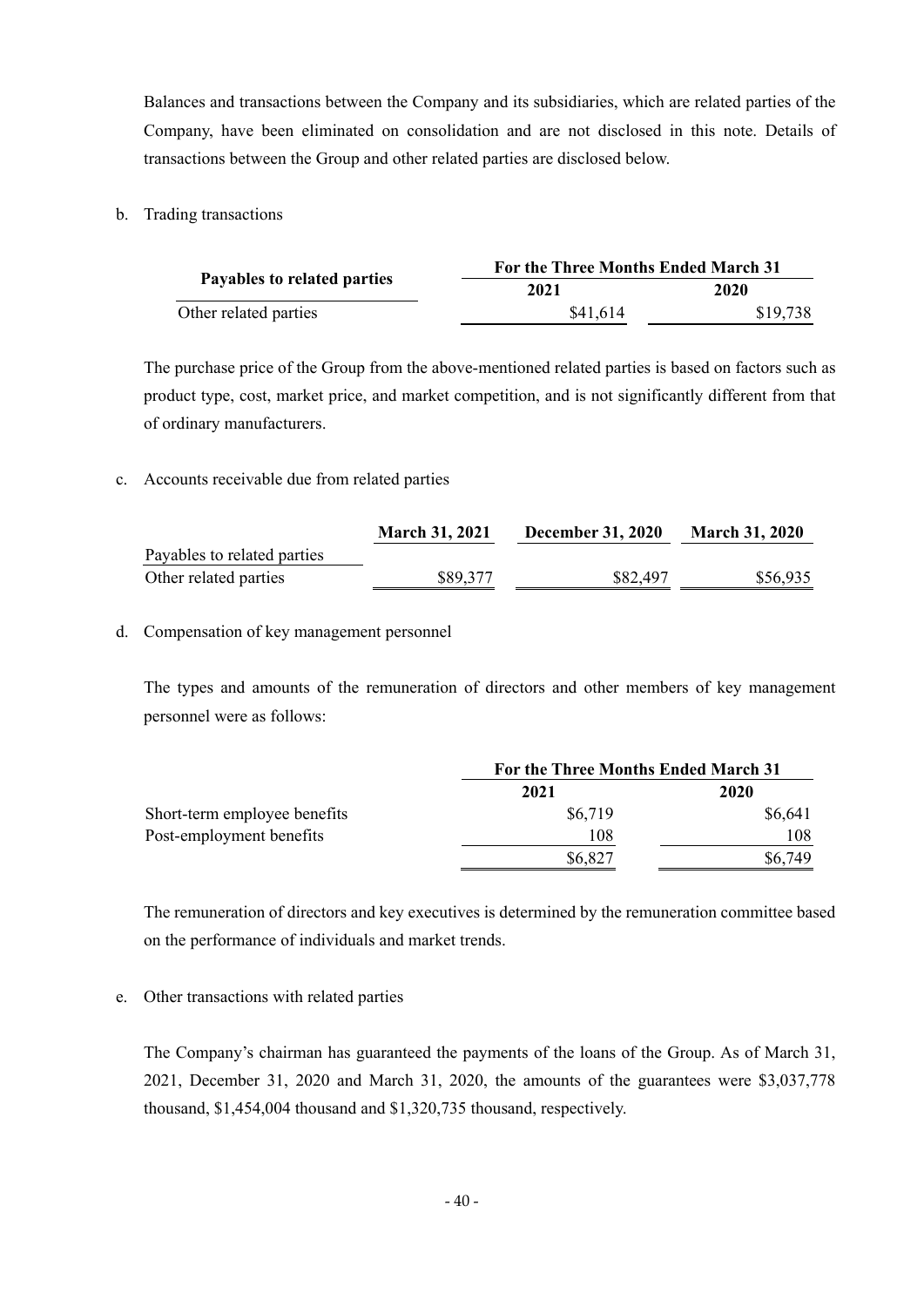Balances and transactions between the Company and its subsidiaries, which are related parties of the Company, have been eliminated on consolidation and are not disclosed in this note. Details of transactions between the Group and other related parties are disclosed below.

b. Trading transactions

|                             | For the Three Months Ended March 31 |          |
|-----------------------------|-------------------------------------|----------|
| Payables to related parties | 2021                                | 2020     |
| Other related parties       | \$41,614                            | \$19,738 |

The purchase price of the Group from the above-mentioned related parties is based on factors such as product type, cost, market price, and market competition, and is not significantly different from that of ordinary manufacturers.

### c. Accounts receivable due from related parties

|                             | <b>March 31, 2021</b> | <b>December 31, 2020</b> | <b>March 31, 2020</b> |
|-----------------------------|-----------------------|--------------------------|-----------------------|
| Payables to related parties |                       |                          |                       |
| Other related parties       | \$89,377              | \$82,497                 | \$56,935              |

### d. Compensation of key management personnel

The types and amounts of the remuneration of directors and other members of key management personnel were as follows:

|                              | For the Three Months Ended March 31 |         |
|------------------------------|-------------------------------------|---------|
|                              | 2021                                | 2020    |
| Short-term employee benefits | \$6,719                             | \$6,641 |
| Post-employment benefits     | 108                                 | 108     |
|                              | \$6,827                             | \$6.749 |

The remuneration of directors and key executives is determined by the remuneration committee based on the performance of individuals and market trends.

### e. Other transactions with related parties

The Company's chairman has guaranteed the payments of the loans of the Group. As of March 31, 2021, December 31, 2020 and March 31, 2020, the amounts of the guarantees were \$3,037,778 thousand, \$1,454,004 thousand and \$1,320,735 thousand, respectively.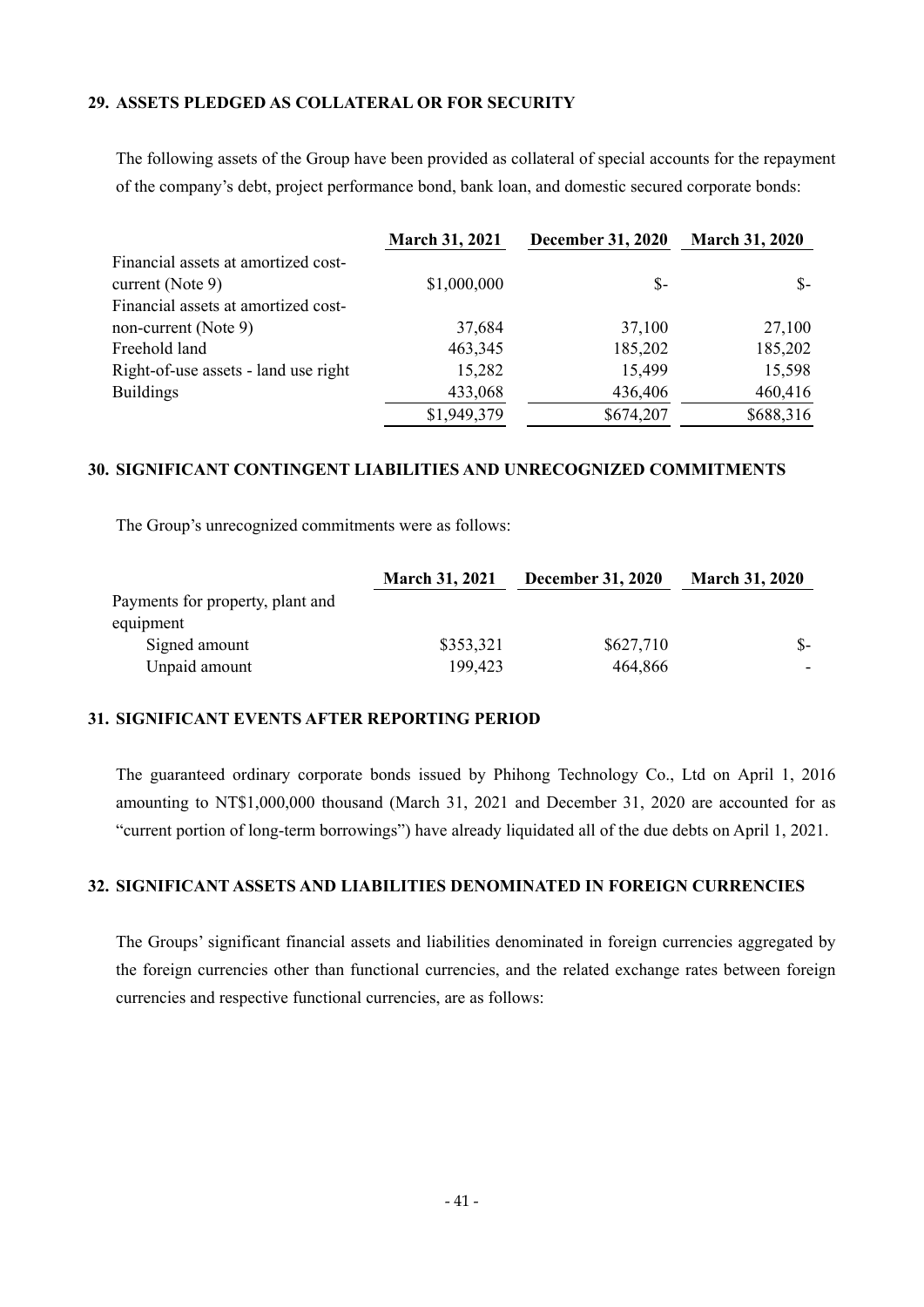### **29. ASSETS PLEDGED AS COLLATERAL OR FOR SECURITY**

The following assets of the Group have been provided as collateral of special accounts for the repayment of the company's debt, project performance bond, bank loan, and domestic secured corporate bonds:

|                                      | <b>March 31, 2021</b> | <b>December 31, 2020</b> | <b>March 31, 2020</b> |
|--------------------------------------|-----------------------|--------------------------|-----------------------|
| Financial assets at amortized cost-  |                       |                          |                       |
| current (Note $9$ )                  | \$1,000,000           | $S-$                     | $S-$                  |
| Financial assets at amortized cost-  |                       |                          |                       |
| non-current (Note 9)                 | 37,684                | 37,100                   | 27,100                |
| Freehold land                        | 463,345               | 185,202                  | 185,202               |
| Right-of-use assets - land use right | 15,282                | 15,499                   | 15,598                |
| <b>Buildings</b>                     | 433,068               | 436,406                  | 460,416               |
|                                      | \$1,949,379           | \$674,207                | \$688,316             |

### **30. SIGNIFICANT CONTINGENT LIABILITIES AND UNRECOGNIZED COMMITMENTS**

The Group's unrecognized commitments were as follows:

|                                  | <b>March 31, 2021</b> | <b>December 31, 2020</b> | <b>March 31, 2020</b> |  |
|----------------------------------|-----------------------|--------------------------|-----------------------|--|
| Payments for property, plant and |                       |                          |                       |  |
| equipment                        |                       |                          |                       |  |
| Signed amount                    | \$353,321             | \$627,710                |                       |  |
| Unpaid amount                    | 199,423               | 464,866                  |                       |  |

### **31. SIGNIFICANT EVENTS AFTER REPORTING PERIOD**

The guaranteed ordinary corporate bonds issued by Phihong Technology Co., Ltd on April 1, 2016 amounting to NT\$1,000,000 thousand (March 31, 2021 and December 31, 2020 are accounted for as "current portion of long-term borrowings") have already liquidated all of the due debts on April 1, 2021.

### **32. SIGNIFICANT ASSETS AND LIABILITIES DENOMINATED IN FOREIGN CURRENCIES**

The Groups' significant financial assets and liabilities denominated in foreign currencies aggregated by the foreign currencies other than functional currencies, and the related exchange rates between foreign currencies and respective functional currencies, are as follows: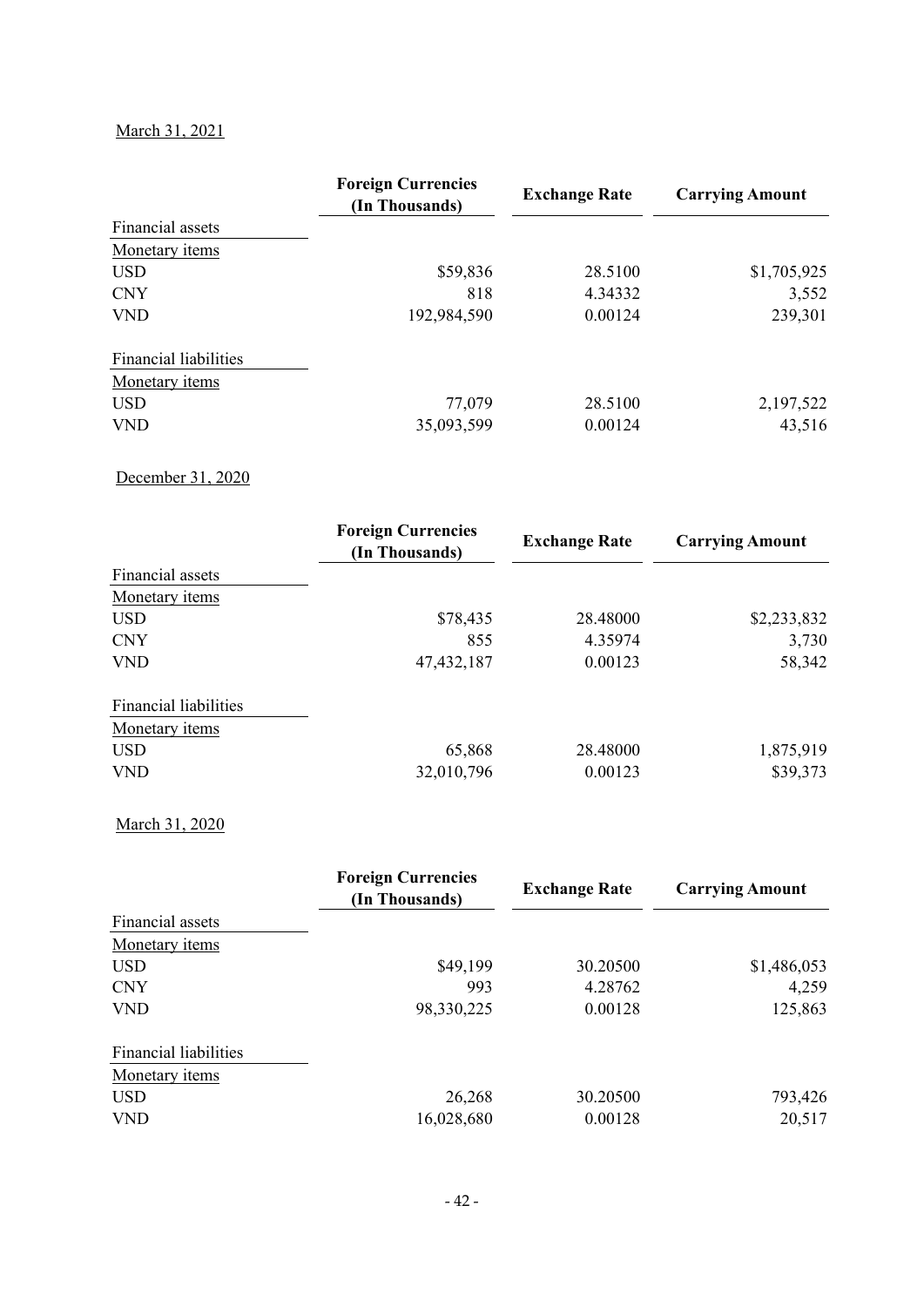# March 31, 2021

|                              | <b>Foreign Currencies</b><br>(In Thousands) | <b>Exchange Rate</b> | <b>Carrying Amount</b> |  |  |
|------------------------------|---------------------------------------------|----------------------|------------------------|--|--|
| Financial assets             |                                             |                      |                        |  |  |
| Monetary items               |                                             |                      |                        |  |  |
| <b>USD</b>                   | \$59,836                                    | 28.5100              | \$1,705,925            |  |  |
| <b>CNY</b>                   | 818                                         | 4.34332              | 3,552                  |  |  |
| <b>VND</b>                   | 192,984,590                                 | 0.00124              | 239,301                |  |  |
| <b>Financial liabilities</b> |                                             |                      |                        |  |  |
| Monetary items               |                                             |                      |                        |  |  |
| <b>USD</b>                   | 77,079                                      | 28.5100              | 2,197,522              |  |  |
| <b>VND</b>                   | 35,093,599                                  | 0.00124              | 43,516                 |  |  |

# December 31, 2020

|                              | <b>Foreign Currencies</b><br>(In Thousands) | <b>Exchange Rate</b> | <b>Carrying Amount</b> |  |  |
|------------------------------|---------------------------------------------|----------------------|------------------------|--|--|
| Financial assets             |                                             |                      |                        |  |  |
| Monetary items               |                                             |                      |                        |  |  |
| <b>USD</b>                   | \$78,435                                    | 28.48000             | \$2,233,832            |  |  |
| <b>CNY</b>                   | 855                                         | 4.35974              | 3,730                  |  |  |
| <b>VND</b>                   | 47, 432, 187                                | 0.00123              | 58,342                 |  |  |
| <b>Financial liabilities</b> |                                             |                      |                        |  |  |
| Monetary items               |                                             |                      |                        |  |  |
| <b>USD</b>                   | 65,868                                      | 28.48000             | 1,875,919              |  |  |
| <b>VND</b>                   | 32,010,796                                  | 0.00123              | \$39,373               |  |  |

### March 31, 2020

|                              | <b>Foreign Currencies</b><br>(In Thousands) | <b>Exchange Rate</b> | <b>Carrying Amount</b> |  |  |
|------------------------------|---------------------------------------------|----------------------|------------------------|--|--|
| Financial assets             |                                             |                      |                        |  |  |
| Monetary items               |                                             |                      |                        |  |  |
| <b>USD</b>                   | \$49,199                                    | 30.20500             | \$1,486,053            |  |  |
| <b>CNY</b>                   | 993                                         | 4.28762              | 4,259                  |  |  |
| <b>VND</b>                   | 98,330,225                                  | 0.00128              | 125,863                |  |  |
| <b>Financial liabilities</b> |                                             |                      |                        |  |  |
| Monetary <i>items</i>        |                                             |                      |                        |  |  |
| <b>USD</b>                   | 26,268                                      | 30.20500             | 793,426                |  |  |
| <b>VND</b>                   | 16,028,680                                  | 0.00128              | 20,517                 |  |  |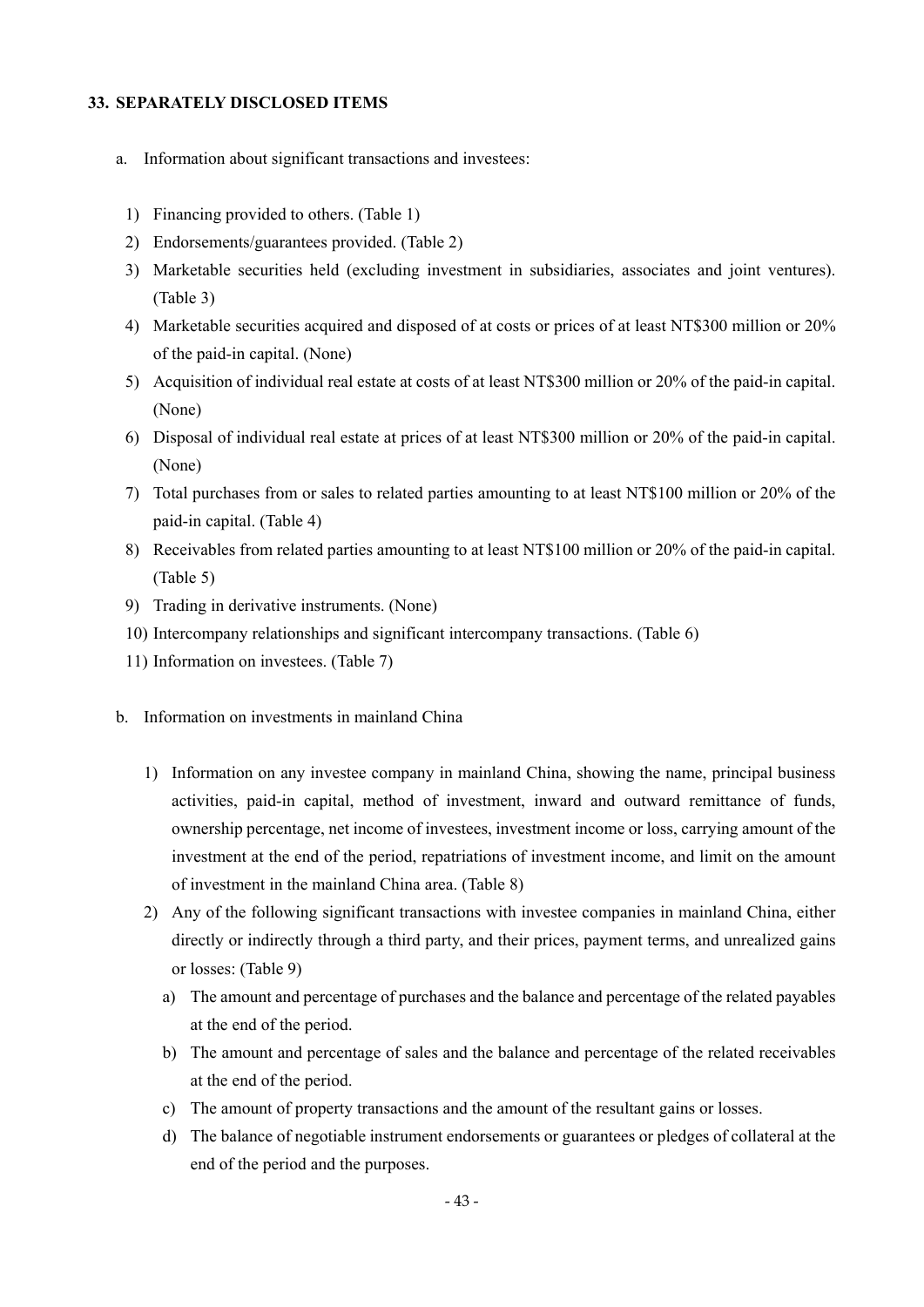### **33. SEPARATELY DISCLOSED ITEMS**

- a. Information about significant transactions and investees:
	- 1) Financing provided to others. (Table 1)
- 2) Endorsements/guarantees provided. (Table 2)
- 3) Marketable securities held (excluding investment in subsidiaries, associates and joint ventures). (Table 3)
- 4) Marketable securities acquired and disposed of at costs or prices of at least NT\$300 million or 20% of the paid-in capital. (None)
- 5) Acquisition of individual real estate at costs of at least NT\$300 million or 20% of the paid-in capital. (None)
- 6) Disposal of individual real estate at prices of at least NT\$300 million or 20% of the paid-in capital. (None)
- 7) Total purchases from or sales to related parties amounting to at least NT\$100 million or 20% of the paid-in capital. (Table 4)
- 8) Receivables from related parties amounting to at least NT\$100 million or 20% of the paid-in capital. (Table 5)
- 9) Trading in derivative instruments. (None)
- 10) Intercompany relationships and significant intercompany transactions. (Table 6)
- 11) Information on investees. (Table 7)
- b. Information on investments in mainland China
	- 1) Information on any investee company in mainland China, showing the name, principal business activities, paid-in capital, method of investment, inward and outward remittance of funds, ownership percentage, net income of investees, investment income or loss, carrying amount of the investment at the end of the period, repatriations of investment income, and limit on the amount of investment in the mainland China area. (Table 8)
	- 2) Any of the following significant transactions with investee companies in mainland China, either directly or indirectly through a third party, and their prices, payment terms, and unrealized gains or losses: (Table 9)
		- a) The amount and percentage of purchases and the balance and percentage of the related payables at the end of the period.
		- b) The amount and percentage of sales and the balance and percentage of the related receivables at the end of the period.
		- c) The amount of property transactions and the amount of the resultant gains or losses.
		- d) The balance of negotiable instrument endorsements or guarantees or pledges of collateral at the end of the period and the purposes.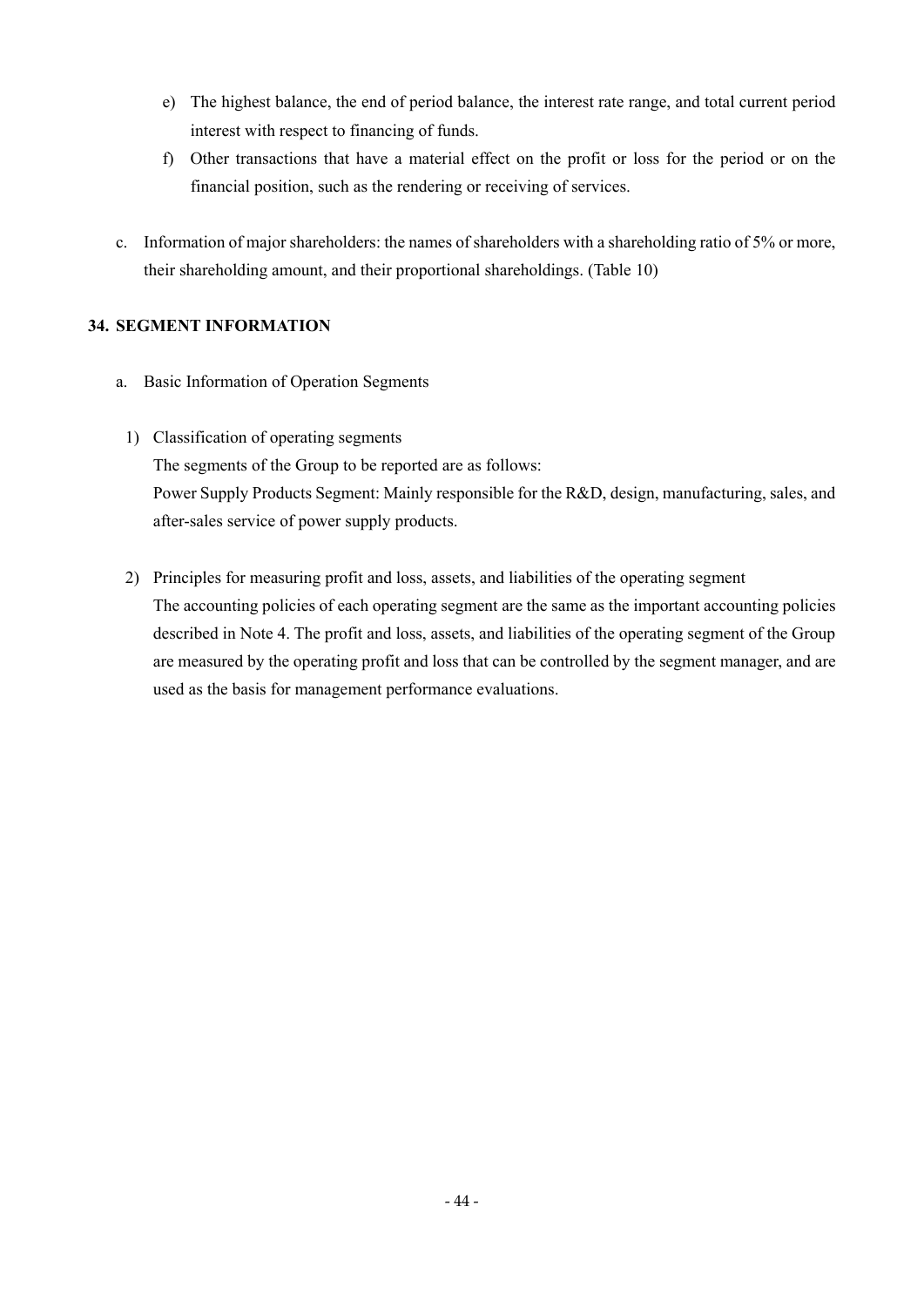- e) The highest balance, the end of period balance, the interest rate range, and total current period interest with respect to financing of funds.
- f) Other transactions that have a material effect on the profit or loss for the period or on the financial position, such as the rendering or receiving of services.
- c. Information of major shareholders: the names of shareholders with a shareholding ratio of 5% or more, their shareholding amount, and their proportional shareholdings. (Table 10)

## **34. SEGMENT INFORMATION**

- a. Basic Information of Operation Segments
- 1) Classification of operating segments The segments of the Group to be reported are as follows: Power Supply Products Segment: Mainly responsible for the R&D, design, manufacturing, sales, and after-sales service of power supply products.
- 2) Principles for measuring profit and loss, assets, and liabilities of the operating segment The accounting policies of each operating segment are the same as the important accounting policies described in Note 4. The profit and loss, assets, and liabilities of the operating segment of the Group are measured by the operating profit and loss that can be controlled by the segment manager, and are used as the basis for management performance evaluations.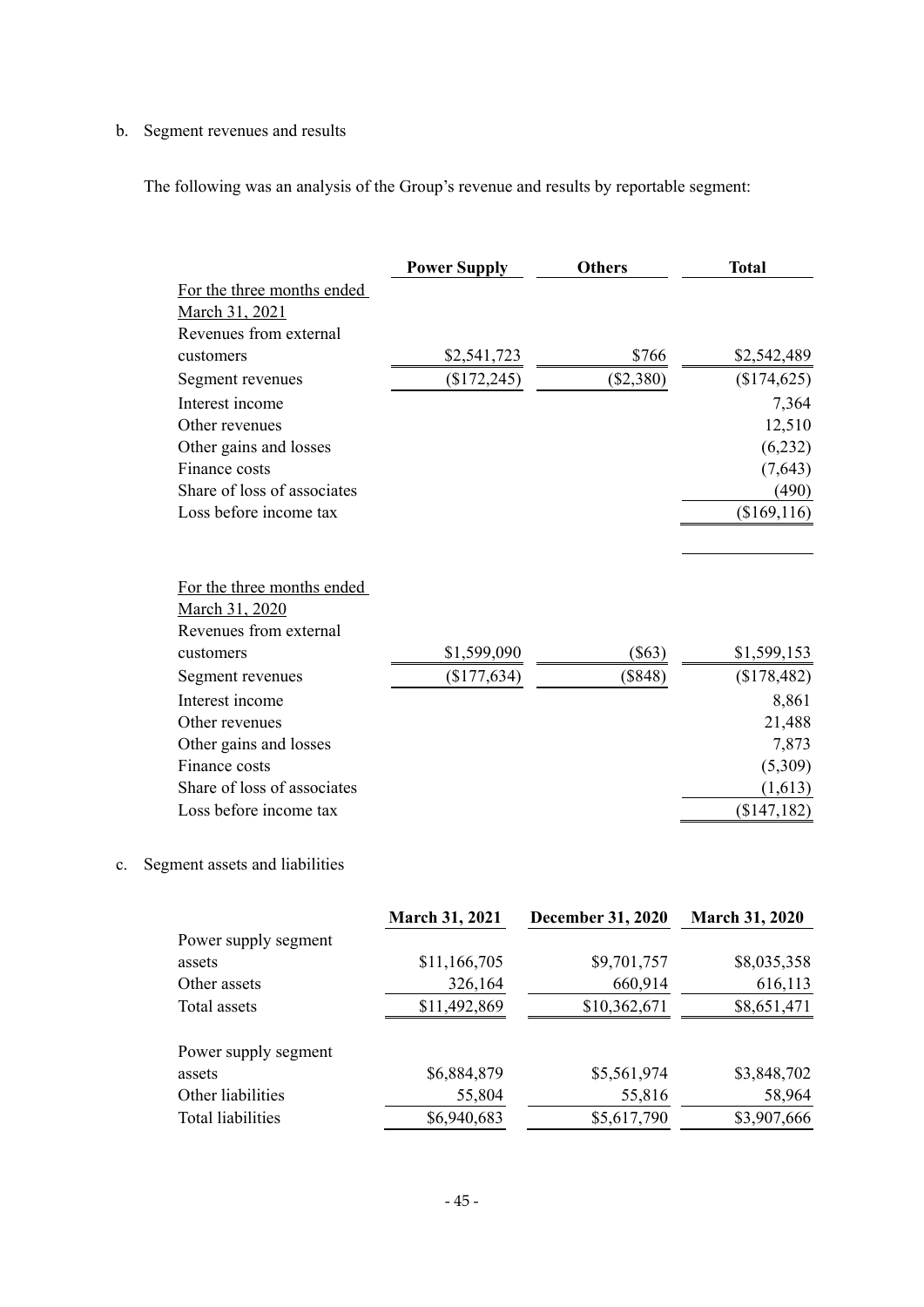# b. Segment revenues and results

The following was an analysis of the Group's revenue and results by reportable segment:

|                                          | <b>Power Supply</b> | <b>Others</b> | <b>Total</b> |  |  |
|------------------------------------------|---------------------|---------------|--------------|--|--|
| For the three months ended               |                     |               |              |  |  |
| March 31, 2021                           |                     |               |              |  |  |
| Revenues from external                   |                     |               |              |  |  |
| customers                                | \$2,541,723         | \$766         | \$2,542,489  |  |  |
| Segment revenues                         | (\$172,245)         | $(\$2,380)$   | (\$174,625)  |  |  |
| Interest income                          |                     |               | 7,364        |  |  |
| Other revenues                           |                     |               | 12,510       |  |  |
| Other gains and losses                   |                     |               | (6,232)      |  |  |
| Finance costs                            |                     |               | (7,643)      |  |  |
| Share of loss of associates              |                     |               | (490)        |  |  |
| Loss before income tax                   |                     |               | (\$169, 116) |  |  |
| For the three months ended               |                     |               |              |  |  |
| March 31, 2020<br>Revenues from external |                     |               |              |  |  |
| customers                                | \$1,599,090         | $(\$63)$      | \$1,599,153  |  |  |
| Segment revenues                         | (\$177,634)         | $(\$848)$     | (\$178,482)  |  |  |
| Interest income                          |                     |               | 8,861        |  |  |
| Other revenues                           |                     |               | 21,488       |  |  |
| Other gains and losses                   |                     |               | 7,873        |  |  |
| Finance costs                            |                     |               | (5,309)      |  |  |
| Share of loss of associates              |                     |               | (1,613)      |  |  |
| Loss before income tax                   |                     |               | (\$147,182)  |  |  |

# c. Segment assets and liabilities

| March 31, 2021       |              | <b>December 31, 2020</b> | <b>March 31, 2020</b> |  |
|----------------------|--------------|--------------------------|-----------------------|--|
| Power supply segment |              |                          |                       |  |
| assets               | \$11,166,705 | \$9,701,757              | \$8,035,358           |  |
| Other assets         | 326,164      | 660,914                  | 616,113               |  |
| Total assets         | \$11,492,869 | \$10,362,671             | \$8,651,471           |  |
| Power supply segment |              |                          |                       |  |
| assets               | \$6,884,879  | \$5,561,974              | \$3,848,702           |  |
| Other liabilities    | 55,804       | 55,816                   | 58,964                |  |
| Total liabilities    | \$6,940,683  | \$5,617,790              | \$3,907,666           |  |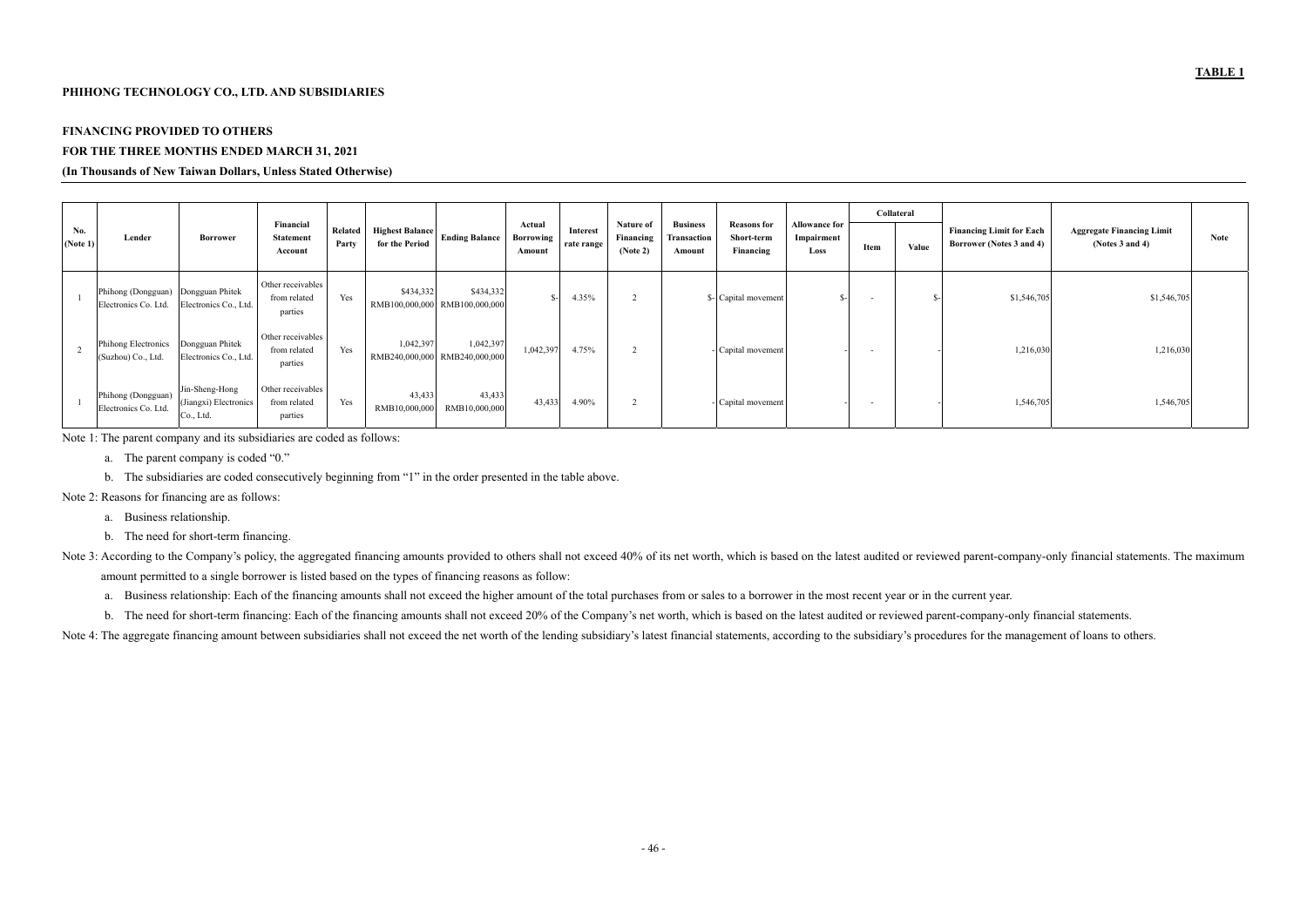### **PHIHONG TECHNOLOGY CO., LTD. AND SUBSIDIARIES**

# **FINANCING PROVIDED TO OTHERS**

# **FOR THE THREE MONTHS ENDED MARCH 31, 2021**

### **(In Thousands of New Taiwan Dollars, Unless Stated Otherwise)**

|                 |                                            |                                                      |                                              |                         |                                                                   |                                      |                        |                                    |                                                 |                                               |                                            | Collateral |       |                                                             |                                                          |             |
|-----------------|--------------------------------------------|------------------------------------------------------|----------------------------------------------|-------------------------|-------------------------------------------------------------------|--------------------------------------|------------------------|------------------------------------|-------------------------------------------------|-----------------------------------------------|--------------------------------------------|------------|-------|-------------------------------------------------------------|----------------------------------------------------------|-------------|
| No.<br>(Note 1) | Lender                                     | <b>Borrower</b>                                      | Financial<br><b>Statement</b><br>Account     | <b>Related</b><br>Party | <b>Highest Balance</b><br><b>Ending Balance</b><br>for the Period | Actual<br><b>Borrowing</b><br>Amount | Interest<br>rate range | Nature of<br>Financing<br>(Note 2) | <b>Business</b><br><b>Fransaction</b><br>Amount | <b>Reasons for</b><br>Short-term<br>Financing | <b>Allowance for</b><br>Impairment<br>Loss | Item       | Value | <b>Financing Limit for Each</b><br>Borrower (Notes 3 and 4) | <b>Aggregate Financing Limit</b><br>(Notes $3$ and $4$ ) | <b>Note</b> |
|                 | Phihong (Dongguan)<br>Electronics Co. Ltd. | Dongguan Phitek<br>Electronics Co., Ltd.             | Other receivables<br>from related<br>parties | Yes                     | \$434,332<br>\$434,332<br>RMB100,000,000 RMB100,000,000           |                                      | 4.35%                  |                                    |                                                 | \$- Capital movement                          |                                            |            |       | \$1,546,705                                                 | \$1,546,705                                              |             |
|                 | Phihong Electronics<br>(Suzhou) Co., Ltd.  | Dongguan Phitek<br>Electronics Co., Ltd.             | Other receivables<br>from related<br>parties | Yes                     | 1,042,397<br>1,042,397<br>RMB240,000,000<br>RMB240,000,000        | 1,042,397                            | 4.75%                  |                                    |                                                 | - Capital movement                            |                                            | $\sim$     |       | 1,216,030                                                   | 1,216,030                                                |             |
|                 | Phihong (Dongguan)<br>Electronics Co. Ltd. | Jin-Sheng-Hong<br>(Jiangxi) Electronics<br>Co., Ltd. | Other receivables<br>from related<br>parties | Yes                     | 43,433<br>43,433<br>RMB10,000,000<br>RMB10,000,000                | 43,433                               | 4.90%                  |                                    |                                                 | - Capital movement                            |                                            |            |       | 1,546,705                                                   | 1,546,705                                                |             |

Note 1: The parent company and its subsidiaries are coded as follows:

- a. The parent company is coded "0."
- b. The subsidiaries are coded consecutively beginning from "1" in the order presented in the table above.

Note 2: Reasons for financing are as follows:

- a. Business relationship.
- b. The need for short-term financing.
- Note 3: According to the Company's policy, the aggregated financing amounts provided to others shall not exceed 40% of its net worth, which is based on the latest audited or reviewed parent-company-only financial statement amount permitted to a single borrower is listed based on the types of financing reasons as follow:
	- a. Business relationship: Each of the financing amounts shall not exceed the higher amount of the total purchases from or sales to a borrower in the most recent year or in the current year.
	- b. The need for short-term financing: Each of the financing amounts shall not exceed 20% of the Company's net worth, which is based on the latest audited or reviewed parent-company-only financial statements.

Note 4: The aggregate financing amount between subsidiaries shall not exceed the net worth of the lending subsidiary's latest financial statements, according to the subsidiary's procedures for the management of loans to ot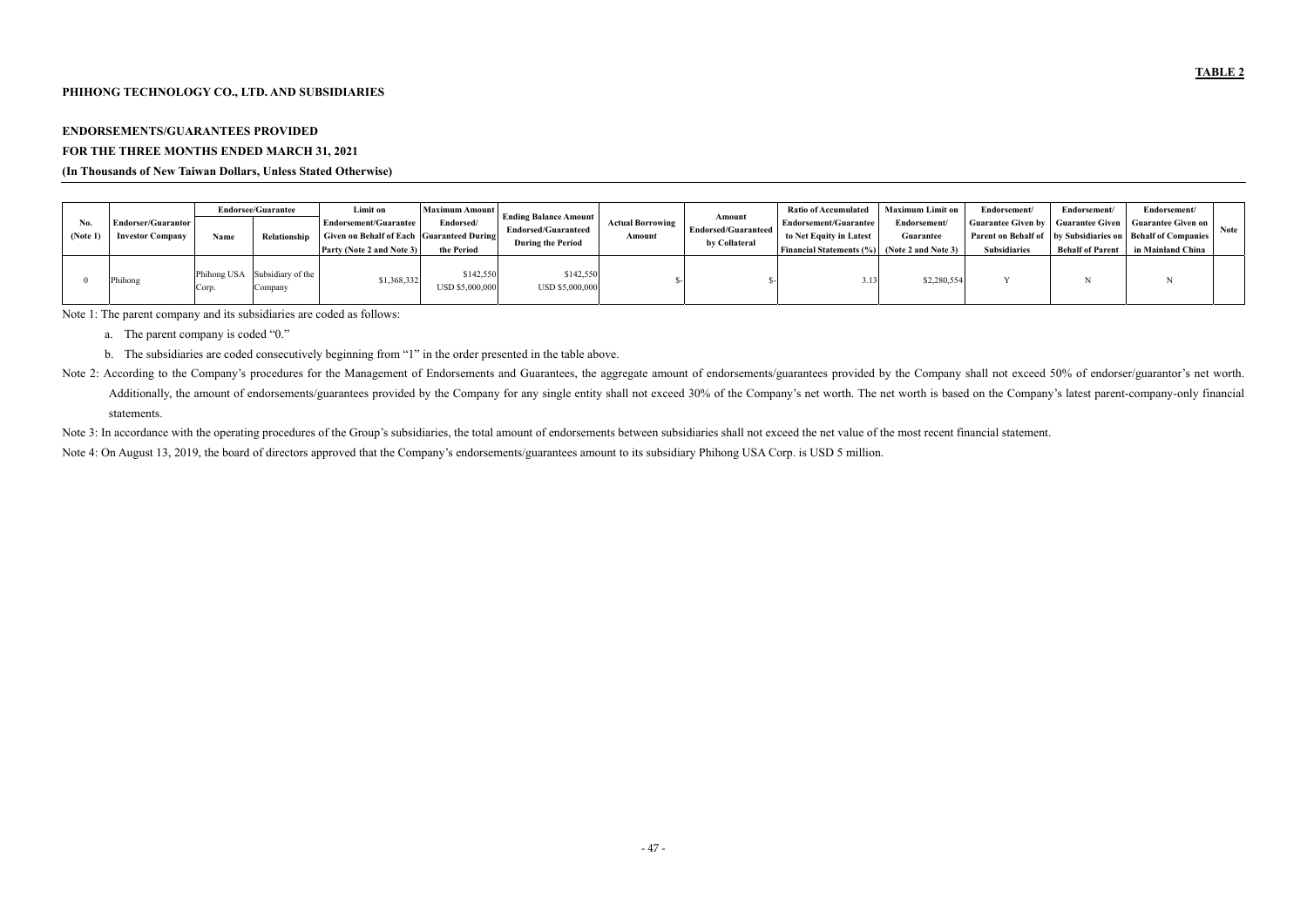### **PHIHONG TECHNOLOGY CO., LTD. AND SUBSIDIARIES**

# **ENDORSEMENTS/GUARANTEES PROVIDED FOR THE THREE MONTHS ENDED MARCH 31, 2021**

### **(In Thousands of New Taiwan Dollars, Unless Stated Otherwise)**

| N <sub>0</sub><br>(Note 1 | Endorser/Guarantor<br><b>Investor Company</b> | Name | <b>Endorsee/Guarantee</b><br>Relationship | Limit on<br><b>Endorsement/Guarantee</b><br>Given on Behalf of Each Guaranteed During<br><b>Party (Note 2 and Note 3)</b> | Maximum Amount<br>Endorsed/<br>the Period | <b>Ending Balance Amount</b><br><b>Endorsed/Guaranteed</b><br><b>During the Period</b> | <b>Actual Borrowing</b><br>Amount | Amount<br><b>Endorsed/Guaranteed</b><br>by Collateral | <b>Ratio of Accumulated</b><br>Endorsement/Guarantee<br>to Net Equity in Latest<br><b>Financial Statements (%)</b> | <b>Maximum Limit on</b><br>Endorsement/<br>Guarantee<br>(Note 2 and Note 3) | Endorsement/<br><b>Guarantee Given by</b><br><b>Subsidiaries</b> | Endorsement/<br><b>Guarantee Given</b><br><b>Behalf of Parent</b> | Endorsement/<br><b>Guarantee Given on  </b><br><b>Parent on Behalf of Lately Subsidiaries on Behalf of Companies</b><br>in Mainland China | Note |
|---------------------------|-----------------------------------------------|------|-------------------------------------------|---------------------------------------------------------------------------------------------------------------------------|-------------------------------------------|----------------------------------------------------------------------------------------|-----------------------------------|-------------------------------------------------------|--------------------------------------------------------------------------------------------------------------------|-----------------------------------------------------------------------------|------------------------------------------------------------------|-------------------------------------------------------------------|-------------------------------------------------------------------------------------------------------------------------------------------|------|
|                           | Phihong                                       | Corp | Phihong USA Subsidiary of the<br>Company  | \$1,368,332                                                                                                               | \$142,550<br>USD \$5,000,000              | \$142,550<br>USD \$5,000,000                                                           |                                   |                                                       |                                                                                                                    | \$2,280,554                                                                 |                                                                  |                                                                   |                                                                                                                                           |      |

Note 2: According to the Company's procedures for the Management of Endorsements and Guarantees, the aggregate amount of endorsements/guarantees provided by the Company shall not exceed 50% of endorser/guarantor's net wort Additionally, the amount of endorsements/guarantees provided by the Company for any single entity shall not exceed 30% of the Company's net worth. The net worth is based on the Company's latest parent-company-only financia statements.

Note 3: In accordance with the operating procedures of the Group's subsidiaries, the total amount of endorsements between subsidiaries shall not exceed the net value of the most recent financial statement. Note 4: On August 13, 2019, the board of directors approved that the Company's endorsements/guarantees amount to its subsidiary Phihong USA Corp. is USD 5 million.

Note 1: The parent company and its subsidiaries are coded as follows:

- a. The parent company is coded "0."
- b. The subsidiaries are coded consecutively beginning from "1" in the order presented in the table above.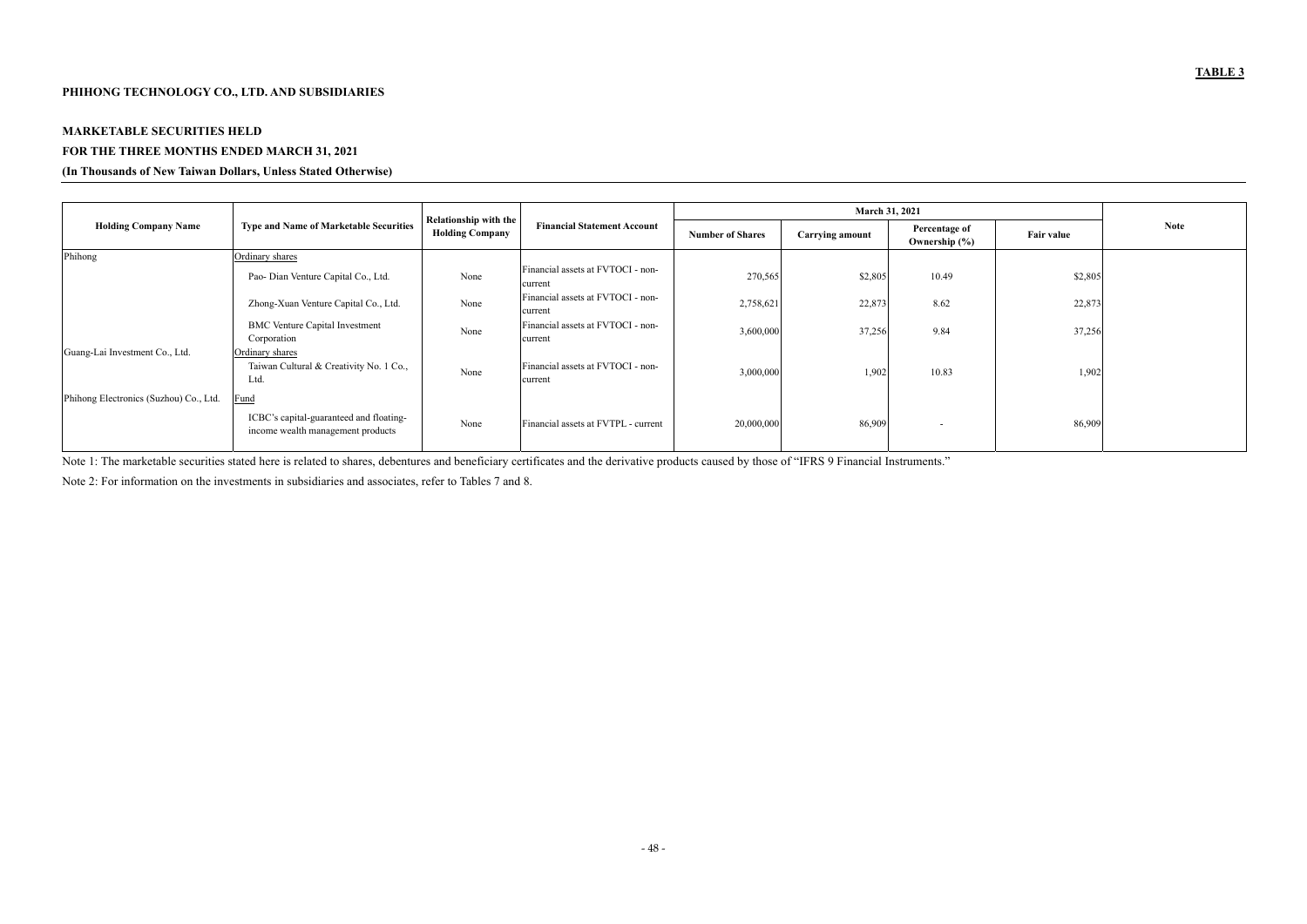# **PHIHONG TECHNOLOGY CO., LTD. AND SUBSIDIARIES**

# **MARKETABLE SECURITIES HELD FOR THE THREE MONTHS ENDED MARCH 31, 2021**

### **(In Thousands of New Taiwan Dollars, Unless Stated Otherwise)**

|                                        |                                                                                      |                                                 |                                              |                         | March 31, 2021         |                                    |                   |             |
|----------------------------------------|--------------------------------------------------------------------------------------|-------------------------------------------------|----------------------------------------------|-------------------------|------------------------|------------------------------------|-------------------|-------------|
| <b>Holding Company Name</b>            | <b>Type and Name of Marketable Securities</b>                                        | Relationship with the<br><b>Holding Company</b> | <b>Financial Statement Account</b>           | <b>Number of Shares</b> | <b>Carrying amount</b> | Percentage of<br>Ownership $(\% )$ | <b>Fair value</b> | <b>Note</b> |
| Phihong                                | Ordinary shares                                                                      |                                                 |                                              |                         |                        |                                    |                   |             |
|                                        | Pao- Dian Venture Capital Co., Ltd.                                                  | None                                            | Financial assets at FVTOCI - non-<br>current | 270,565                 | \$2,805                | 10.49                              | \$2,805           |             |
|                                        | Zhong-Xuan Venture Capital Co., Ltd.                                                 | None                                            | Financial assets at FVTOCI - non-<br>current | 2,758,621               | 22,873                 | 8.62                               | 22,873            |             |
|                                        | <b>BMC</b> Venture Capital Investment<br>Corporation                                 | None                                            | Financial assets at FVTOCI - non-<br>current | 3,600,000               | 37,256                 | 9.84                               | 37,256            |             |
| Guang-Lai Investment Co., Ltd.         | Ordinary shares<br>Taiwan Cultural & Creativity No. 1 Co.,<br>Ltd.                   | None                                            | Financial assets at FVTOCI - non-<br>current | 3,000,000               | 1,902                  | 10.83                              | 1,902             |             |
| Phihong Electronics (Suzhou) Co., Ltd. | Fund<br>ICBC's capital-guaranteed and floating-<br>income wealth management products | None                                            | Financial assets at FVTPL - current          | 20,000,000              | 86,909                 | $\overline{\phantom{0}}$           | 86,909            |             |

Note 1: The marketable securities stated here is related to shares, debentures and beneficiary certificates and the derivative products caused by those of "IFRS 9 Financial Instruments."

Note 2: For information on the investments in subsidiaries and associates, refer to Tables 7 and 8.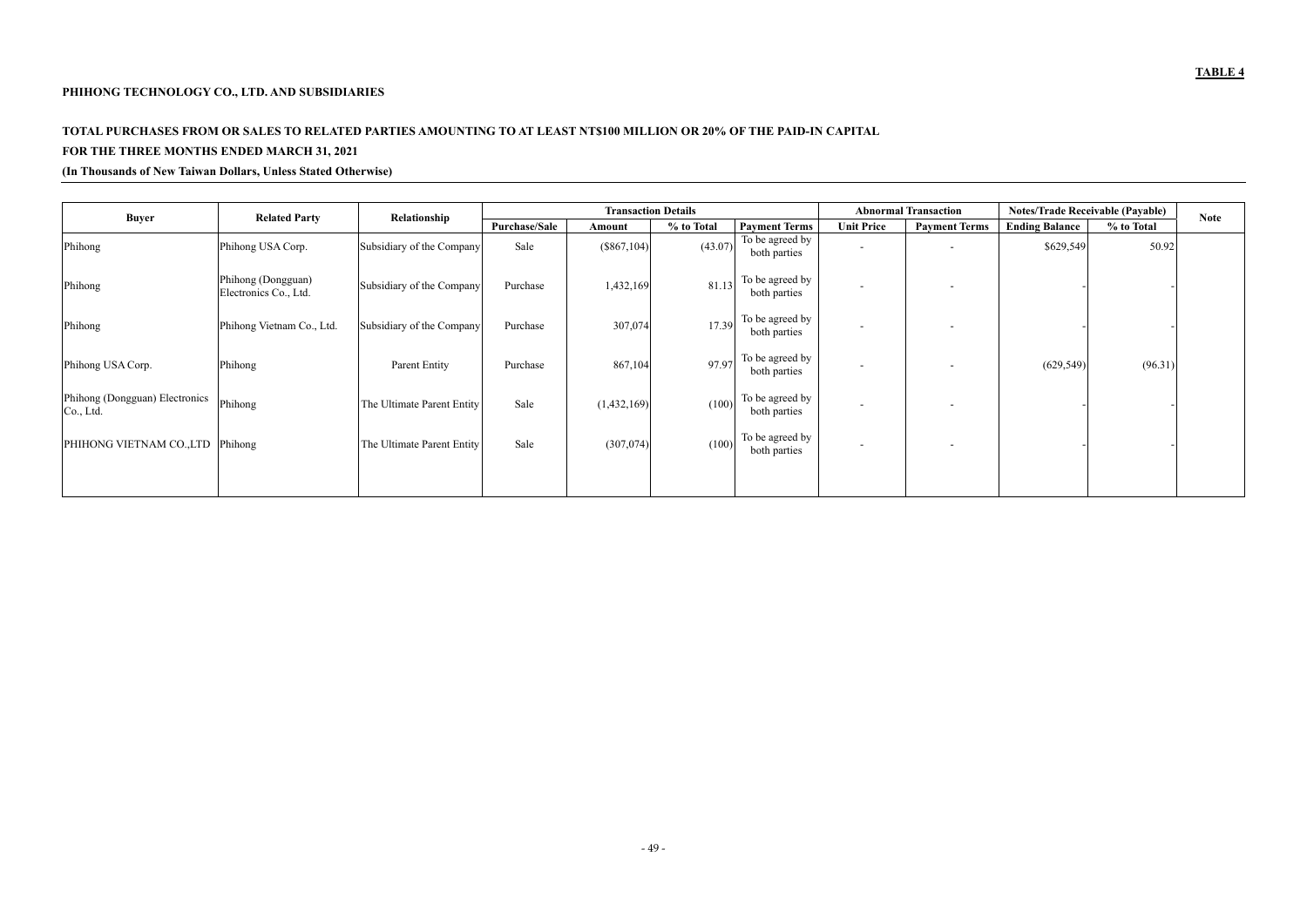# **PHIHONG TECHNOLOGY CO., LTD. AND SUBSIDIARIES**

# **TOTAL PURCHASES FROM OR SALES TO RELATED PARTIES AMOUNTING TO AT LEAST NT\$100 MILLION OR 20% OF THE PAID-IN CAPITAL FOR THE THREE MONTHS ENDED MARCH 31, 2021**

### **(In Thousands of New Taiwan Dollars, Unless Stated Otherwise)**

| <b>Buyer</b>                                | <b>Related Party</b>                        | Relationship               |               | <b>Transaction Details</b> |            |                                 |                          | <b>Abnormal Transaction</b> | <b>Notes/Trade Receivable (Payable)</b> |            | <b>Note</b> |
|---------------------------------------------|---------------------------------------------|----------------------------|---------------|----------------------------|------------|---------------------------------|--------------------------|-----------------------------|-----------------------------------------|------------|-------------|
|                                             |                                             |                            | Purchase/Sale | Amount                     | % to Total | <b>Payment Terms</b>            | <b>Unit Price</b>        | <b>Payment Terms</b>        | <b>Ending Balance</b>                   | % to Total |             |
| Phihong                                     | Phihong USA Corp.                           | Subsidiary of the Company  | Sale          | $(\$867,104)$              | (43.07)    | To be agreed by<br>both parties | $\overline{\phantom{0}}$ |                             | \$629,549                               | 50.92      |             |
| Phihong                                     | Phihong (Dongguan)<br>Electronics Co., Ltd. | Subsidiary of the Company  | Purchase      | 1,432,169                  | 81.13      | To be agreed by<br>both parties | $\overline{\phantom{0}}$ |                             |                                         |            |             |
| Phihong                                     | Phihong Vietnam Co., Ltd.                   | Subsidiary of the Company  | Purchase      | 307,074                    | 17.39      | To be agreed by<br>both parties | $\overline{\phantom{0}}$ |                             |                                         |            |             |
| Phihong USA Corp.                           | Phihong                                     | Parent Entity              | Purchase      | 867,104                    | 97.97      | To be agreed by<br>both parties | $\overline{\phantom{0}}$ |                             | (629, 549)                              | (96.31)    |             |
| Phihong (Dongguan) Electronics<br>Co., Ltd. | Phihong                                     | The Ultimate Parent Entity | Sale          | (1,432,169)                | (100)      | To be agreed by<br>both parties | $\overline{\phantom{0}}$ | $\overline{\phantom{0}}$    |                                         |            |             |
| PHIHONG VIETNAM CO.,LTD Phihong             |                                             | The Ultimate Parent Entity | Sale          | (307, 074)                 | (100)      | To be agreed by<br>both parties | $\sim$                   |                             |                                         |            |             |
|                                             |                                             |                            |               |                            |            |                                 |                          |                             |                                         |            |             |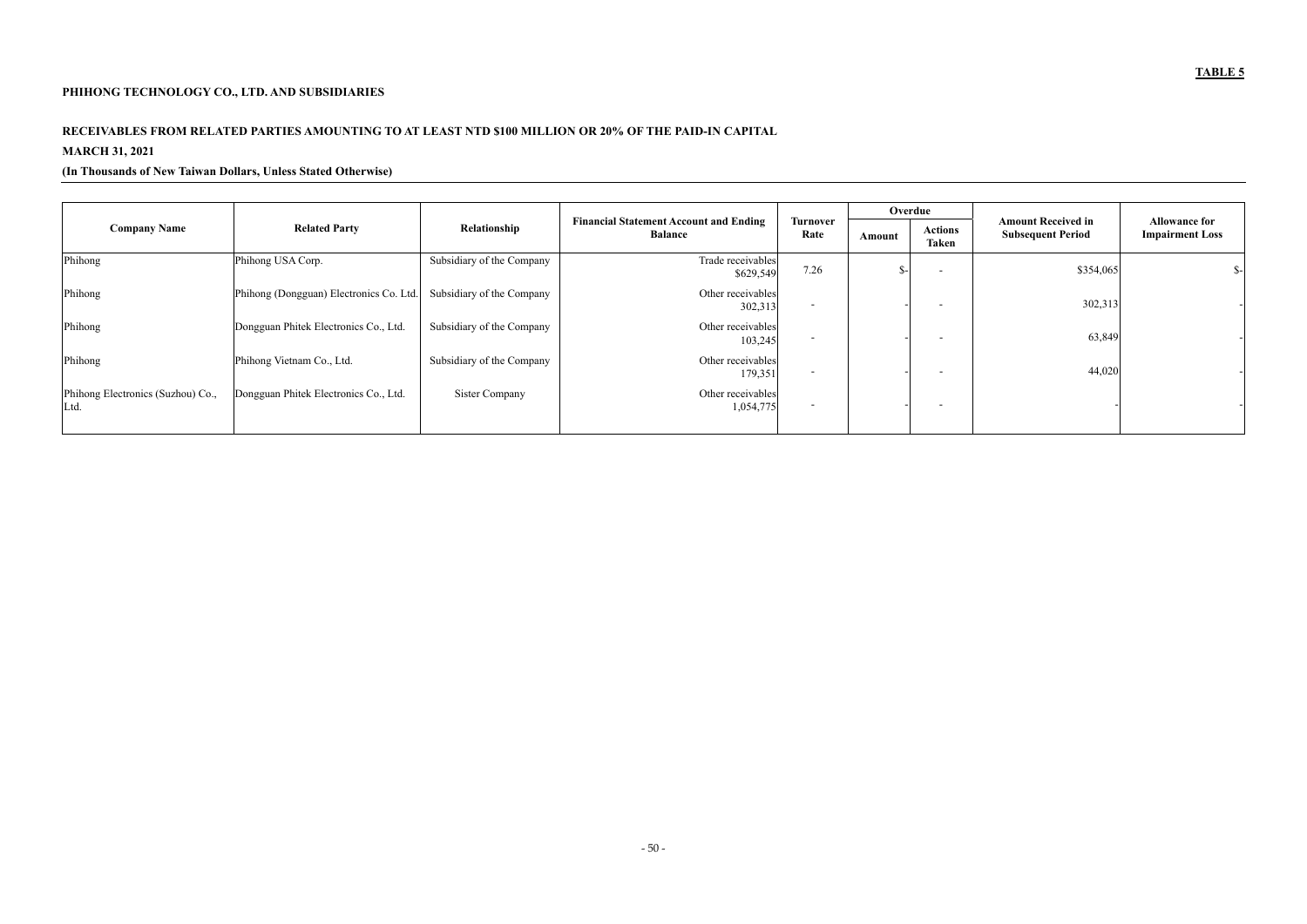# **PHIHONG TECHNOLOGY CO., LTD. AND SUBSIDIARIES**

# **RECEIVABLES FROM RELATED PARTIES AMOUNTING TO AT LEAST NTD \$100 MILLION OR 20% OF THE PAID-IN CAPITAL MARCH 31, 2021**

### **(In Thousands of New Taiwan Dollars, Unless Stated Otherwise)**

|                                           |                                         |                           |                                                                 |                          | Overdue |                         |                                                       |                                                |
|-------------------------------------------|-----------------------------------------|---------------------------|-----------------------------------------------------------------|--------------------------|---------|-------------------------|-------------------------------------------------------|------------------------------------------------|
| <b>Company Name</b>                       | <b>Related Party</b>                    | Relationship              | <b>Financial Statement Account and Ending</b><br><b>Balance</b> | Turnover<br>Rate         | Amount  | <b>Actions</b><br>Taken | <b>Amount Received in</b><br><b>Subsequent Period</b> | <b>Allowance for</b><br><b>Impairment Loss</b> |
| Phihong                                   | Phihong USA Corp.                       | Subsidiary of the Company | Trade receivables<br>\$629,549                                  | 7.26                     | $S-$    |                         | \$354,065                                             | $S-$                                           |
| Phihong                                   | Phihong (Dongguan) Electronics Co. Ltd. | Subsidiary of the Company | Other receivables<br>302,313                                    | $\overline{\phantom{a}}$ |         |                         | 302,313                                               |                                                |
| Phihong                                   | Dongguan Phitek Electronics Co., Ltd.   | Subsidiary of the Company | Other receivables<br>103,245                                    | . .                      |         |                         | 63,849                                                |                                                |
| Phihong                                   | Phihong Vietnam Co., Ltd.               | Subsidiary of the Company | Other receivables<br>179,351                                    | $\blacksquare$           |         |                         | 44,020                                                |                                                |
| Phihong Electronics (Suzhou) Co.,<br>Ltd. | Dongguan Phitek Electronics Co., Ltd.   | Sister Company            | Other receivables<br>1,054,775                                  | $\blacksquare$           |         |                         |                                                       |                                                |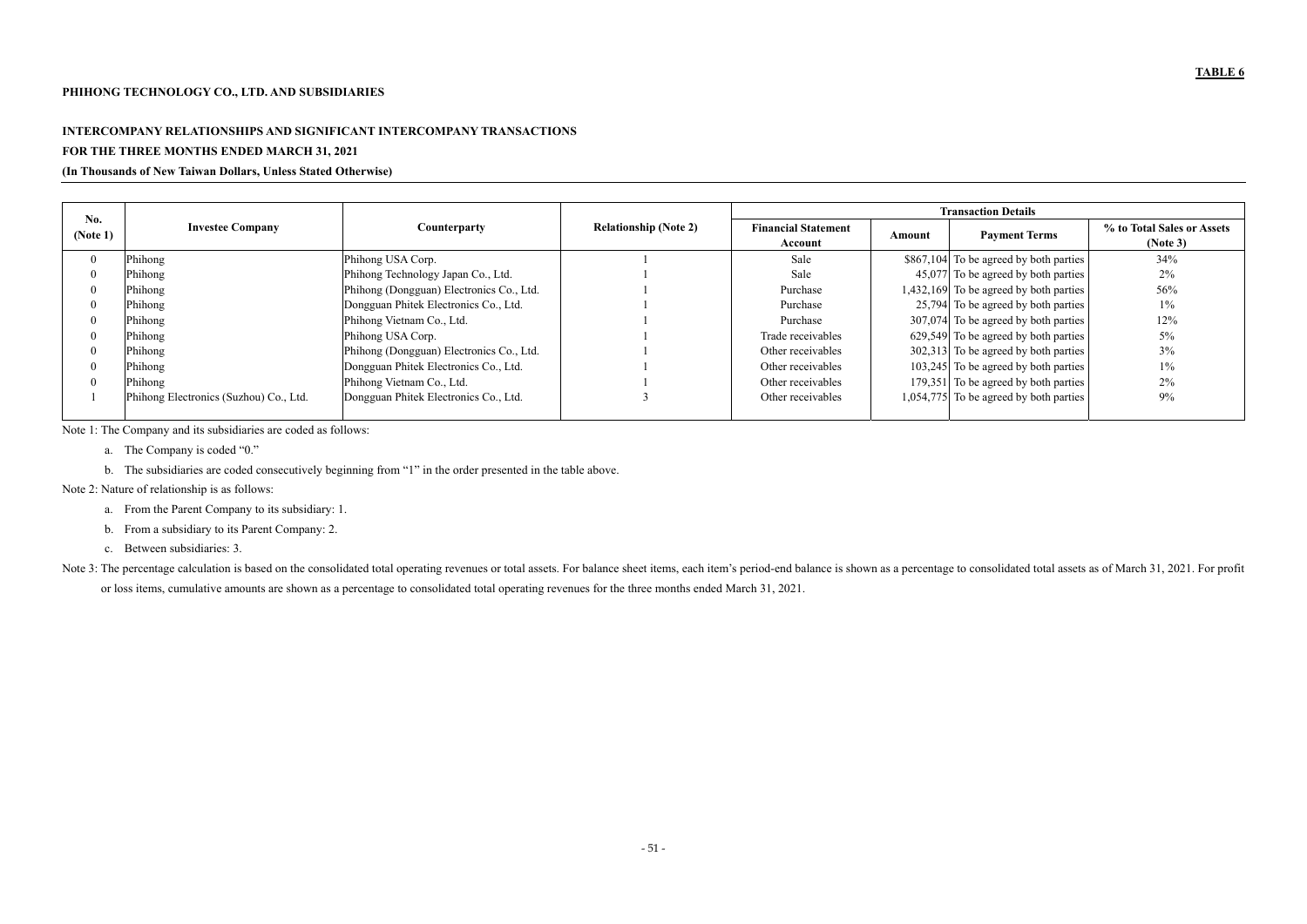# **INTERCOMPANY RELATIONSHIPS AND SIGNIFICANT INTERCOMPANY TRANSACTIONS FOR THE THREE MONTHS ENDED MARCH 31, 2021**

### **(In Thousands of New Taiwan Dollars, Unless Stated Otherwise)**

|                 |                                        |                                          |                              |                                       |        | <b>Transaction Details</b>               |                                        |
|-----------------|----------------------------------------|------------------------------------------|------------------------------|---------------------------------------|--------|------------------------------------------|----------------------------------------|
| No.<br>(Note 1) | <b>Investee Company</b>                | <b>Counterparty</b>                      | <b>Relationship (Note 2)</b> | <b>Financial Statement</b><br>Account | Amount | <b>Payment Terms</b>                     | % to Total Sales or Assets<br>(Note 3) |
|                 | Phihong                                | Phihong USA Corp.                        |                              | Sale                                  |        | $$867,104$ To be agreed by both parties  | 34%                                    |
|                 | Phihong                                | Phihong Technology Japan Co., Ltd.       |                              | Sale                                  |        | 45,077 To be agreed by both parties      | 2%                                     |
|                 | Phihong                                | Phihong (Dongguan) Electronics Co., Ltd. |                              | Purchase                              |        | 1,432,169 To be agreed by both parties   | 56%                                    |
|                 | Phihong                                | Dongguan Phitek Electronics Co., Ltd.    |                              | Purchase                              |        | 25,794 To be agreed by both parties      | $1\%$                                  |
|                 | Phihong                                | Phihong Vietnam Co., Ltd.                |                              | Purchase                              |        | 307,074 To be agreed by both parties     | 12%                                    |
|                 | Phihong                                | Phihong USA Corp.                        |                              | Trade receivables                     |        | 629,549 To be agreed by both parties     | 5%                                     |
|                 | Phihong                                | Phihong (Dongguan) Electronics Co., Ltd. |                              | Other receivables                     |        | $302,313$ To be agreed by both parties   | 3%                                     |
|                 | Phihong                                | Dongguan Phitek Electronics Co., Ltd.    |                              | Other receivables                     |        | 103,245 To be agreed by both parties     | $1\%$                                  |
|                 | Phihong                                | Phihong Vietnam Co., Ltd.                |                              | Other receivables                     |        | 179,351 To be agreed by both parties     | 2%                                     |
|                 | Phihong Electronics (Suzhou) Co., Ltd. | Dongguan Phitek Electronics Co., Ltd.    |                              | Other receivables                     |        | $1,054,775$ To be agreed by both parties | 9%                                     |

Note 3: The percentage calculation is based on the consolidated total operating revenues or total assets. For balance sheet items, each item's period-end balance is shown as a percentage to consolidated total assets as of or loss items, cumulative amounts are shown as a percentage to consolidated total operating revenues for the three months ended March 31, 2021.

Note 1: The Company and its subsidiaries are coded as follows:

- a. The Company is coded "0."
- b. The subsidiaries are coded consecutively beginning from "1" in the order presented in the table above.

Note 2: Nature of relationship is as follows:

- a. From the Parent Company to its subsidiary: 1.
- b. From a subsidiary to its Parent Company: 2.
- c. Between subsidiaries: 3.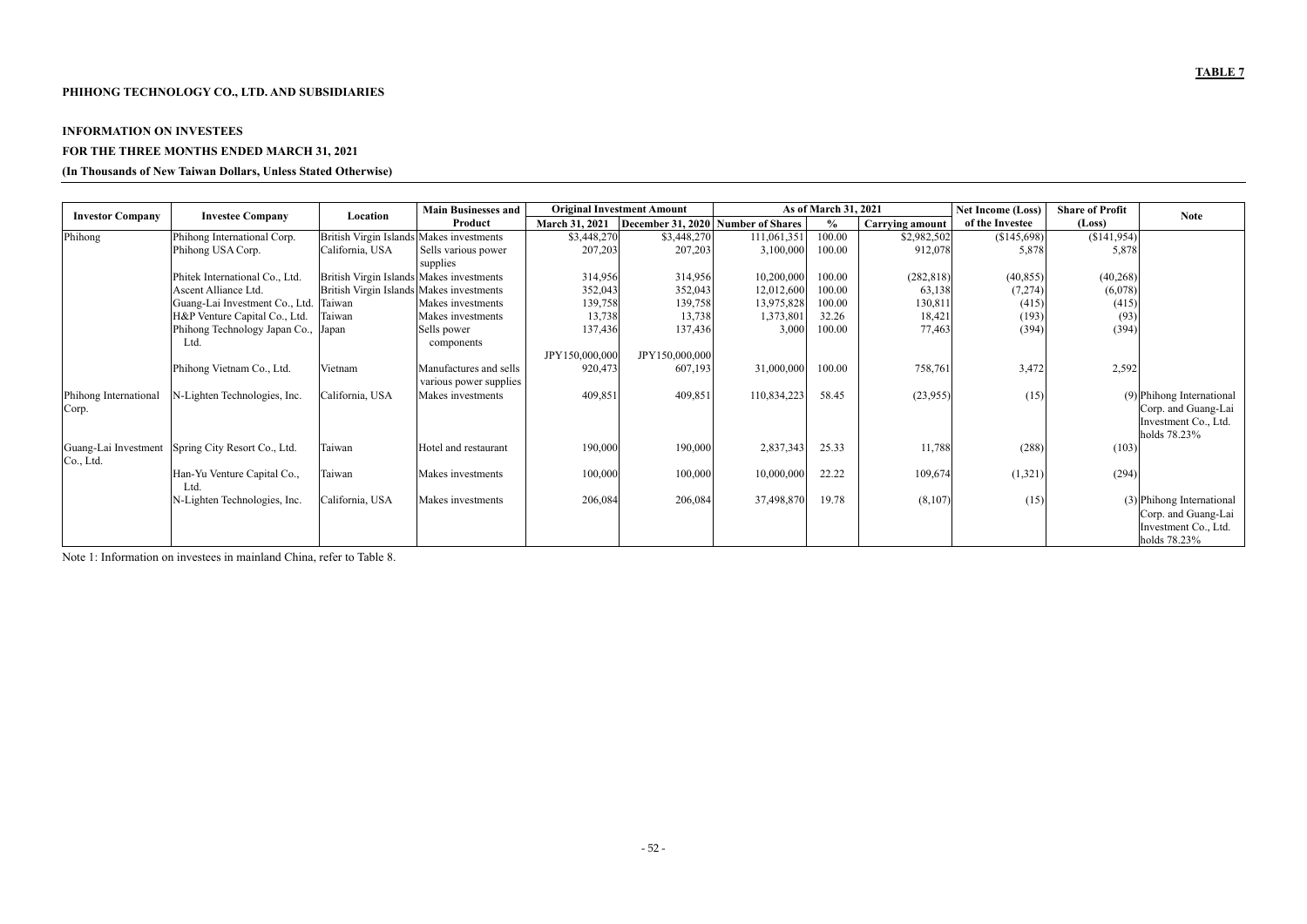# **PHIHONG TECHNOLOGY CO., LTD. AND SUBSIDIARIES**

# **INFORMATION ON INVESTEES FOR THE THREE MONTHS ENDED MARCH 31, 2021**

### **(In Thousands of New Taiwan Dollars, Unless Stated Otherwise)**

|                                   |                                     |                                          | <b>Main Businesses and</b> |                       | <b>Original Investment Amount</b> |                                    | As of March 31, 2021 |                        | <b>Net Income (Loss)</b> | <b>Share of Profit</b> | <b>Note</b>                                                                                |
|-----------------------------------|-------------------------------------|------------------------------------------|----------------------------|-----------------------|-----------------------------------|------------------------------------|----------------------|------------------------|--------------------------|------------------------|--------------------------------------------------------------------------------------------|
| <b>Investor Company</b>           | <b>Investee Company</b>             | Location                                 | Product                    | <b>March 31, 2021</b> |                                   | December 31, 2020 Number of Shares | $\%$                 | <b>Carrying amount</b> | of the Investee          | (Loss)                 |                                                                                            |
| Phihong                           | Phihong International Corp.         | British Virgin Islands Makes investments |                            | \$3,448,270           | \$3,448,270                       | 111,061,351                        | 100.00               | \$2,982,502            | (\$145,698)              | (\$141,954)            |                                                                                            |
|                                   | Phihong USA Corp.                   | California, USA                          | Sells various power        | 207,203               | 207,203                           | 3,100,000                          | 100.00               | 912,078                | 5,878                    | 5,878                  |                                                                                            |
|                                   |                                     |                                          | supplies                   |                       |                                   |                                    |                      |                        |                          |                        |                                                                                            |
|                                   | Phitek International Co., Ltd.      | British Virgin Islands Makes investments |                            | 314,956               | 314,956                           | 10,200,000                         | 100.00               | (282, 818)             | (40, 855)                | (40,268)               |                                                                                            |
|                                   | Ascent Alliance Ltd.                | British Virgin Islands Makes investments |                            | 352,043               | 352,043                           | 12,012,600                         | 100.00               | 63,138                 | (7,274)                  | (6,078)                |                                                                                            |
|                                   | Guang-Lai Investment Co., Ltd.      | Taiwan                                   | Makes investments          | 139,758               | 139,758                           | 13,975,828                         | 100.00               | 130,811                | (415)                    | (415)                  |                                                                                            |
|                                   | H&P Venture Capital Co., Ltd.       | Taiwan                                   | Makes investments          | 13,738                | 13,738                            | 1,373,801                          | 32.26                | 18,421                 | (193)                    | (93)                   |                                                                                            |
|                                   | Phihong Technology Japan Co.,       | Japan                                    | Sells power                | 137,436               | 137,436                           | 3,000                              | 100.00               | 77,463                 | (394)                    | (394)                  |                                                                                            |
|                                   | Ltd.                                |                                          | components                 |                       |                                   |                                    |                      |                        |                          |                        |                                                                                            |
|                                   |                                     |                                          |                            | JPY150,000,000        | JPY150,000,000                    |                                    |                      |                        |                          |                        |                                                                                            |
|                                   | Phihong Vietnam Co., Ltd.           | Vietnam                                  | Manufactures and sells     | 920,473               | 607,193                           | 31,000,000                         | 100.00               | 758,761                | 3,472                    | 2,592                  |                                                                                            |
|                                   |                                     |                                          | various power supplies     |                       |                                   |                                    |                      |                        |                          |                        |                                                                                            |
| Phihong International<br>Corp.    | N-Lighten Technologies, Inc.        | California, USA                          | Makes investments          | 409,851               | 409,851                           | 110,834,223                        | 58.45                | (23,955)               | (15)                     |                        | (9) Phihong International<br>Corp. and Guang-Lai<br>Investment Co., Ltd.<br>holds 78.23%   |
| Guang-Lai Investment<br>Co., Ltd. | Spring City Resort Co., Ltd.        | Taiwan                                   | Hotel and restaurant       | 190,000               | 190,000                           | 2,837,343                          | 25.33                | 11,788                 | (288)                    | (103)                  |                                                                                            |
|                                   | Han-Yu Venture Capital Co.,<br>Ltd. | Taiwan                                   | Makes investments          | 100,000               | 100,000                           | 10,000,000                         | 22.22                | 109,674                | (1, 321)                 | (294)                  |                                                                                            |
|                                   | N-Lighten Technologies, Inc.        | California, USA                          | Makes investments          | 206,084               | 206,084                           | 37,498,870                         | 19.78                | (8,107)                | (15)                     |                        | $(3)$ Phihong International<br>Corp. and Guang-Lai<br>Investment Co., Ltd.<br>holds 78.23% |

Note 1: Information on investees in mainland China, refer to Table 8.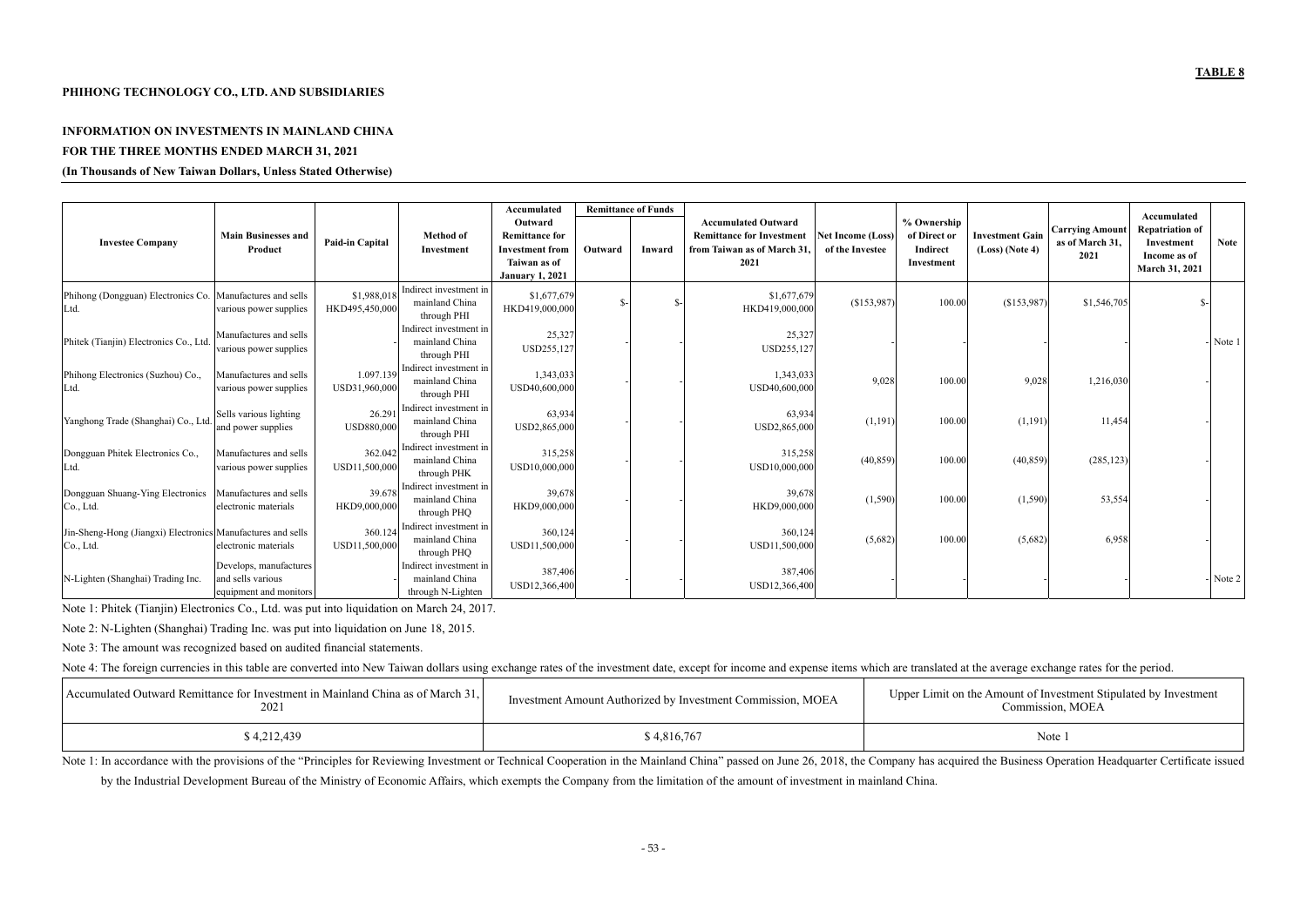Amount of Investment Stipulated by Investment Commission, MOEA

### **PHIHONG TECHNOLOGY CO., LTD. AND SUBSIDIARIES**

# **INFORMATION ON INVESTMENTS IN MAINLAND CHINA FOR THE THREE MONTHS ENDED MARCH 31, 2021**

### **(In Thousands of New Taiwan Dollars, Unless Stated Otherwise)**

|                                                                          |                                                                       |                               |                                                               | Accumulated                                                                                          | <b>Remittance of Funds</b> |        |                                                                                                      |                                             |                                                       |                                             |                                                   | Accumulated                                                            |             |
|--------------------------------------------------------------------------|-----------------------------------------------------------------------|-------------------------------|---------------------------------------------------------------|------------------------------------------------------------------------------------------------------|----------------------------|--------|------------------------------------------------------------------------------------------------------|---------------------------------------------|-------------------------------------------------------|---------------------------------------------|---------------------------------------------------|------------------------------------------------------------------------|-------------|
| <b>Investee Company</b>                                                  | <b>Main Businesses and</b><br>Product                                 | Paid-in Capital               | <b>Method</b> of<br>Investment                                | Outward<br><b>Remittance for</b><br><b>Investment</b> from<br>Taiwan as of<br><b>January 1, 2021</b> | Outward                    | Inward | <b>Accumulated Outward</b><br><b>Remittance for Investment</b><br>from Taiwan as of March 31<br>2021 | <b>Net Income (Loss)</b><br>of the Investee | % Ownership<br>of Direct or<br>Indirect<br>Investment | <b>Investment Gain</b><br>$(Loss)$ (Note 4) | <b>Carrying Amount</b><br>as of March 31,<br>2021 | <b>Repatriation of</b><br>Investment<br>Income as of<br>March 31, 2021 | <b>Note</b> |
| Phihong (Dongguan) Electronics Co. Manufactures and sells<br>Ltd.        | various power supplies                                                | \$1,988,018<br>HKD495,450,000 | Indirect investment in<br>mainland China<br>through PHI       | \$1,677,679<br>HKD419,000,000                                                                        |                            |        | \$1,677,679<br>HKD419,000,000                                                                        | (\$153,987)                                 | 100.00                                                | (\$153,987)                                 | \$1,546,705                                       | -\$.                                                                   |             |
| Phitek (Tianjin) Electronics Co., Ltd                                    | Manufactures and sells<br>various power supplies                      |                               | Indirect investment in<br>mainland China<br>through PHI       | 25,327<br>USD255,127                                                                                 |                            |        | 25,327<br>USD255,127                                                                                 |                                             |                                                       |                                             |                                                   |                                                                        | Note 1      |
| Phihong Electronics (Suzhou) Co.,<br>Ltd.                                | Manufactures and sells<br>various power supplies                      | 1.097.139<br>USD31,960,000    | Indirect investment in<br>mainland China<br>through PHI       | 1,343,033<br>USD40,600,000                                                                           |                            |        | 1,343,033<br>USD40,600,000                                                                           | 9,028                                       | 100.0                                                 | 9,028                                       | 1,216,030                                         |                                                                        |             |
| Yanghong Trade (Shanghai) Co., Ltd                                       | Sells various lighting<br>and power supplies                          | 26.291<br>USD880,000          | Indirect investment in<br>mainland China<br>through PHI       | 63,934<br>USD2,865,000                                                                               |                            |        | 63,934<br>USD2,865,000                                                                               | (1,191)                                     | 100.00                                                | (1,191)                                     | 11,454                                            |                                                                        |             |
| Dongguan Phitek Electronics Co.,<br>Ltd.                                 | Manufactures and sells<br>various power supplies                      | 362.042<br>USD11,500,000      | Indirect investment in<br>mainland China<br>through PHK       | 315,258<br>USD10,000,000                                                                             |                            |        | 315,258<br>USD10,000,000                                                                             | (40, 859)                                   | 100.00                                                | (40, 859)                                   | (285, 123)                                        |                                                                        |             |
| Dongguan Shuang-Ying Electronics<br>Co., Ltd.                            | Manufactures and sells<br>electronic materials                        | 39.678<br>HKD9,000,000        | Indirect investment in<br>mainland China<br>through PHQ       | 39,678<br>HKD9,000,000                                                                               |                            |        | 39,678<br>HKD9,000,000                                                                               | (1, 590)                                    | 100.00                                                | (1,590)                                     | 53,554                                            |                                                                        |             |
| Jin-Sheng-Hong (Jiangxi) Electronics Manufactures and sells<br>Co., Ltd. | electronic materials                                                  | 360.124<br>USD11,500,000      | Indirect investment in<br>mainland China<br>through PHQ       | 360,124<br>USD11,500,000                                                                             |                            |        | 360,124<br>USD11,500,000                                                                             | (5,682)                                     | 100.00                                                | (5,682)                                     | 6,958                                             |                                                                        |             |
| N-Lighten (Shanghai) Trading Inc.                                        | Develops, manufactures<br>and sells various<br>equipment and monitors |                               | Indirect investment in<br>mainland China<br>through N-Lighten | 387,406<br>USD12,366,400                                                                             |                            |        | 387,406<br>USD12,366,400                                                                             |                                             |                                                       |                                             |                                                   |                                                                        | Note 2      |

Note 1: In accordance with the provisions of the "Principles for Reviewing Investment or Technical Cooperation in the Mainland China" passed on June 26, 2018, the Company has acquired the Business Operation Headquarter Cer by the Industrial Development Bureau of the Ministry of Economic Affairs, which exempts the Company from the limitation of the amount of investment in mainland China.

Note 1: Phitek (Tianjin) Electronics Co., Ltd. was put into liquidation on March 24, 2017.

Note 2: N-Lighten (Shanghai) Trading Inc. was put into liquidation on June 18, 2015.

Note 3: The amount was recognized based on audited financial statements.

Note 4: The foreign currencies in this table are converted into New Taiwan dollars using exchange rates of the investment date, except for income and expense items which are translated at the average exchange rates for the

| Accumulated Outward Remittance for Investment in Mainland China as of March 31,<br>2021 | Investment Amount Authorized by Investment Commission, MOEA | Upper Limit on the Amount of Investr<br>Commission, l |
|-----------------------------------------------------------------------------------------|-------------------------------------------------------------|-------------------------------------------------------|
| \$4,212,439                                                                             | \$4,816,767                                                 | Note 1                                                |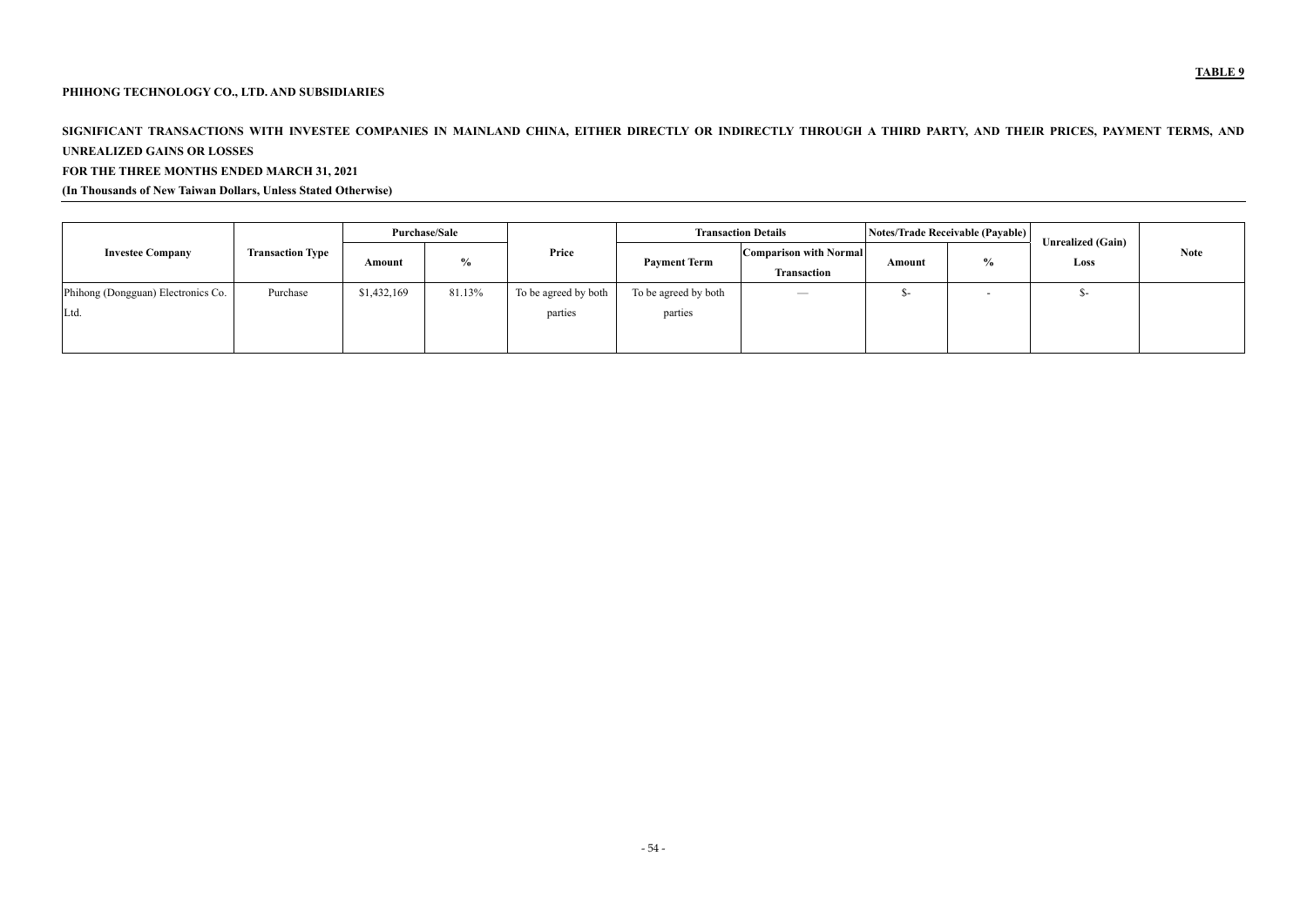# **PHIHONG TECHNOLOGY CO., LTD. AND SUBSIDIARIES**

# SIGNIFICANT TRANSACTIONS WITH INVESTEE COMPANIES IN MAINLAND CHINA, EITHER DIRECTLY OR INDIRECTLY THROUGH A THIRD PARTY, AND THEIR PRICES, PAYMENT TERMS, AND **UNREALIZED GAINS OR LOSSES**

# **FOR THE THREE MONTHS ENDED MARCH 31, 2021**

## **(In Thousands of New Taiwan Dollars, Unless Stated Otherwise)**

|                                    |                         | <b>Purchase/Sale</b> |               |                      | <b>Transaction Details</b> |                                                     |        | Notes/Trade Receivable (Payable) | <b>Unrealized (Gain)</b> |             |
|------------------------------------|-------------------------|----------------------|---------------|----------------------|----------------------------|-----------------------------------------------------|--------|----------------------------------|--------------------------|-------------|
| <b>Investee Company</b>            | <b>Transaction Type</b> | Amount               | $\frac{0}{0}$ | Price                | <b>Payment Term</b>        | <b>Comparison with Normal</b><br><b>Transaction</b> | Amount | $\frac{0}{0}$                    | Loss                     | <b>Note</b> |
| Phihong (Dongguan) Electronics Co. | Purchase                | \$1,432,169          | 81.13%        | To be agreed by both | To be agreed by both       | $\overline{\phantom{a}}$                            | ৲–     |                                  |                          |             |
| Ltd.                               |                         |                      |               | parties              | parties                    |                                                     |        |                                  |                          |             |